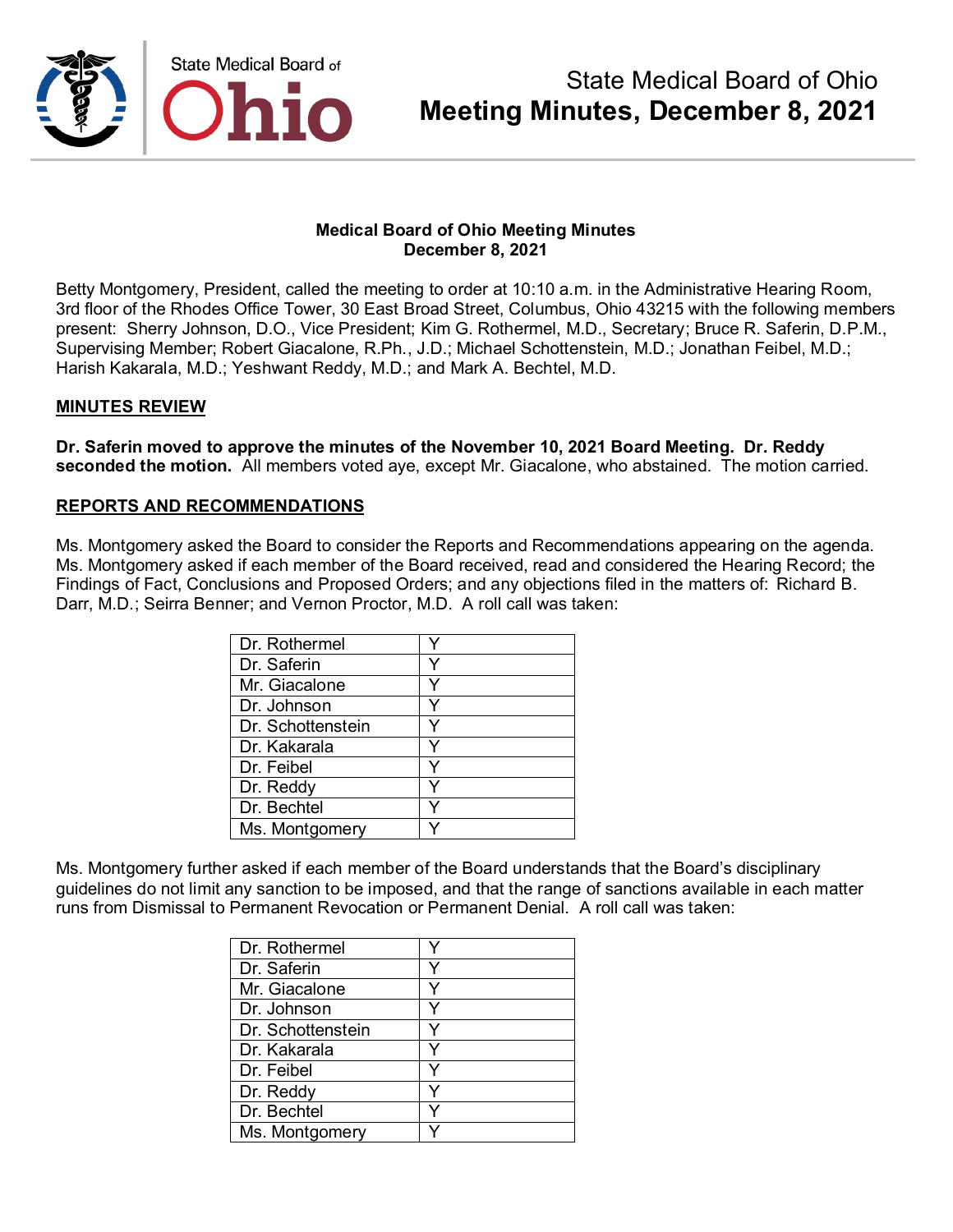

#### **Medical Board of Ohio Meeting Minutes December 8, 2021**

Betty Montgomery, President, called the meeting to order at 10:10 a.m. in the Administrative Hearing Room, 3rd floor of the Rhodes Office Tower, 30 East Broad Street, Columbus, Ohio 43215 with the following members present: Sherry Johnson, D.O., Vice President; Kim G. Rothermel, M.D., Secretary; Bruce R. Saferin, D.P.M., Supervising Member; Robert Giacalone, R.Ph., J.D.; Michael Schottenstein, M.D.; Jonathan Feibel, M.D.; Harish Kakarala, M.D.; Yeshwant Reddy, M.D.; and Mark A. Bechtel, M.D.

### **MINUTES REVIEW**

**Dr. Saferin moved to approve the minutes of the November 10, 2021 Board Meeting. Dr. Reddy seconded the motion.** All members voted aye, except Mr. Giacalone, who abstained. The motion carried.

### **REPORTS AND RECOMMENDATIONS**

Ms. Montgomery asked the Board to consider the Reports and Recommendations appearing on the agenda. Ms. Montgomery asked if each member of the Board received, read and considered the Hearing Record; the Findings of Fact, Conclusions and Proposed Orders; and any objections filed in the matters of: Richard B. Darr, M.D.; Seirra Benner; and Vernon Proctor, M.D. A roll call was taken:

| Dr. Rothermel     |  |
|-------------------|--|
| Dr. Saferin       |  |
| Mr. Giacalone     |  |
| Dr. Johnson       |  |
| Dr. Schottenstein |  |
| Dr. Kakarala      |  |
| Dr. Feibel        |  |
| Dr. Reddy         |  |
| Dr. Bechtel       |  |
| Ms. Montgomery    |  |

Ms. Montgomery further asked if each member of the Board understands that the Board's disciplinary guidelines do not limit any sanction to be imposed, and that the range of sanctions available in each matter runs from Dismissal to Permanent Revocation or Permanent Denial. A roll call was taken:

| Dr. Rothermel     |   |
|-------------------|---|
| Dr. Saferin       | v |
| Mr. Giacalone     |   |
| Dr. Johnson       | v |
| Dr. Schottenstein | v |
| Dr. Kakarala      | Y |
| Dr. Feibel        |   |
| Dr. Reddy         |   |
| Dr. Bechtel       |   |
| Ms. Montgomery    |   |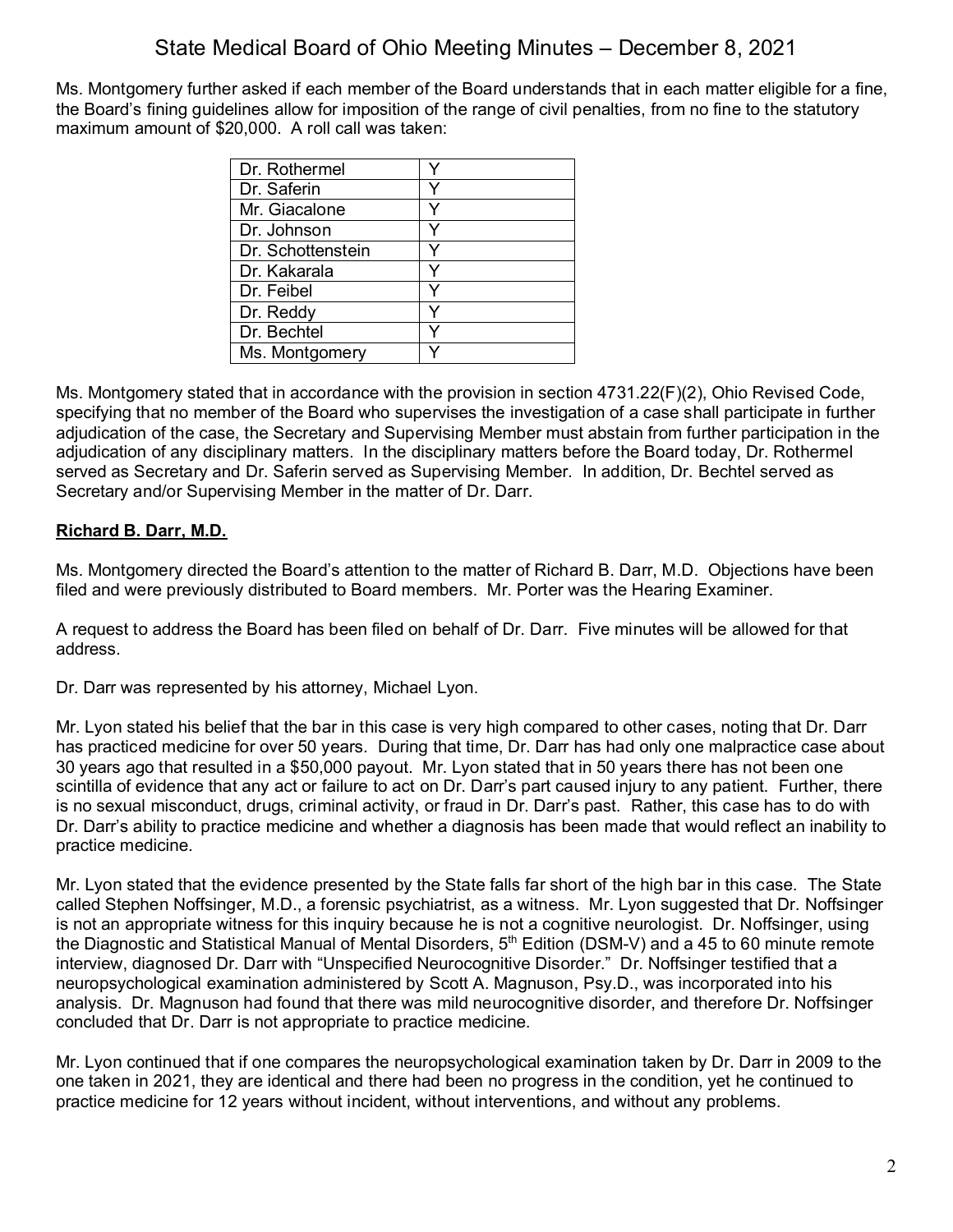Ms. Montgomery further asked if each member of the Board understands that in each matter eligible for a fine, the Board's fining guidelines allow for imposition of the range of civil penalties, from no fine to the statutory maximum amount of \$20,000. A roll call was taken:

| Dr. Rothermel     |   |
|-------------------|---|
| Dr. Saferin       |   |
| Mr. Giacalone     |   |
| Dr. Johnson       |   |
| Dr. Schottenstein |   |
| Dr. Kakarala      |   |
| Dr. Feibel        |   |
| Dr. Reddy         | v |
| Dr. Bechtel       |   |
| Ms. Montgomery    |   |

Ms. Montgomery stated that in accordance with the provision in section 4731.22(F)(2), Ohio Revised Code, specifying that no member of the Board who supervises the investigation of a case shall participate in further adjudication of the case, the Secretary and Supervising Member must abstain from further participation in the adjudication of any disciplinary matters. In the disciplinary matters before the Board today, Dr. Rothermel served as Secretary and Dr. Saferin served as Supervising Member. In addition, Dr. Bechtel served as Secretary and/or Supervising Member in the matter of Dr. Darr.

## **Richard B. Darr, M.D.**

Ms. Montgomery directed the Board's attention to the matter of Richard B. Darr, M.D. Objections have been filed and were previously distributed to Board members. Mr. Porter was the Hearing Examiner.

A request to address the Board has been filed on behalf of Dr. Darr. Five minutes will be allowed for that address.

Dr. Darr was represented by his attorney, Michael Lyon.

Mr. Lyon stated his belief that the bar in this case is very high compared to other cases, noting that Dr. Darr has practiced medicine for over 50 years. During that time, Dr. Darr has had only one malpractice case about 30 years ago that resulted in a \$50,000 payout. Mr. Lyon stated that in 50 years there has not been one scintilla of evidence that any act or failure to act on Dr. Darr's part caused injury to any patient. Further, there is no sexual misconduct, drugs, criminal activity, or fraud in Dr. Darr's past. Rather, this case has to do with Dr. Darr's ability to practice medicine and whether a diagnosis has been made that would reflect an inability to practice medicine.

Mr. Lyon stated that the evidence presented by the State falls far short of the high bar in this case. The State called Stephen Noffsinger, M.D., a forensic psychiatrist, as a witness. Mr. Lyon suggested that Dr. Noffsinger is not an appropriate witness for this inquiry because he is not a cognitive neurologist. Dr. Noffsinger, using the Diagnostic and Statistical Manual of Mental Disorders, 5<sup>th</sup> Edition (DSM-V) and a 45 to 60 minute remote interview, diagnosed Dr. Darr with "Unspecified Neurocognitive Disorder." Dr. Noffsinger testified that a neuropsychological examination administered by Scott A. Magnuson, Psy.D., was incorporated into his analysis. Dr. Magnuson had found that there was mild neurocognitive disorder, and therefore Dr. Noffsinger concluded that Dr. Darr is not appropriate to practice medicine.

Mr. Lyon continued that if one compares the neuropsychological examination taken by Dr. Darr in 2009 to the one taken in 2021, they are identical and there had been no progress in the condition, yet he continued to practice medicine for 12 years without incident, without interventions, and without any problems.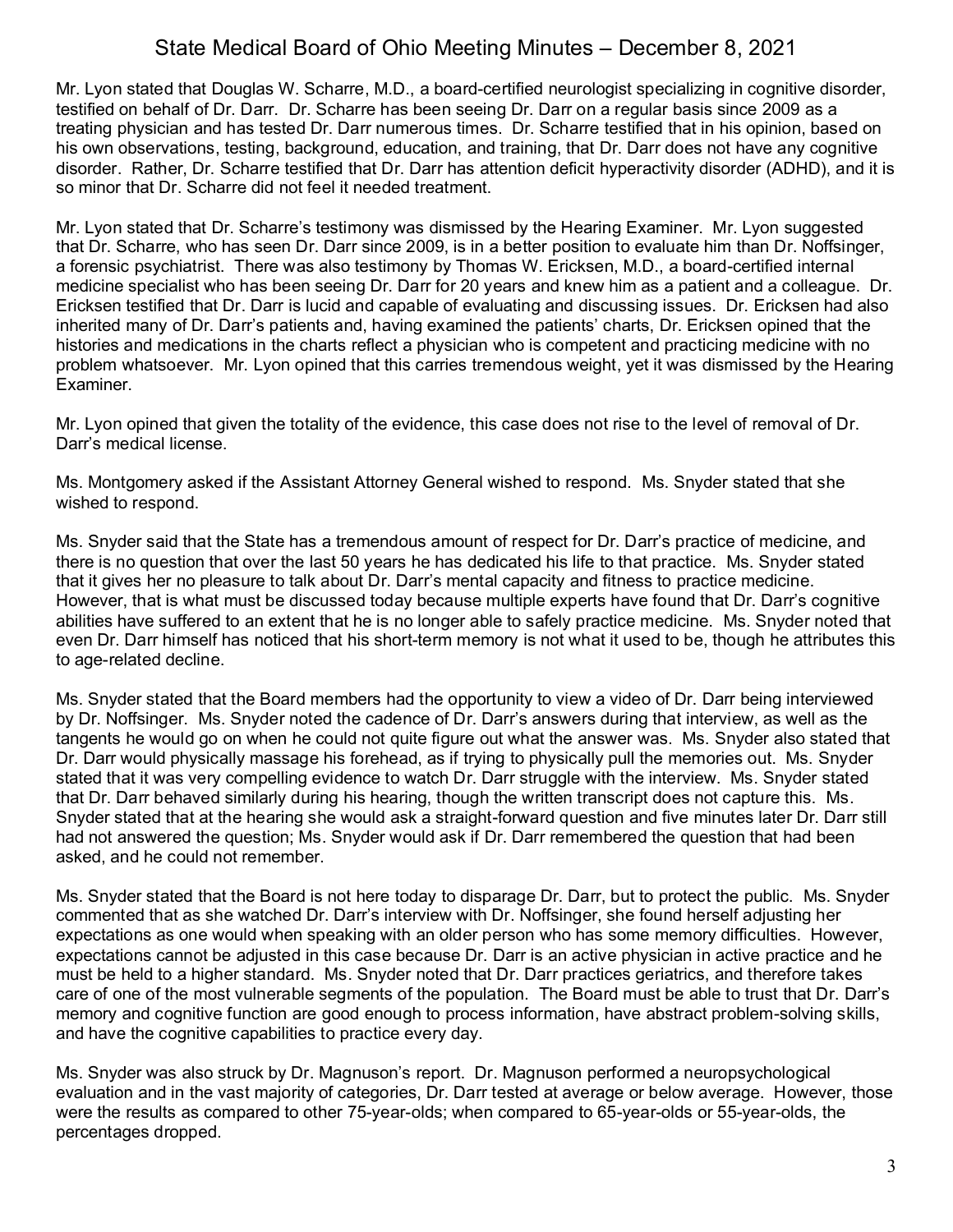Mr. Lyon stated that Douglas W. Scharre, M.D., a board-certified neurologist specializing in cognitive disorder, testified on behalf of Dr. Darr. Dr. Scharre has been seeing Dr. Darr on a regular basis since 2009 as a treating physician and has tested Dr. Darr numerous times. Dr. Scharre testified that in his opinion, based on his own observations, testing, background, education, and training, that Dr. Darr does not have any cognitive disorder. Rather, Dr. Scharre testified that Dr. Darr has attention deficit hyperactivity disorder (ADHD), and it is so minor that Dr. Scharre did not feel it needed treatment.

Mr. Lyon stated that Dr. Scharre's testimony was dismissed by the Hearing Examiner. Mr. Lyon suggested that Dr. Scharre, who has seen Dr. Darr since 2009, is in a better position to evaluate him than Dr. Noffsinger, a forensic psychiatrist. There was also testimony by Thomas W. Ericksen, M.D., a board-certified internal medicine specialist who has been seeing Dr. Darr for 20 years and knew him as a patient and a colleague. Dr. Ericksen testified that Dr. Darr is lucid and capable of evaluating and discussing issues. Dr. Ericksen had also inherited many of Dr. Darr's patients and, having examined the patients' charts, Dr. Ericksen opined that the histories and medications in the charts reflect a physician who is competent and practicing medicine with no problem whatsoever. Mr. Lyon opined that this carries tremendous weight, yet it was dismissed by the Hearing Examiner.

Mr. Lyon opined that given the totality of the evidence, this case does not rise to the level of removal of Dr. Darr's medical license.

Ms. Montgomery asked if the Assistant Attorney General wished to respond. Ms. Snyder stated that she wished to respond.

Ms. Snyder said that the State has a tremendous amount of respect for Dr. Darr's practice of medicine, and there is no question that over the last 50 years he has dedicated his life to that practice. Ms. Snyder stated that it gives her no pleasure to talk about Dr. Darr's mental capacity and fitness to practice medicine. However, that is what must be discussed today because multiple experts have found that Dr. Darr's cognitive abilities have suffered to an extent that he is no longer able to safely practice medicine. Ms. Snyder noted that even Dr. Darr himself has noticed that his short-term memory is not what it used to be, though he attributes this to age-related decline.

Ms. Snyder stated that the Board members had the opportunity to view a video of Dr. Darr being interviewed by Dr. Noffsinger. Ms. Snyder noted the cadence of Dr. Darr's answers during that interview, as well as the tangents he would go on when he could not quite figure out what the answer was. Ms. Snyder also stated that Dr. Darr would physically massage his forehead, as if trying to physically pull the memories out. Ms. Snyder stated that it was very compelling evidence to watch Dr. Darr struggle with the interview. Ms. Snyder stated that Dr. Darr behaved similarly during his hearing, though the written transcript does not capture this. Ms. Snyder stated that at the hearing she would ask a straight-forward question and five minutes later Dr. Darr still had not answered the question; Ms. Snyder would ask if Dr. Darr remembered the question that had been asked, and he could not remember.

Ms. Snyder stated that the Board is not here today to disparage Dr. Darr, but to protect the public. Ms. Snyder commented that as she watched Dr. Darr's interview with Dr. Noffsinger, she found herself adjusting her expectations as one would when speaking with an older person who has some memory difficulties. However, expectations cannot be adjusted in this case because Dr. Darr is an active physician in active practice and he must be held to a higher standard. Ms. Snyder noted that Dr. Darr practices geriatrics, and therefore takes care of one of the most vulnerable segments of the population. The Board must be able to trust that Dr. Darr's memory and cognitive function are good enough to process information, have abstract problem-solving skills, and have the cognitive capabilities to practice every day.

Ms. Snyder was also struck by Dr. Magnuson's report. Dr. Magnuson performed a neuropsychological evaluation and in the vast majority of categories, Dr. Darr tested at average or below average. However, those were the results as compared to other 75-year-olds; when compared to 65-year-olds or 55-year-olds, the percentages dropped.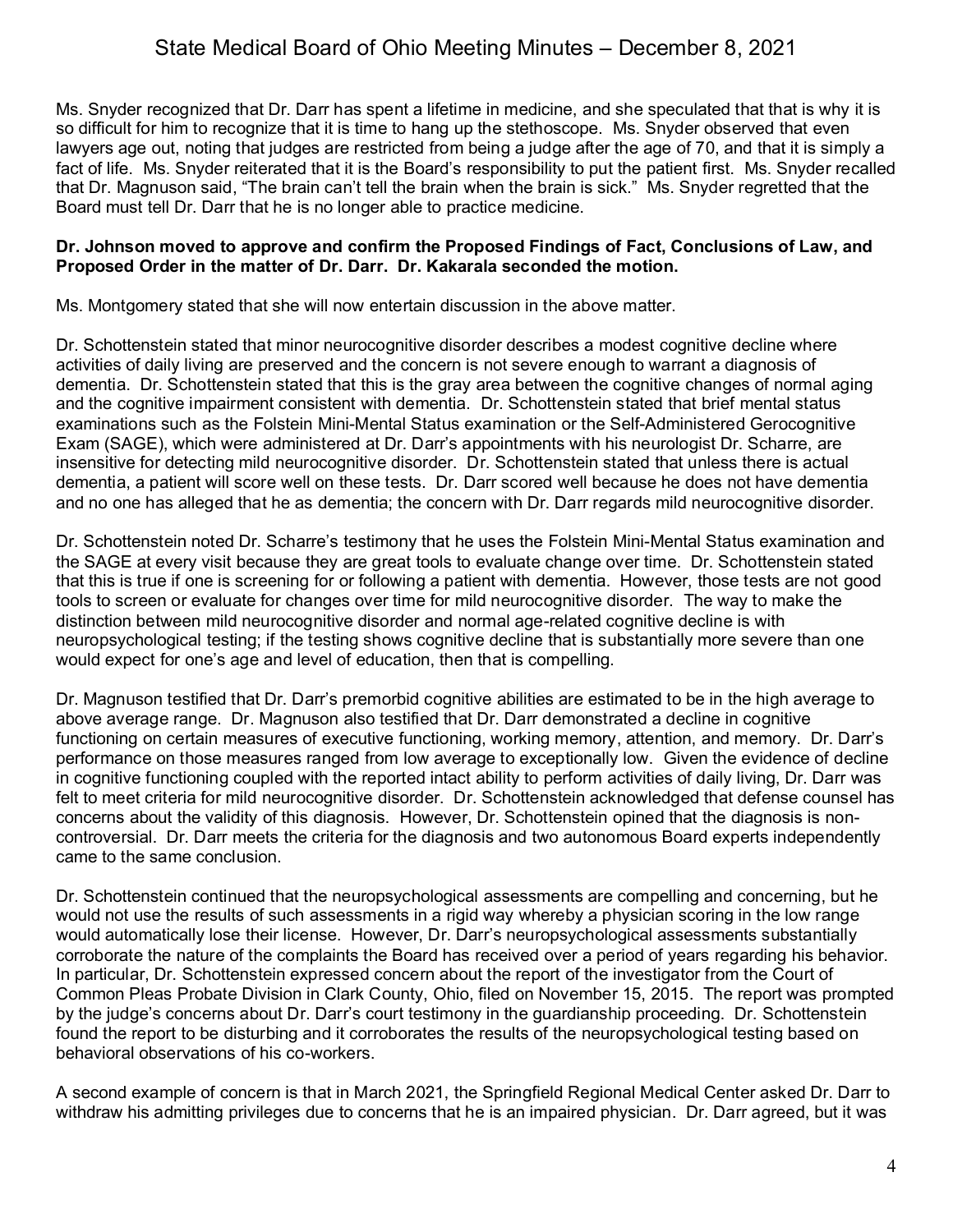Ms. Snyder recognized that Dr. Darr has spent a lifetime in medicine, and she speculated that that is why it is so difficult for him to recognize that it is time to hang up the stethoscope. Ms. Snyder observed that even lawyers age out, noting that judges are restricted from being a judge after the age of 70, and that it is simply a fact of life. Ms. Snyder reiterated that it is the Board's responsibility to put the patient first. Ms. Snyder recalled that Dr. Magnuson said, "The brain can't tell the brain when the brain is sick." Ms. Snyder regretted that the Board must tell Dr. Darr that he is no longer able to practice medicine.

### **Dr. Johnson moved to approve and confirm the Proposed Findings of Fact, Conclusions of Law, and Proposed Order in the matter of Dr. Darr. Dr. Kakarala seconded the motion.**

Ms. Montgomery stated that she will now entertain discussion in the above matter.

Dr. Schottenstein stated that minor neurocognitive disorder describes a modest cognitive decline where activities of daily living are preserved and the concern is not severe enough to warrant a diagnosis of dementia. Dr. Schottenstein stated that this is the gray area between the cognitive changes of normal aging and the cognitive impairment consistent with dementia. Dr. Schottenstein stated that brief mental status examinations such as the Folstein Mini-Mental Status examination or the Self-Administered Gerocognitive Exam (SAGE), which were administered at Dr. Darr's appointments with his neurologist Dr. Scharre, are insensitive for detecting mild neurocognitive disorder. Dr. Schottenstein stated that unless there is actual dementia, a patient will score well on these tests. Dr. Darr scored well because he does not have dementia and no one has alleged that he as dementia; the concern with Dr. Darr regards mild neurocognitive disorder.

Dr. Schottenstein noted Dr. Scharre's testimony that he uses the Folstein Mini-Mental Status examination and the SAGE at every visit because they are great tools to evaluate change over time. Dr. Schottenstein stated that this is true if one is screening for or following a patient with dementia. However, those tests are not good tools to screen or evaluate for changes over time for mild neurocognitive disorder. The way to make the distinction between mild neurocognitive disorder and normal age-related cognitive decline is with neuropsychological testing; if the testing shows cognitive decline that is substantially more severe than one would expect for one's age and level of education, then that is compelling.

Dr. Magnuson testified that Dr. Darr's premorbid cognitive abilities are estimated to be in the high average to above average range. Dr. Magnuson also testified that Dr. Darr demonstrated a decline in cognitive functioning on certain measures of executive functioning, working memory, attention, and memory. Dr. Darr's performance on those measures ranged from low average to exceptionally low. Given the evidence of decline in cognitive functioning coupled with the reported intact ability to perform activities of daily living, Dr. Darr was felt to meet criteria for mild neurocognitive disorder. Dr. Schottenstein acknowledged that defense counsel has concerns about the validity of this diagnosis. However, Dr. Schottenstein opined that the diagnosis is noncontroversial. Dr. Darr meets the criteria for the diagnosis and two autonomous Board experts independently came to the same conclusion.

Dr. Schottenstein continued that the neuropsychological assessments are compelling and concerning, but he would not use the results of such assessments in a rigid way whereby a physician scoring in the low range would automatically lose their license. However, Dr. Darr's neuropsychological assessments substantially corroborate the nature of the complaints the Board has received over a period of years regarding his behavior. In particular, Dr. Schottenstein expressed concern about the report of the investigator from the Court of Common Pleas Probate Division in Clark County, Ohio, filed on November 15, 2015. The report was prompted by the judge's concerns about Dr. Darr's court testimony in the guardianship proceeding. Dr. Schottenstein found the report to be disturbing and it corroborates the results of the neuropsychological testing based on behavioral observations of his co-workers.

A second example of concern is that in March 2021, the Springfield Regional Medical Center asked Dr. Darr to withdraw his admitting privileges due to concerns that he is an impaired physician. Dr. Darr agreed, but it was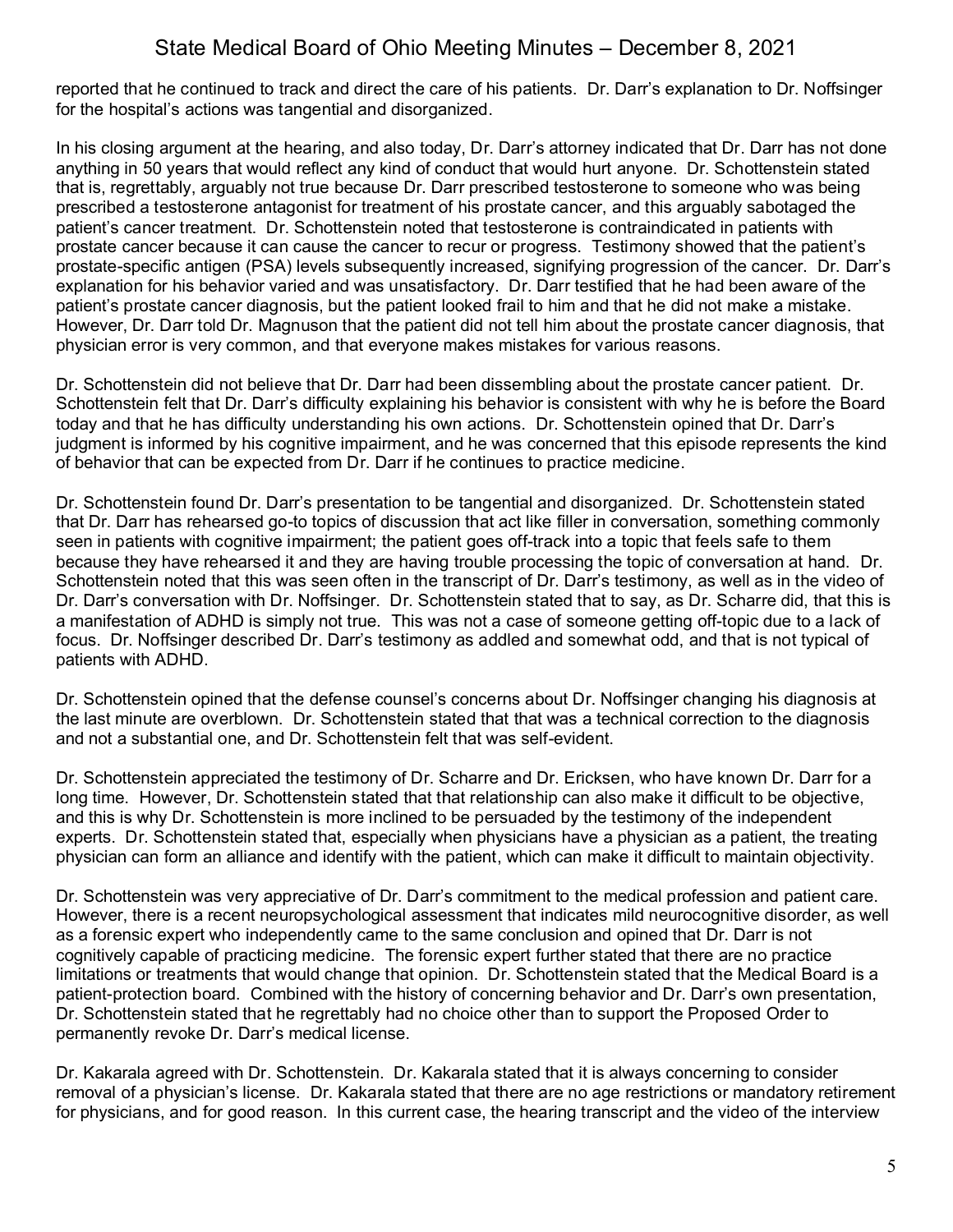reported that he continued to track and direct the care of his patients. Dr. Darr's explanation to Dr. Noffsinger for the hospital's actions was tangential and disorganized.

In his closing argument at the hearing, and also today, Dr. Darr's attorney indicated that Dr. Darr has not done anything in 50 years that would reflect any kind of conduct that would hurt anyone. Dr. Schottenstein stated that is, regrettably, arguably not true because Dr. Darr prescribed testosterone to someone who was being prescribed a testosterone antagonist for treatment of his prostate cancer, and this arguably sabotaged the patient's cancer treatment. Dr. Schottenstein noted that testosterone is contraindicated in patients with prostate cancer because it can cause the cancer to recur or progress. Testimony showed that the patient's prostate-specific antigen (PSA) levels subsequently increased, signifying progression of the cancer. Dr. Darr's explanation for his behavior varied and was unsatisfactory. Dr. Darr testified that he had been aware of the patient's prostate cancer diagnosis, but the patient looked frail to him and that he did not make a mistake. However, Dr. Darr told Dr. Magnuson that the patient did not tell him about the prostate cancer diagnosis, that physician error is very common, and that everyone makes mistakes for various reasons.

Dr. Schottenstein did not believe that Dr. Darr had been dissembling about the prostate cancer patient. Dr. Schottenstein felt that Dr. Darr's difficulty explaining his behavior is consistent with why he is before the Board today and that he has difficulty understanding his own actions. Dr. Schottenstein opined that Dr. Darr's judgment is informed by his cognitive impairment, and he was concerned that this episode represents the kind of behavior that can be expected from Dr. Darr if he continues to practice medicine.

Dr. Schottenstein found Dr. Darr's presentation to be tangential and disorganized. Dr. Schottenstein stated that Dr. Darr has rehearsed go-to topics of discussion that act like filler in conversation, something commonly seen in patients with cognitive impairment; the patient goes off-track into a topic that feels safe to them because they have rehearsed it and they are having trouble processing the topic of conversation at hand. Dr. Schottenstein noted that this was seen often in the transcript of Dr. Darr's testimony, as well as in the video of Dr. Darr's conversation with Dr. Noffsinger. Dr. Schottenstein stated that to say, as Dr. Scharre did, that this is a manifestation of ADHD is simply not true. This was not a case of someone getting off-topic due to a lack of focus. Dr. Noffsinger described Dr. Darr's testimony as addled and somewhat odd, and that is not typical of patients with ADHD.

Dr. Schottenstein opined that the defense counsel's concerns about Dr. Noffsinger changing his diagnosis at the last minute are overblown. Dr. Schottenstein stated that that was a technical correction to the diagnosis and not a substantial one, and Dr. Schottenstein felt that was self-evident.

Dr. Schottenstein appreciated the testimony of Dr. Scharre and Dr. Ericksen, who have known Dr. Darr for a long time. However, Dr. Schottenstein stated that that relationship can also make it difficult to be objective, and this is why Dr. Schottenstein is more inclined to be persuaded by the testimony of the independent experts. Dr. Schottenstein stated that, especially when physicians have a physician as a patient, the treating physician can form an alliance and identify with the patient, which can make it difficult to maintain objectivity.

Dr. Schottenstein was very appreciative of Dr. Darr's commitment to the medical profession and patient care. However, there is a recent neuropsychological assessment that indicates mild neurocognitive disorder, as well as a forensic expert who independently came to the same conclusion and opined that Dr. Darr is not cognitively capable of practicing medicine. The forensic expert further stated that there are no practice limitations or treatments that would change that opinion. Dr. Schottenstein stated that the Medical Board is a patient-protection board. Combined with the history of concerning behavior and Dr. Darr's own presentation, Dr. Schottenstein stated that he regrettably had no choice other than to support the Proposed Order to permanently revoke Dr. Darr's medical license.

Dr. Kakarala agreed with Dr. Schottenstein. Dr. Kakarala stated that it is always concerning to consider removal of a physician's license. Dr. Kakarala stated that there are no age restrictions or mandatory retirement for physicians, and for good reason. In this current case, the hearing transcript and the video of the interview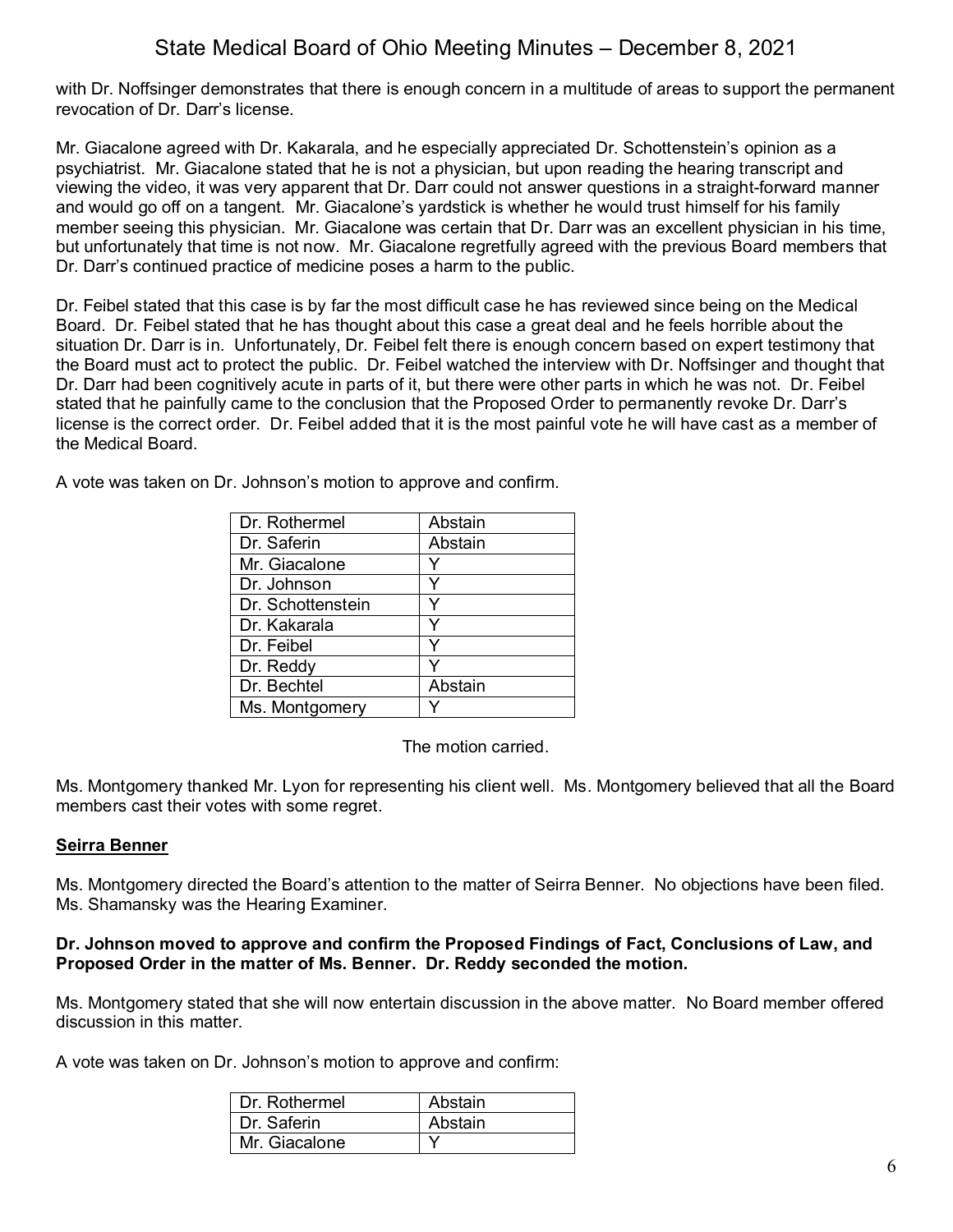with Dr. Noffsinger demonstrates that there is enough concern in a multitude of areas to support the permanent revocation of Dr. Darr's license.

Mr. Giacalone agreed with Dr. Kakarala, and he especially appreciated Dr. Schottenstein's opinion as a psychiatrist. Mr. Giacalone stated that he is not a physician, but upon reading the hearing transcript and viewing the video, it was very apparent that Dr. Darr could not answer questions in a straight-forward manner and would go off on a tangent. Mr. Giacalone's yardstick is whether he would trust himself for his family member seeing this physician. Mr. Giacalone was certain that Dr. Darr was an excellent physician in his time, but unfortunately that time is not now. Mr. Giacalone regretfully agreed with the previous Board members that Dr. Darr's continued practice of medicine poses a harm to the public.

Dr. Feibel stated that this case is by far the most difficult case he has reviewed since being on the Medical Board. Dr. Feibel stated that he has thought about this case a great deal and he feels horrible about the situation Dr. Darr is in. Unfortunately, Dr. Feibel felt there is enough concern based on expert testimony that the Board must act to protect the public. Dr. Feibel watched the interview with Dr. Noffsinger and thought that Dr. Darr had been cognitively acute in parts of it, but there were other parts in which he was not. Dr. Feibel stated that he painfully came to the conclusion that the Proposed Order to permanently revoke Dr. Darr's license is the correct order. Dr. Feibel added that it is the most painful vote he will have cast as a member of the Medical Board.

A vote was taken on Dr. Johnson's motion to approve and confirm.

| Dr. Rothermel     | Abstain |
|-------------------|---------|
| Dr. Saferin       | Abstain |
| Mr. Giacalone     |         |
| Dr. Johnson       | Y       |
| Dr. Schottenstein |         |
| Dr. Kakarala      | Y       |
| Dr. Feibel        | v       |
| Dr. Reddy         |         |
| Dr. Bechtel       | Abstain |
| Ms. Montgomery    |         |

The motion carried.

Ms. Montgomery thanked Mr. Lyon for representing his client well. Ms. Montgomery believed that all the Board members cast their votes with some regret.

## **Seirra Benner**

Ms. Montgomery directed the Board's attention to the matter of Seirra Benner. No objections have been filed. Ms. Shamansky was the Hearing Examiner.

### **Dr. Johnson moved to approve and confirm the Proposed Findings of Fact, Conclusions of Law, and Proposed Order in the matter of Ms. Benner. Dr. Reddy seconded the motion.**

Ms. Montgomery stated that she will now entertain discussion in the above matter. No Board member offered discussion in this matter.

A vote was taken on Dr. Johnson's motion to approve and confirm:

| l Dr. Rothermel | Abstain |
|-----------------|---------|
| Dr. Saferin     | Abstain |
| Mr. Giacalone   |         |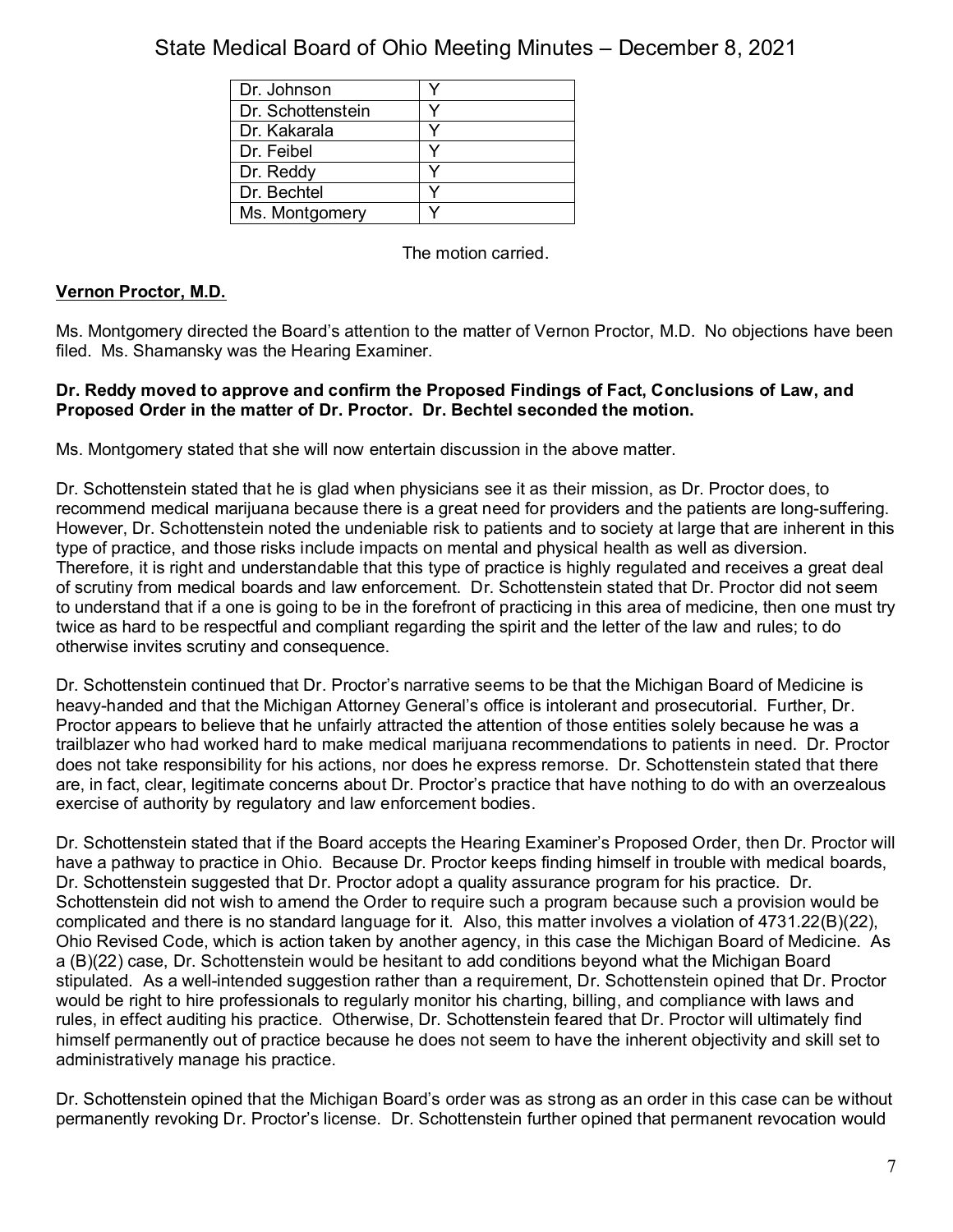| Dr. Johnson       |  |
|-------------------|--|
| Dr. Schottenstein |  |
| Dr. Kakarala      |  |
| Dr. Feibel        |  |
| Dr. Reddy         |  |
| Dr. Bechtel       |  |
| Ms. Montgomery    |  |

The motion carried.

## **Vernon Proctor, M.D.**

Ms. Montgomery directed the Board's attention to the matter of Vernon Proctor, M.D. No objections have been filed. Ms. Shamansky was the Hearing Examiner.

## **Dr. Reddy moved to approve and confirm the Proposed Findings of Fact, Conclusions of Law, and Proposed Order in the matter of Dr. Proctor. Dr. Bechtel seconded the motion.**

Ms. Montgomery stated that she will now entertain discussion in the above matter.

Dr. Schottenstein stated that he is glad when physicians see it as their mission, as Dr. Proctor does, to recommend medical marijuana because there is a great need for providers and the patients are long-suffering. However, Dr. Schottenstein noted the undeniable risk to patients and to society at large that are inherent in this type of practice, and those risks include impacts on mental and physical health as well as diversion. Therefore, it is right and understandable that this type of practice is highly regulated and receives a great deal of scrutiny from medical boards and law enforcement. Dr. Schottenstein stated that Dr. Proctor did not seem to understand that if a one is going to be in the forefront of practicing in this area of medicine, then one must try twice as hard to be respectful and compliant regarding the spirit and the letter of the law and rules; to do otherwise invites scrutiny and consequence.

Dr. Schottenstein continued that Dr. Proctor's narrative seems to be that the Michigan Board of Medicine is heavy-handed and that the Michigan Attorney General's office is intolerant and prosecutorial. Further, Dr. Proctor appears to believe that he unfairly attracted the attention of those entities solely because he was a trailblazer who had worked hard to make medical marijuana recommendations to patients in need. Dr. Proctor does not take responsibility for his actions, nor does he express remorse. Dr. Schottenstein stated that there are, in fact, clear, legitimate concerns about Dr. Proctor's practice that have nothing to do with an overzealous exercise of authority by regulatory and law enforcement bodies.

Dr. Schottenstein stated that if the Board accepts the Hearing Examiner's Proposed Order, then Dr. Proctor will have a pathway to practice in Ohio. Because Dr. Proctor keeps finding himself in trouble with medical boards, Dr. Schottenstein suggested that Dr. Proctor adopt a quality assurance program for his practice. Dr. Schottenstein did not wish to amend the Order to require such a program because such a provision would be complicated and there is no standard language for it. Also, this matter involves a violation of 4731.22(B)(22), Ohio Revised Code, which is action taken by another agency, in this case the Michigan Board of Medicine. As a (B)(22) case, Dr. Schottenstein would be hesitant to add conditions beyond what the Michigan Board stipulated. As a well-intended suggestion rather than a requirement, Dr. Schottenstein opined that Dr. Proctor would be right to hire professionals to regularly monitor his charting, billing, and compliance with laws and rules, in effect auditing his practice. Otherwise, Dr. Schottenstein feared that Dr. Proctor will ultimately find himself permanently out of practice because he does not seem to have the inherent objectivity and skill set to administratively manage his practice.

Dr. Schottenstein opined that the Michigan Board's order was as strong as an order in this case can be without permanently revoking Dr. Proctor's license. Dr. Schottenstein further opined that permanent revocation would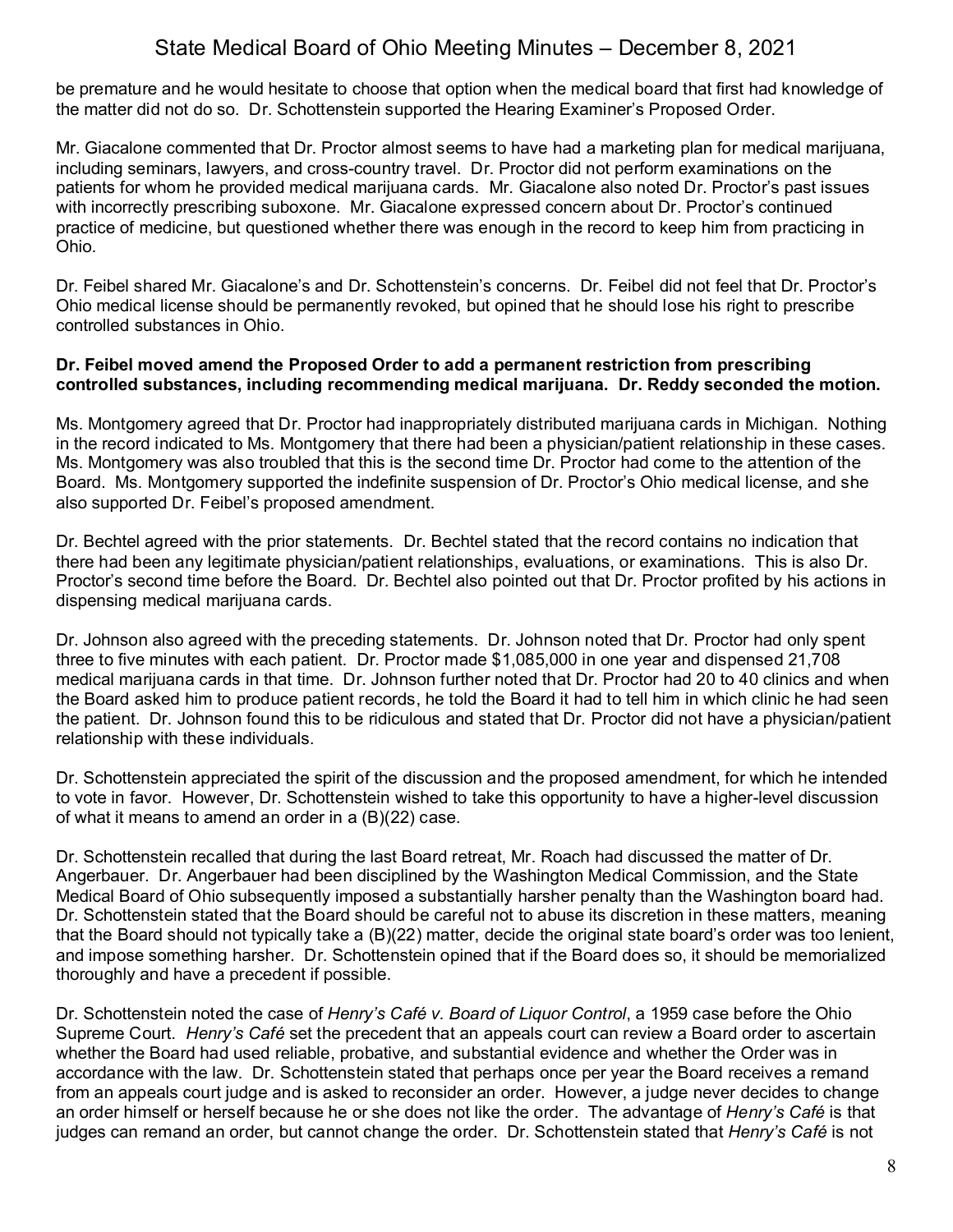be premature and he would hesitate to choose that option when the medical board that first had knowledge of the matter did not do so. Dr. Schottenstein supported the Hearing Examiner's Proposed Order.

Mr. Giacalone commented that Dr. Proctor almost seems to have had a marketing plan for medical marijuana, including seminars, lawyers, and cross-country travel. Dr. Proctor did not perform examinations on the patients for whom he provided medical marijuana cards. Mr. Giacalone also noted Dr. Proctor's past issues with incorrectly prescribing suboxone. Mr. Giacalone expressed concern about Dr. Proctor's continued practice of medicine, but questioned whether there was enough in the record to keep him from practicing in Ohio.

Dr. Feibel shared Mr. Giacalone's and Dr. Schottenstein's concerns. Dr. Feibel did not feel that Dr. Proctor's Ohio medical license should be permanently revoked, but opined that he should lose his right to prescribe controlled substances in Ohio.

## **Dr. Feibel moved amend the Proposed Order to add a permanent restriction from prescribing controlled substances, including recommending medical marijuana. Dr. Reddy seconded the motion.**

Ms. Montgomery agreed that Dr. Proctor had inappropriately distributed marijuana cards in Michigan. Nothing in the record indicated to Ms. Montgomery that there had been a physician/patient relationship in these cases. Ms. Montgomery was also troubled that this is the second time Dr. Proctor had come to the attention of the Board. Ms. Montgomery supported the indefinite suspension of Dr. Proctor's Ohio medical license, and she also supported Dr. Feibel's proposed amendment.

Dr. Bechtel agreed with the prior statements. Dr. Bechtel stated that the record contains no indication that there had been any legitimate physician/patient relationships, evaluations, or examinations. This is also Dr. Proctor's second time before the Board. Dr. Bechtel also pointed out that Dr. Proctor profited by his actions in dispensing medical marijuana cards.

Dr. Johnson also agreed with the preceding statements. Dr. Johnson noted that Dr. Proctor had only spent three to five minutes with each patient. Dr. Proctor made \$1,085,000 in one year and dispensed 21,708 medical marijuana cards in that time. Dr. Johnson further noted that Dr. Proctor had 20 to 40 clinics and when the Board asked him to produce patient records, he told the Board it had to tell him in which clinic he had seen the patient. Dr. Johnson found this to be ridiculous and stated that Dr. Proctor did not have a physician/patient relationship with these individuals.

Dr. Schottenstein appreciated the spirit of the discussion and the proposed amendment, for which he intended to vote in favor. However, Dr. Schottenstein wished to take this opportunity to have a higher-level discussion of what it means to amend an order in a (B)(22) case.

Dr. Schottenstein recalled that during the last Board retreat, Mr. Roach had discussed the matter of Dr. Angerbauer. Dr. Angerbauer had been disciplined by the Washington Medical Commission, and the State Medical Board of Ohio subsequently imposed a substantially harsher penalty than the Washington board had. Dr. Schottenstein stated that the Board should be careful not to abuse its discretion in these matters, meaning that the Board should not typically take a (B)(22) matter, decide the original state board's order was too lenient, and impose something harsher. Dr. Schottenstein opined that if the Board does so, it should be memorialized thoroughly and have a precedent if possible.

Dr. Schottenstein noted the case of *Henry's Café v. Board of Liquor Control*, a 1959 case before the Ohio Supreme Court. *Henry's Café* set the precedent that an appeals court can review a Board order to ascertain whether the Board had used reliable, probative, and substantial evidence and whether the Order was in accordance with the law. Dr. Schottenstein stated that perhaps once per year the Board receives a remand from an appeals court judge and is asked to reconsider an order. However, a judge never decides to change an order himself or herself because he or she does not like the order. The advantage of *Henry's Café* is that judges can remand an order, but cannot change the order. Dr. Schottenstein stated that *Henry's Café* is not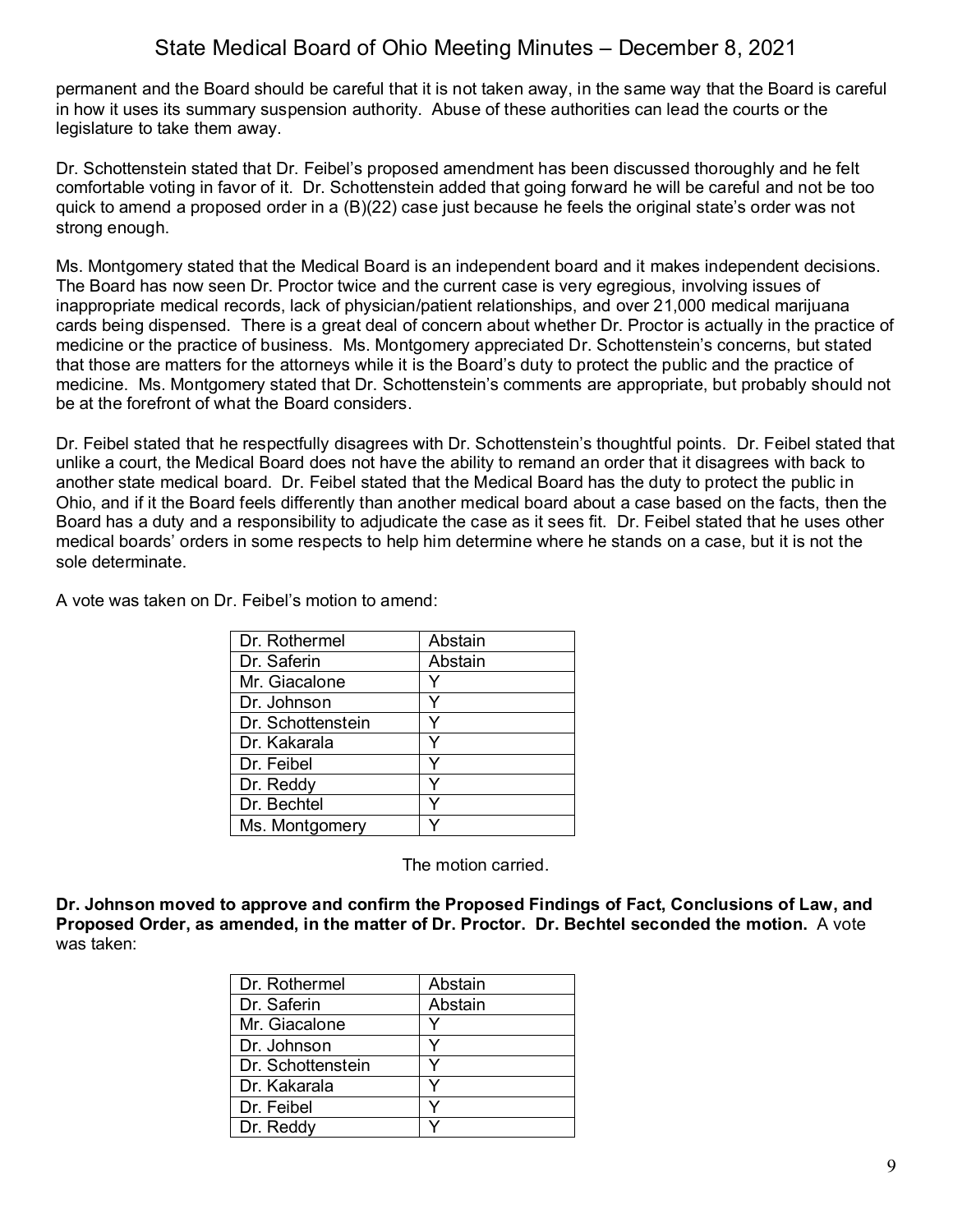permanent and the Board should be careful that it is not taken away, in the same way that the Board is careful in how it uses its summary suspension authority. Abuse of these authorities can lead the courts or the legislature to take them away.

Dr. Schottenstein stated that Dr. Feibel's proposed amendment has been discussed thoroughly and he felt comfortable voting in favor of it. Dr. Schottenstein added that going forward he will be careful and not be too quick to amend a proposed order in a (B)(22) case just because he feels the original state's order was not strong enough.

Ms. Montgomery stated that the Medical Board is an independent board and it makes independent decisions. The Board has now seen Dr. Proctor twice and the current case is very egregious, involving issues of inappropriate medical records, lack of physician/patient relationships, and over 21,000 medical marijuana cards being dispensed. There is a great deal of concern about whether Dr. Proctor is actually in the practice of medicine or the practice of business. Ms. Montgomery appreciated Dr. Schottenstein's concerns, but stated that those are matters for the attorneys while it is the Board's duty to protect the public and the practice of medicine. Ms. Montgomery stated that Dr. Schottenstein's comments are appropriate, but probably should not be at the forefront of what the Board considers.

Dr. Feibel stated that he respectfully disagrees with Dr. Schottenstein's thoughtful points. Dr. Feibel stated that unlike a court, the Medical Board does not have the ability to remand an order that it disagrees with back to another state medical board. Dr. Feibel stated that the Medical Board has the duty to protect the public in Ohio, and if it the Board feels differently than another medical board about a case based on the facts, then the Board has a duty and a responsibility to adjudicate the case as it sees fit. Dr. Feibel stated that he uses other medical boards' orders in some respects to help him determine where he stands on a case, but it is not the sole determinate.

A vote was taken on Dr. Feibel's motion to amend:

| Dr. Rothermel     | Abstain |
|-------------------|---------|
| Dr. Saferin       | Abstain |
| Mr. Giacalone     |         |
| Dr. Johnson       |         |
| Dr. Schottenstein |         |
| Dr. Kakarala      |         |
| Dr. Feibel        |         |
| Dr. Reddy         |         |
| Dr. Bechtel       |         |
| Ms. Montgomery    |         |

The motion carried.

**Dr. Johnson moved to approve and confirm the Proposed Findings of Fact, Conclusions of Law, and Proposed Order, as amended, in the matter of Dr. Proctor. Dr. Bechtel seconded the motion.** A vote was taken:

| Dr. Rothermel     | Abstain |
|-------------------|---------|
| Dr. Saferin       | Abstain |
| Mr. Giacalone     | v       |
| Dr. Johnson       | v       |
| Dr. Schottenstein |         |
| Dr. Kakarala      | v       |
| Dr. Feibel        |         |
| Dr. Reddy         |         |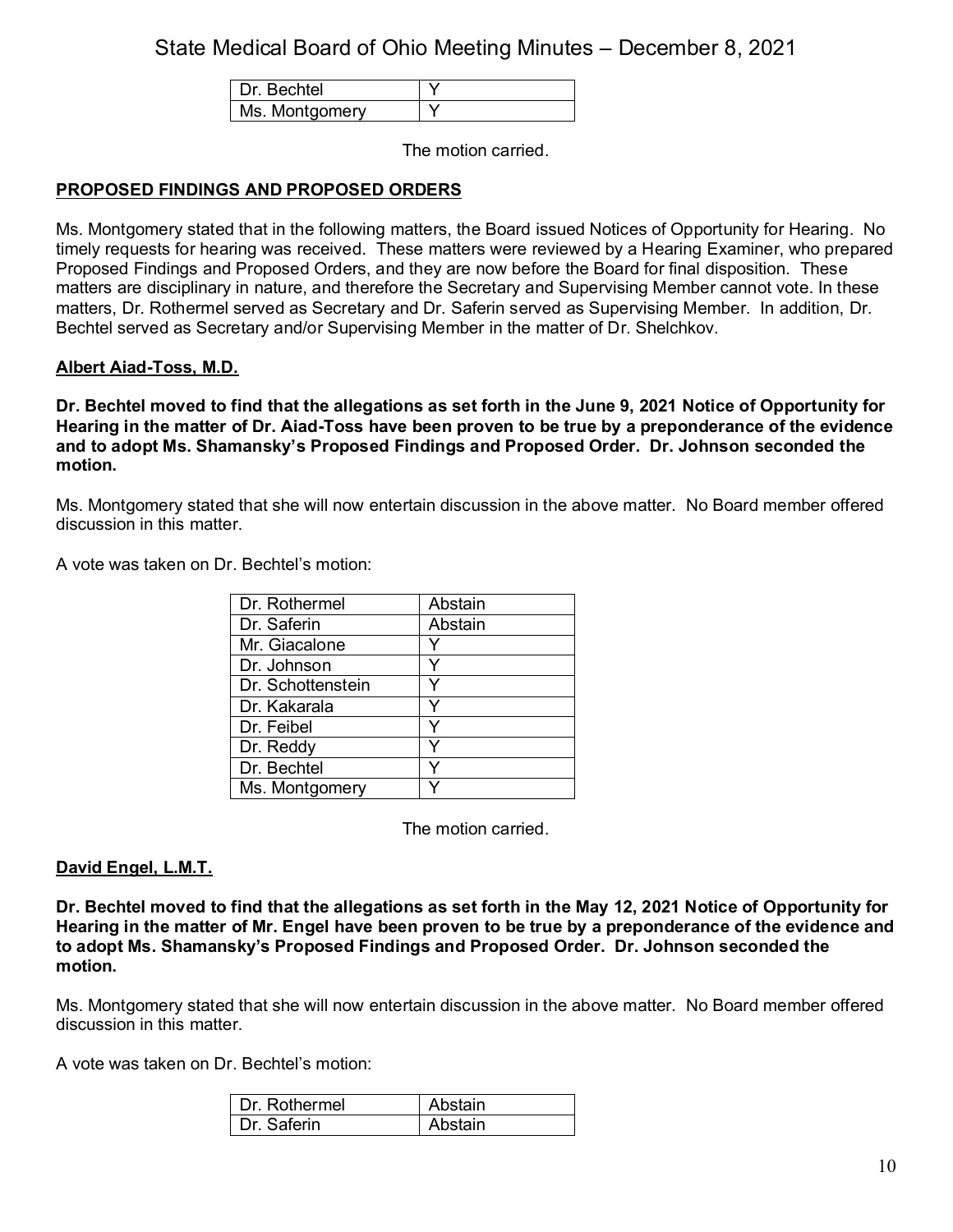| echtel         |  |
|----------------|--|
| Ms. Montgomery |  |

The motion carried.

## **PROPOSED FINDINGS AND PROPOSED ORDERS**

Ms. Montgomery stated that in the following matters, the Board issued Notices of Opportunity for Hearing. No timely requests for hearing was received. These matters were reviewed by a Hearing Examiner, who prepared Proposed Findings and Proposed Orders, and they are now before the Board for final disposition. These matters are disciplinary in nature, and therefore the Secretary and Supervising Member cannot vote. In these matters, Dr. Rothermel served as Secretary and Dr. Saferin served as Supervising Member. In addition, Dr. Bechtel served as Secretary and/or Supervising Member in the matter of Dr. Shelchkov.

### **Albert Aiad-Toss, M.D.**

**Dr. Bechtel moved to find that the allegations as set forth in the June 9, 2021 Notice of Opportunity for Hearing in the matter of Dr. Aiad-Toss have been proven to be true by a preponderance of the evidence and to adopt Ms. Shamansky's Proposed Findings and Proposed Order. Dr. Johnson seconded the motion.**

Ms. Montgomery stated that she will now entertain discussion in the above matter. No Board member offered discussion in this matter.

A vote was taken on Dr. Bechtel's motion:

| Dr. Rothermel     | Abstain |
|-------------------|---------|
| Dr. Saferin       | Abstain |
| Mr. Giacalone     |         |
| Dr. Johnson       |         |
| Dr. Schottenstein |         |
| Dr. Kakarala      | v       |
| Dr. Feibel        |         |
| Dr. Reddy         |         |
| Dr. Bechtel       |         |
| Ms. Montgomery    |         |

The motion carried.

### **David Engel, L.M.T.**

**Dr. Bechtel moved to find that the allegations as set forth in the May 12, 2021 Notice of Opportunity for Hearing in the matter of Mr. Engel have been proven to be true by a preponderance of the evidence and to adopt Ms. Shamansky's Proposed Findings and Proposed Order. Dr. Johnson seconded the motion.**

Ms. Montgomery stated that she will now entertain discussion in the above matter. No Board member offered discussion in this matter.

A vote was taken on Dr. Bechtel's motion:

| Dr. Rothermel | Abstain |
|---------------|---------|
| Dr Saferin    | Abstain |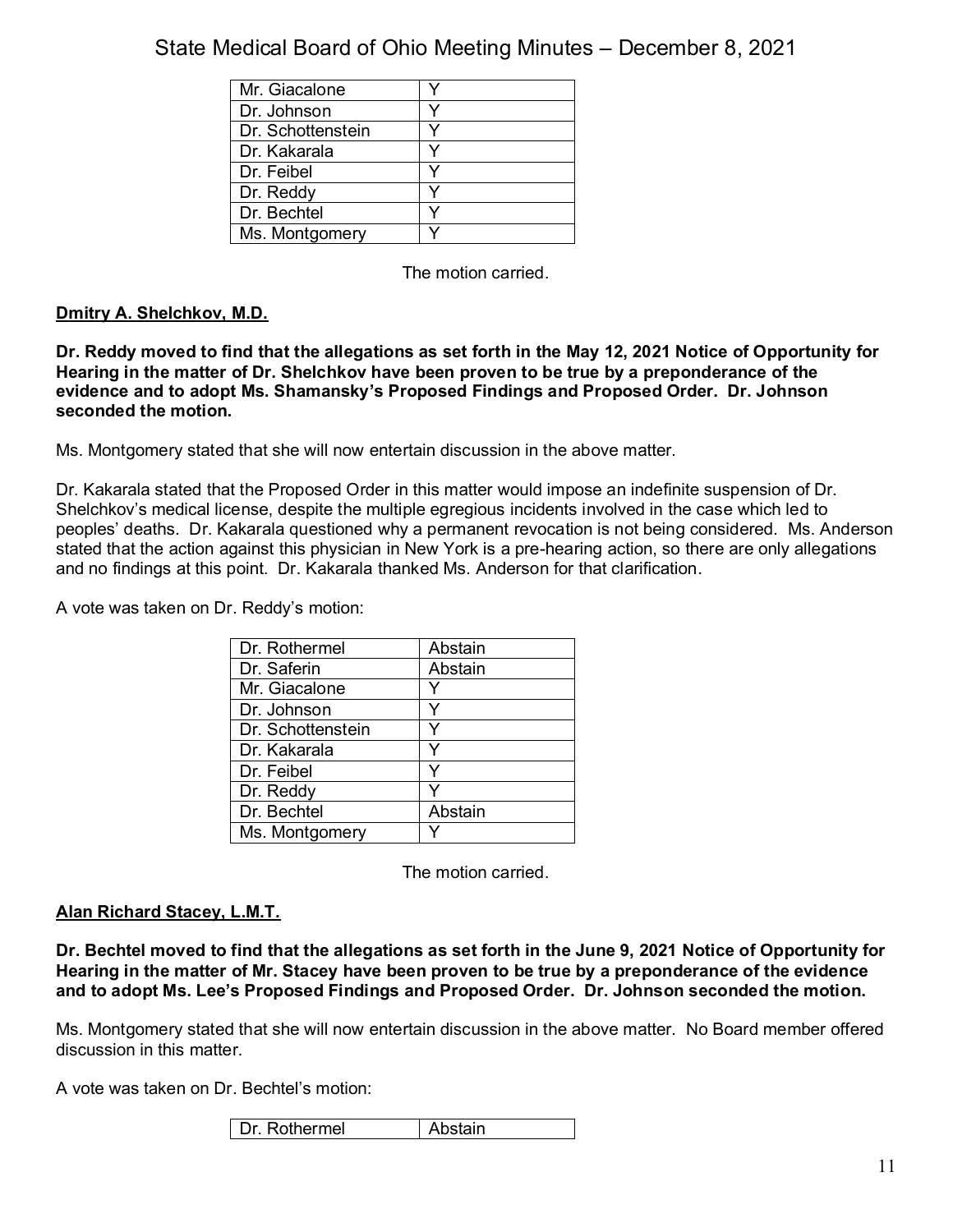| Mr. Giacalone     |  |
|-------------------|--|
| Dr. Johnson       |  |
| Dr. Schottenstein |  |
| Dr. Kakarala      |  |
| Dr. Feibel        |  |
| Dr. Reddy         |  |
| Dr. Bechtel       |  |
| Ms. Montgomery    |  |

The motion carried.

## **Dmitry A. Shelchkov, M.D.**

**Dr. Reddy moved to find that the allegations as set forth in the May 12, 2021 Notice of Opportunity for Hearing in the matter of Dr. Shelchkov have been proven to be true by a preponderance of the evidence and to adopt Ms. Shamansky's Proposed Findings and Proposed Order. Dr. Johnson seconded the motion.**

Ms. Montgomery stated that she will now entertain discussion in the above matter.

Dr. Kakarala stated that the Proposed Order in this matter would impose an indefinite suspension of Dr. Shelchkov's medical license, despite the multiple egregious incidents involved in the case which led to peoples' deaths. Dr. Kakarala questioned why a permanent revocation is not being considered. Ms. Anderson stated that the action against this physician in New York is a pre-hearing action, so there are only allegations and no findings at this point. Dr. Kakarala thanked Ms. Anderson for that clarification.

A vote was taken on Dr. Reddy's motion:

| Dr. Rothermel     | Abstain |
|-------------------|---------|
| Dr. Saferin       | Abstain |
| Mr. Giacalone     |         |
| Dr. Johnson       |         |
| Dr. Schottenstein |         |
| Dr. Kakarala      | v       |
| Dr. Feibel        | v       |
| Dr. Reddy         |         |
| Dr. Bechtel       | Abstain |
| Ms. Montgomery    |         |

The motion carried.

### **Alan Richard Stacey, L.M.T.**

**Dr. Bechtel moved to find that the allegations as set forth in the June 9, 2021 Notice of Opportunity for Hearing in the matter of Mr. Stacey have been proven to be true by a preponderance of the evidence and to adopt Ms. Lee's Proposed Findings and Proposed Order. Dr. Johnson seconded the motion.**

Ms. Montgomery stated that she will now entertain discussion in the above matter. No Board member offered discussion in this matter.

A vote was taken on Dr. Bechtel's motion: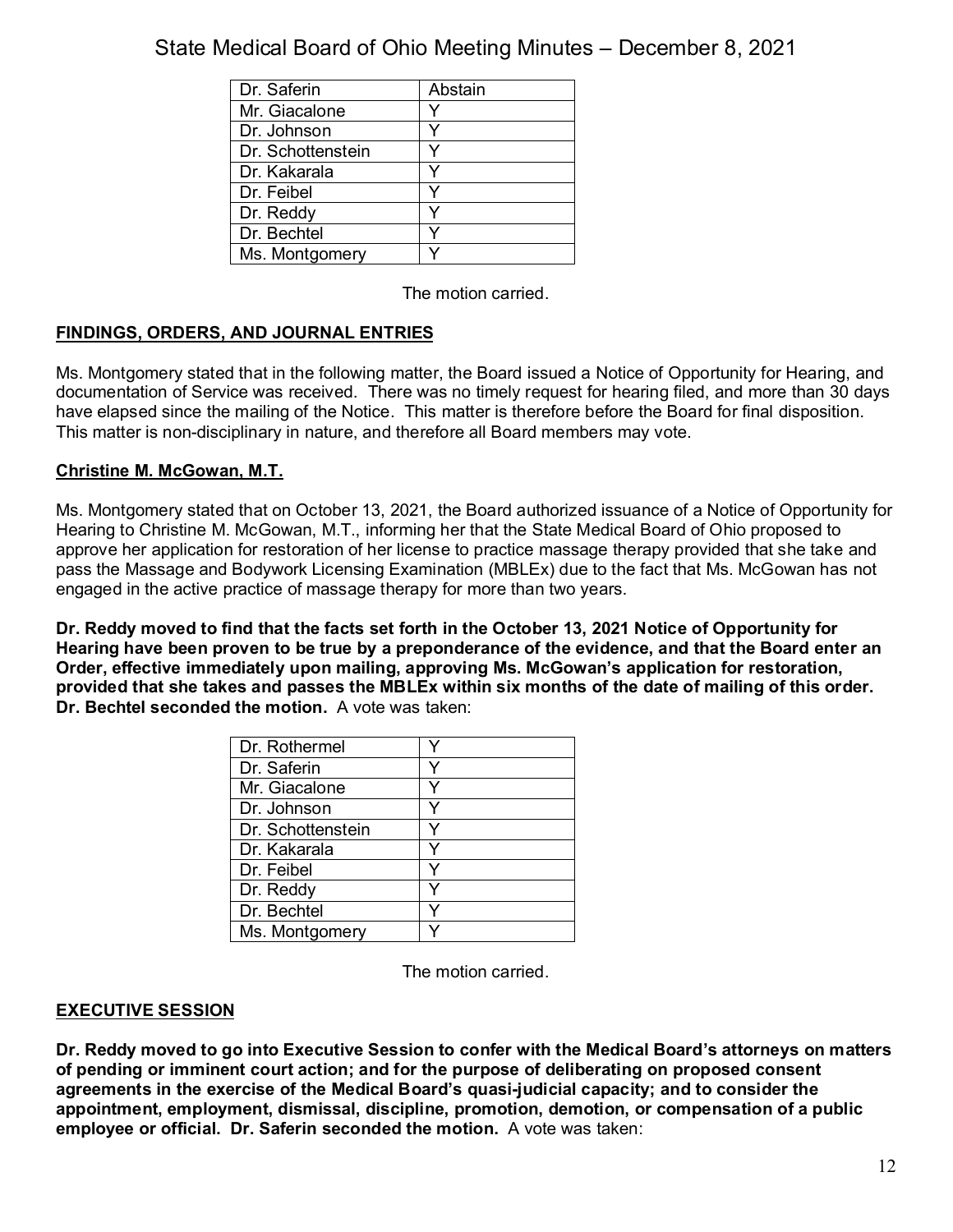| Dr. Saferin       | Abstain |
|-------------------|---------|
| Mr. Giacalone     |         |
| Dr. Johnson       |         |
| Dr. Schottenstein |         |
| Dr. Kakarala      |         |
| Dr. Feibel        |         |
| Dr. Reddy         |         |
| Dr. Bechtel       |         |
| Ms. Montgomery    |         |

The motion carried.

## **FINDINGS, ORDERS, AND JOURNAL ENTRIES**

Ms. Montgomery stated that in the following matter, the Board issued a Notice of Opportunity for Hearing, and documentation of Service was received. There was no timely request for hearing filed, and more than 30 days have elapsed since the mailing of the Notice. This matter is therefore before the Board for final disposition. This matter is non-disciplinary in nature, and therefore all Board members may vote.

## **Christine M. McGowan, M.T.**

Ms. Montgomery stated that on October 13, 2021, the Board authorized issuance of a Notice of Opportunity for Hearing to Christine M. McGowan, M.T., informing her that the State Medical Board of Ohio proposed to approve her application for restoration of her license to practice massage therapy provided that she take and pass the Massage and Bodywork Licensing Examination (MBLEx) due to the fact that Ms. McGowan has not engaged in the active practice of massage therapy for more than two years.

**Dr. Reddy moved to find that the facts set forth in the October 13, 2021 Notice of Opportunity for Hearing have been proven to be true by a preponderance of the evidence, and that the Board enter an Order, effective immediately upon mailing, approving Ms. McGowan's application for restoration, provided that she takes and passes the MBLEx within six months of the date of mailing of this order. Dr. Bechtel seconded the motion.** A vote was taken:

| Dr. Rothermel     |  |
|-------------------|--|
| Dr. Saferin       |  |
| Mr. Giacalone     |  |
| Dr. Johnson       |  |
| Dr. Schottenstein |  |
| Dr. Kakarala      |  |
| Dr. Feibel        |  |
| Dr. Reddy         |  |
| Dr. Bechtel       |  |
| Ms. Montgomery    |  |

The motion carried.

### **EXECUTIVE SESSION**

**Dr. Reddy moved to go into Executive Session to confer with the Medical Board's attorneys on matters of pending or imminent court action; and for the purpose of deliberating on proposed consent agreements in the exercise of the Medical Board's quasi-judicial capacity; and to consider the appointment, employment, dismissal, discipline, promotion, demotion, or compensation of a public employee or official. Dr. Saferin seconded the motion.** A vote was taken: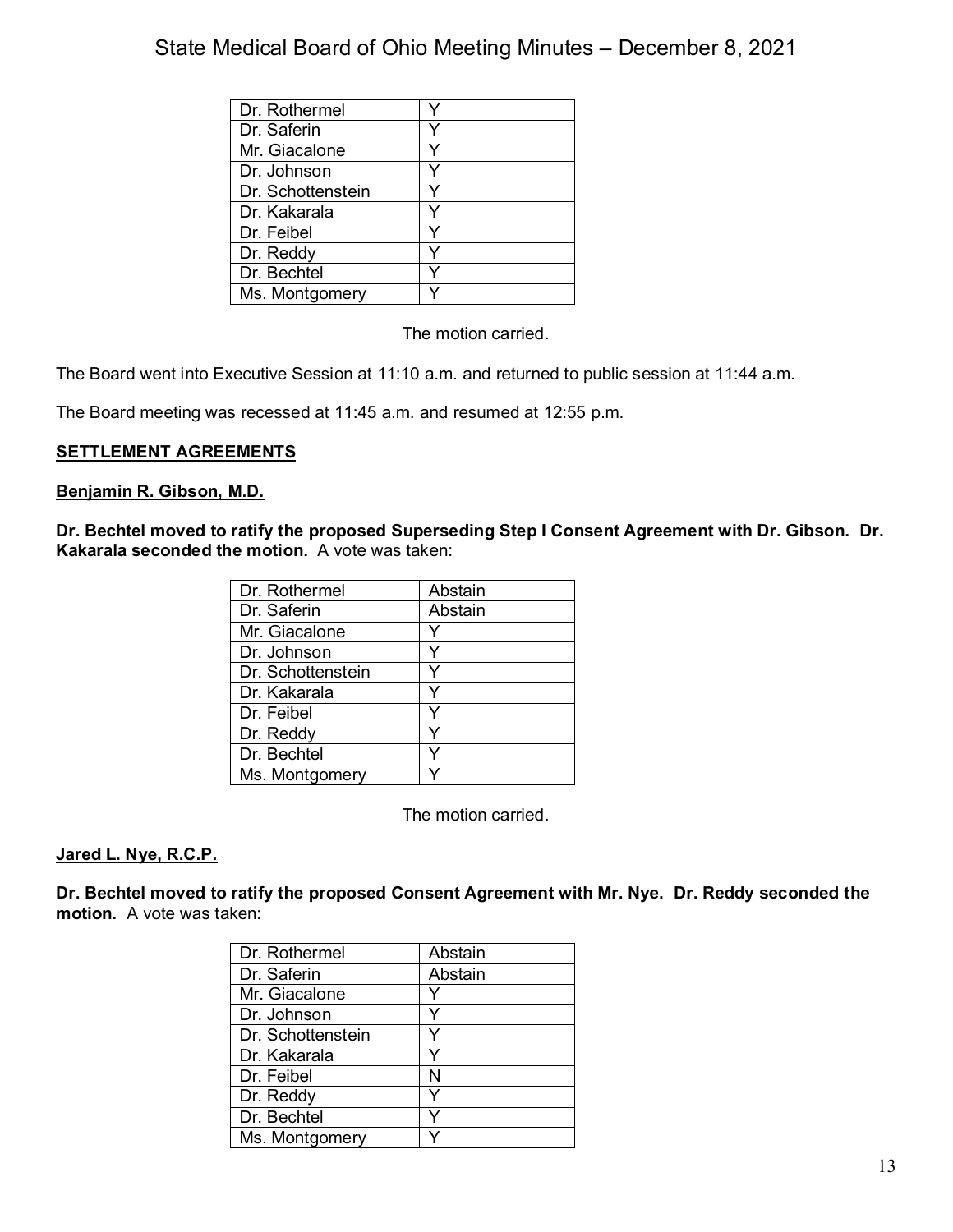| Dr. Rothermel     |  |
|-------------------|--|
| Dr. Saferin       |  |
| Mr. Giacalone     |  |
| Dr. Johnson       |  |
| Dr. Schottenstein |  |
| Dr. Kakarala      |  |
| Dr. Feibel        |  |
| Dr. Reddy         |  |
| Dr. Bechtel       |  |
| Ms. Montgomery    |  |

The motion carried.

The Board went into Executive Session at 11:10 a.m. and returned to public session at 11:44 a.m.

The Board meeting was recessed at 11:45 a.m. and resumed at 12:55 p.m.

## **SETTLEMENT AGREEMENTS**

### **Benjamin R. Gibson, M.D.**

**Dr. Bechtel moved to ratify the proposed Superseding Step I Consent Agreement with Dr. Gibson. Dr. Kakarala seconded the motion.** A vote was taken:

| Dr. Rothermel     | Abstain |
|-------------------|---------|
| Dr. Saferin       | Abstain |
| Mr. Giacalone     | Y       |
| Dr. Johnson       |         |
| Dr. Schottenstein | Y       |
| Dr. Kakarala      | Y       |
| Dr. Feibel        |         |
| Dr. Reddy         | Y       |
| Dr. Bechtel       |         |
| Ms. Montgomery    |         |

The motion carried.

### **Jared L. Nye, R.C.P.**

**Dr. Bechtel moved to ratify the proposed Consent Agreement with Mr. Nye. Dr. Reddy seconded the motion.** A vote was taken:

| Dr. Rothermel     | Abstain |
|-------------------|---------|
| Dr. Saferin       | Abstain |
| Mr. Giacalone     |         |
| Dr. Johnson       |         |
| Dr. Schottenstein |         |
| Dr. Kakarala      | v       |
| Dr. Feibel        | N       |
| Dr. Reddy         | ∨       |
| Dr. Bechtel       |         |
| Ms. Montgomery    |         |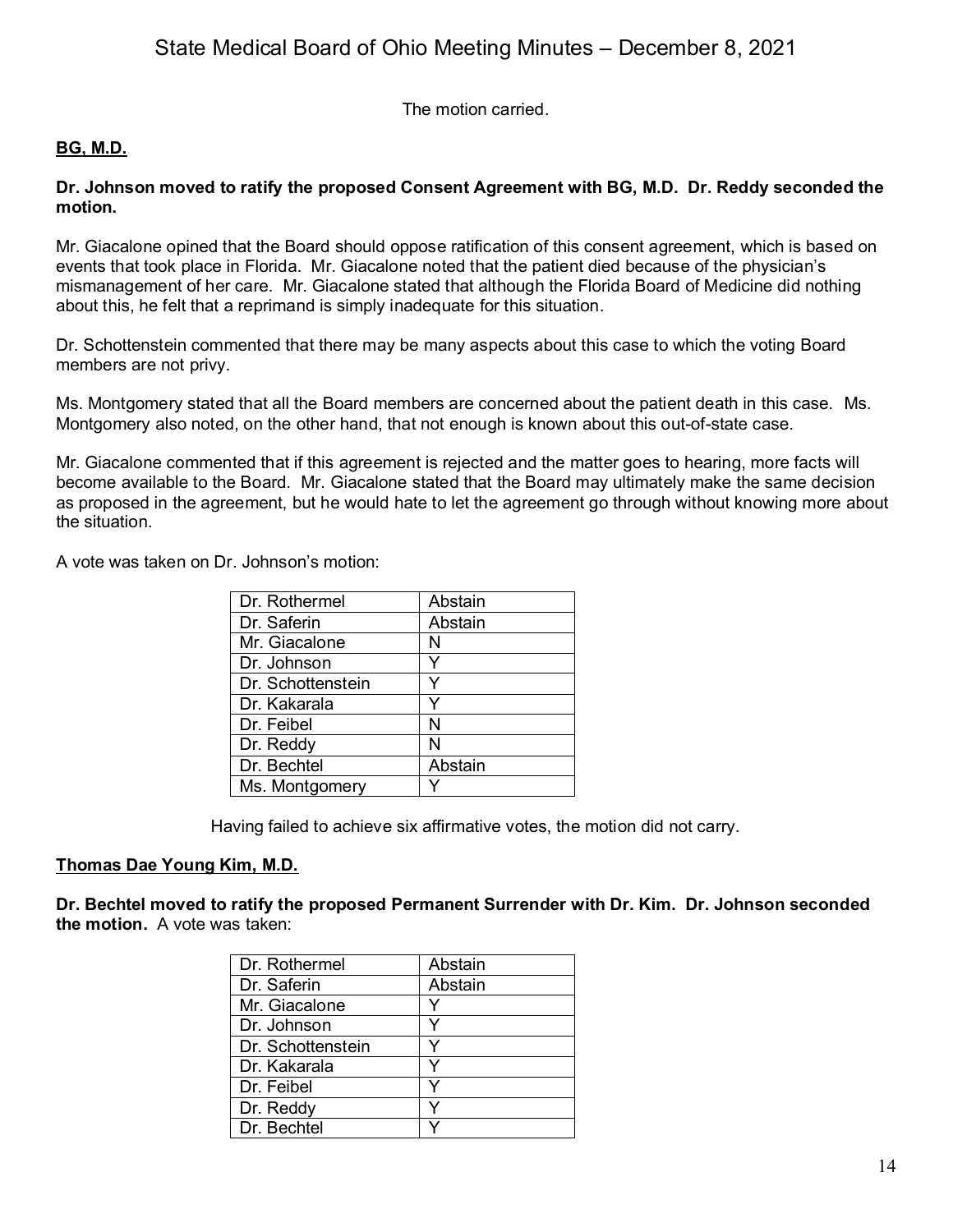The motion carried.

## **BG, M.D.**

### **Dr. Johnson moved to ratify the proposed Consent Agreement with BG, M.D. Dr. Reddy seconded the motion.**

Mr. Giacalone opined that the Board should oppose ratification of this consent agreement, which is based on events that took place in Florida. Mr. Giacalone noted that the patient died because of the physician's mismanagement of her care. Mr. Giacalone stated that although the Florida Board of Medicine did nothing about this, he felt that a reprimand is simply inadequate for this situation.

Dr. Schottenstein commented that there may be many aspects about this case to which the voting Board members are not privy.

Ms. Montgomery stated that all the Board members are concerned about the patient death in this case. Ms. Montgomery also noted, on the other hand, that not enough is known about this out-of-state case.

Mr. Giacalone commented that if this agreement is rejected and the matter goes to hearing, more facts will become available to the Board. Mr. Giacalone stated that the Board may ultimately make the same decision as proposed in the agreement, but he would hate to let the agreement go through without knowing more about the situation.

A vote was taken on Dr. Johnson's motion:

| Dr. Rothermel     | Abstain |
|-------------------|---------|
| Dr. Saferin       | Abstain |
| Mr. Giacalone     | N       |
| Dr. Johnson       |         |
| Dr. Schottenstein | v       |
| Dr. Kakarala      | V       |
| Dr. Feibel        | N       |
| Dr. Reddy         | N       |
| Dr. Bechtel       | Abstain |
| Ms. Montgomery    |         |

Having failed to achieve six affirmative votes, the motion did not carry.

### **Thomas Dae Young Kim, M.D.**

**Dr. Bechtel moved to ratify the proposed Permanent Surrender with Dr. Kim. Dr. Johnson seconded the motion.** A vote was taken:

| Dr. Rothermel     | Abstain |
|-------------------|---------|
| Dr. Saferin       | Abstain |
| Mr. Giacalone     |         |
| Dr. Johnson       |         |
| Dr. Schottenstein | v       |
| Dr. Kakarala      | v       |
| Dr. Feibel        |         |
| Dr. Reddy         |         |
| Dr. Bechtel       |         |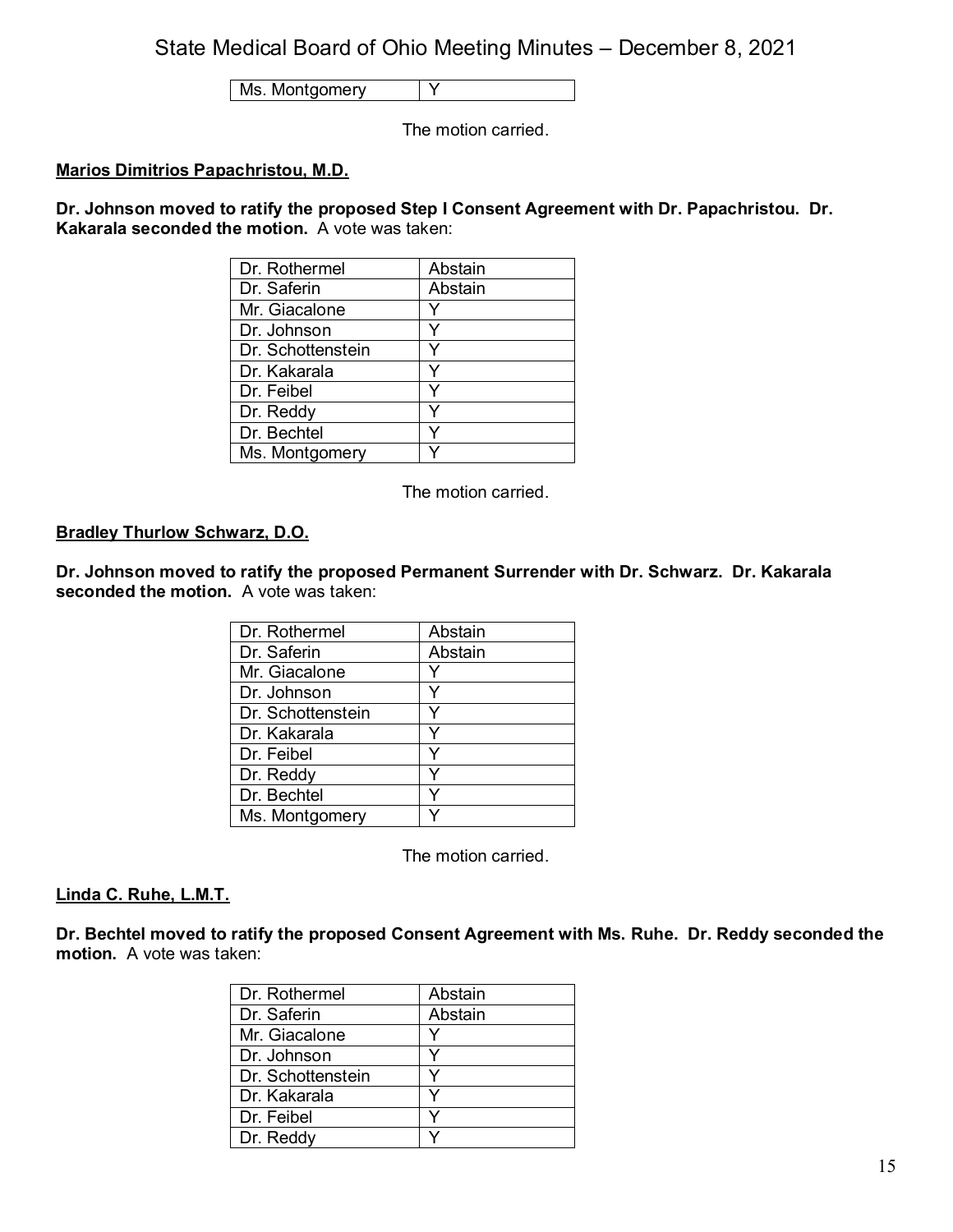Ms. Montgomery Y

The motion carried.

## **Marios Dimitrios Papachristou, M.D.**

**Dr. Johnson moved to ratify the proposed Step I Consent Agreement with Dr. Papachristou. Dr. Kakarala seconded the motion.** A vote was taken:

| Dr. Rothermel     | Abstain |
|-------------------|---------|
| Dr. Saferin       | Abstain |
| Mr. Giacalone     |         |
| Dr. Johnson       |         |
| Dr. Schottenstein | v       |
| Dr. Kakarala      | ٧       |
| Dr. Feibel        |         |
| Dr. Reddy         | v       |
| Dr. Bechtel       |         |
| Ms. Montgomery    |         |

The motion carried.

## **Bradley Thurlow Schwarz, D.O.**

**Dr. Johnson moved to ratify the proposed Permanent Surrender with Dr. Schwarz. Dr. Kakarala seconded the motion.** A vote was taken:

| Dr. Rothermel     | Abstain |
|-------------------|---------|
| Dr. Saferin       | Abstain |
| Mr. Giacalone     |         |
| Dr. Johnson       |         |
| Dr. Schottenstein |         |
| Dr. Kakarala      |         |
| Dr. Feibel        |         |
| Dr. Reddy         |         |
| Dr. Bechtel       |         |
| Ms. Montgomery    |         |

The motion carried.

#### **Linda C. Ruhe, L.M.T.**

**Dr. Bechtel moved to ratify the proposed Consent Agreement with Ms. Ruhe. Dr. Reddy seconded the motion.** A vote was taken:

| Dr. Rothermel     | Abstain |
|-------------------|---------|
| Dr. Saferin       | Abstain |
| Mr. Giacalone     | v       |
| Dr. Johnson       |         |
| Dr. Schottenstein |         |
| Dr. Kakarala      |         |
| Dr. Feibel        |         |
| Dr. Reddy         |         |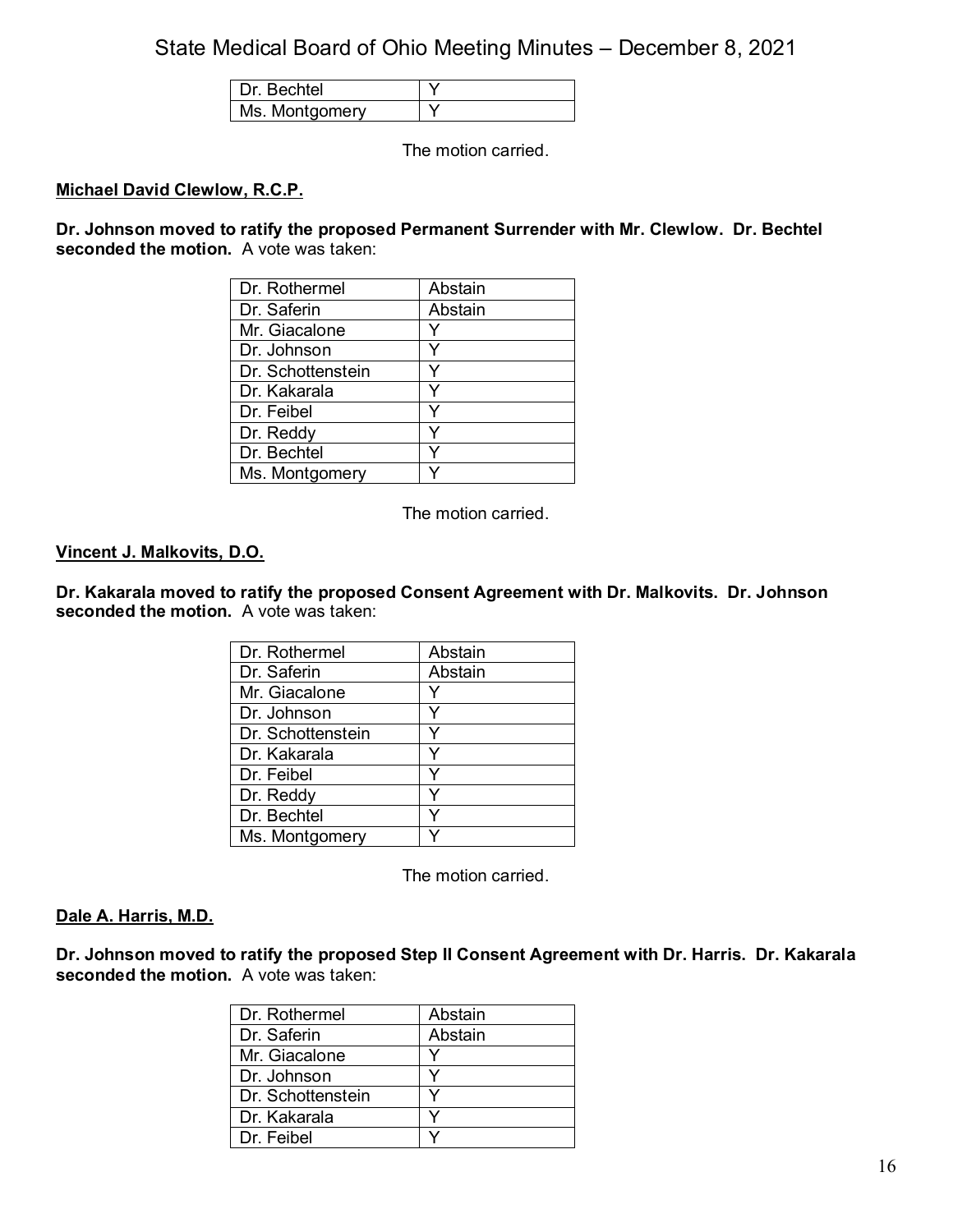| اAtr           |  |
|----------------|--|
| Ms. Montgomery |  |

The motion carried.

### **Michael David Clewlow, R.C.P.**

**Dr. Johnson moved to ratify the proposed Permanent Surrender with Mr. Clewlow. Dr. Bechtel seconded the motion.** A vote was taken:

| Dr. Rothermel     | Abstain |
|-------------------|---------|
| Dr. Saferin       | Abstain |
| Mr. Giacalone     | Y       |
| Dr. Johnson       |         |
| Dr. Schottenstein |         |
| Dr. Kakarala      | Y       |
| Dr. Feibel        |         |
| Dr. Reddy         |         |
| Dr. Bechtel       |         |
| Ms. Montgomery    |         |

The motion carried.

#### **Vincent J. Malkovits, D.O.**

**Dr. Kakarala moved to ratify the proposed Consent Agreement with Dr. Malkovits. Dr. Johnson seconded the motion.** A vote was taken:

| Dr. Rothermel     | Abstain |
|-------------------|---------|
| Dr. Saferin       | Abstain |
| Mr. Giacalone     |         |
| Dr. Johnson       |         |
| Dr. Schottenstein | v       |
| Dr. Kakarala      | ٧       |
| Dr. Feibel        |         |
| Dr. Reddy         | v       |
| Dr. Bechtel       | v       |
| Ms. Montgomery    |         |

The motion carried.

#### **Dale A. Harris, M.D.**

**Dr. Johnson moved to ratify the proposed Step II Consent Agreement with Dr. Harris. Dr. Kakarala seconded the motion.** A vote was taken:

| Dr. Rothermel     | Abstain |
|-------------------|---------|
| Dr. Saferin       | Abstain |
| Mr. Giacalone     |         |
| Dr. Johnson       |         |
| Dr. Schottenstein |         |
| Dr. Kakarala      |         |
| Dr. Feibel        |         |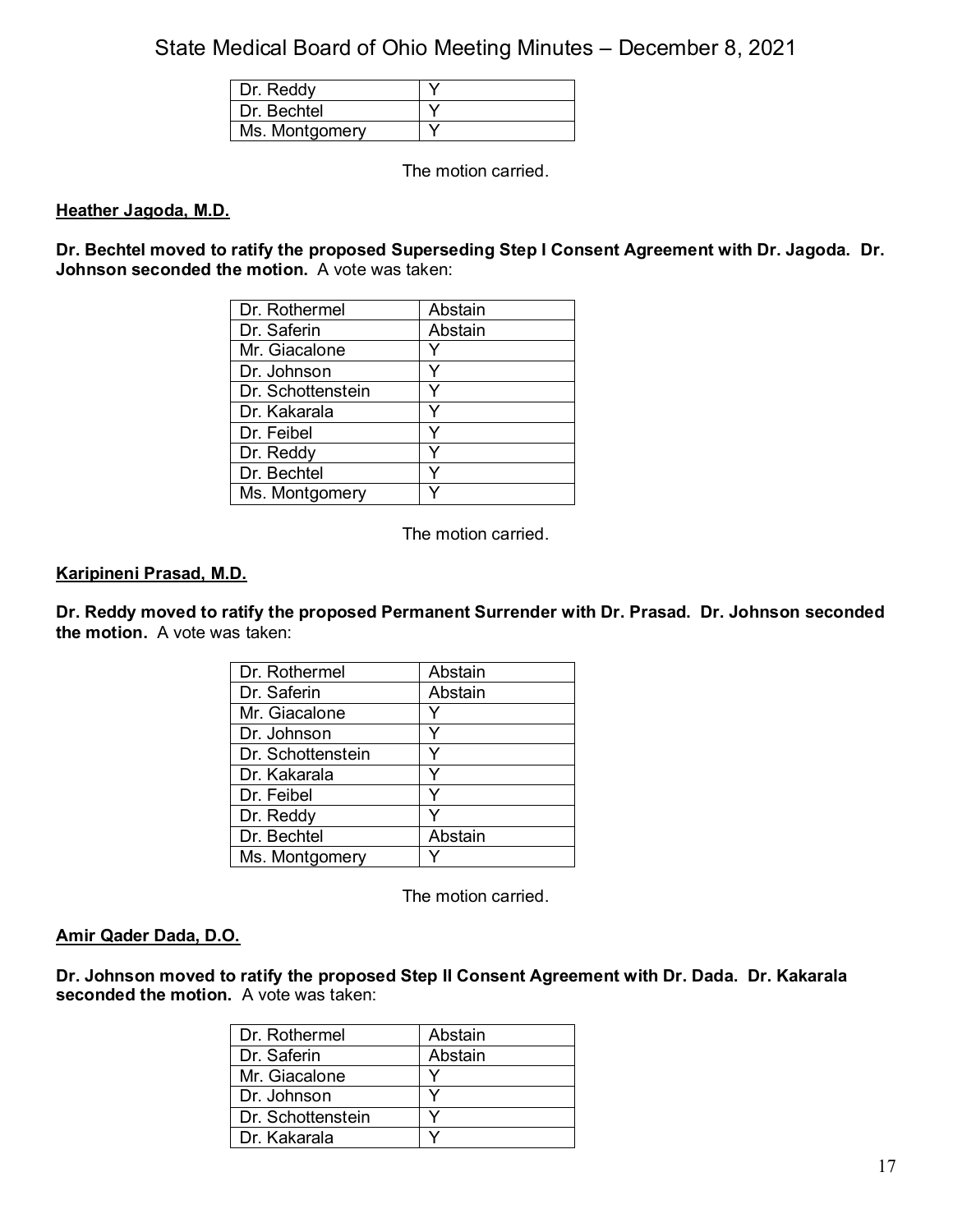| Dr. Reddy      |  |
|----------------|--|
| Dr. Bechtel    |  |
| Ms. Montgomery |  |

The motion carried.

### **Heather Jagoda, M.D.**

**Dr. Bechtel moved to ratify the proposed Superseding Step I Consent Agreement with Dr. Jagoda. Dr. Johnson seconded the motion.** A vote was taken:

| Dr. Rothermel     | Abstain |
|-------------------|---------|
| Dr. Saferin       | Abstain |
| Mr. Giacalone     | Y       |
| Dr. Johnson       | Y       |
| Dr. Schottenstein |         |
| Dr. Kakarala      | v       |
| Dr. Feibel        | ٧       |
| Dr. Reddy         | v       |
| Dr. Bechtel       |         |
| Ms. Montgomery    |         |

The motion carried.

### **Karipineni Prasad, M.D.**

**Dr. Reddy moved to ratify the proposed Permanent Surrender with Dr. Prasad. Dr. Johnson seconded the motion.** A vote was taken:

| Dr. Rothermel     | Abstain |
|-------------------|---------|
| Dr. Saferin       | Abstain |
| Mr. Giacalone     |         |
| Dr. Johnson       |         |
| Dr. Schottenstein |         |
| Dr. Kakarala      | ∨       |
| Dr. Feibel        |         |
| Dr. Reddy         |         |
| Dr. Bechtel       | Abstain |
| Ms. Montgomery    |         |

The motion carried.

#### **Amir Qader Dada, D.O.**

**Dr. Johnson moved to ratify the proposed Step II Consent Agreement with Dr. Dada. Dr. Kakarala seconded the motion.** A vote was taken:

| Dr. Rothermel     | Abstain |
|-------------------|---------|
| Dr. Saferin       | Abstain |
| Mr. Giacalone     |         |
| Dr. Johnson       |         |
| Dr. Schottenstein |         |
| Dr. Kakarala      |         |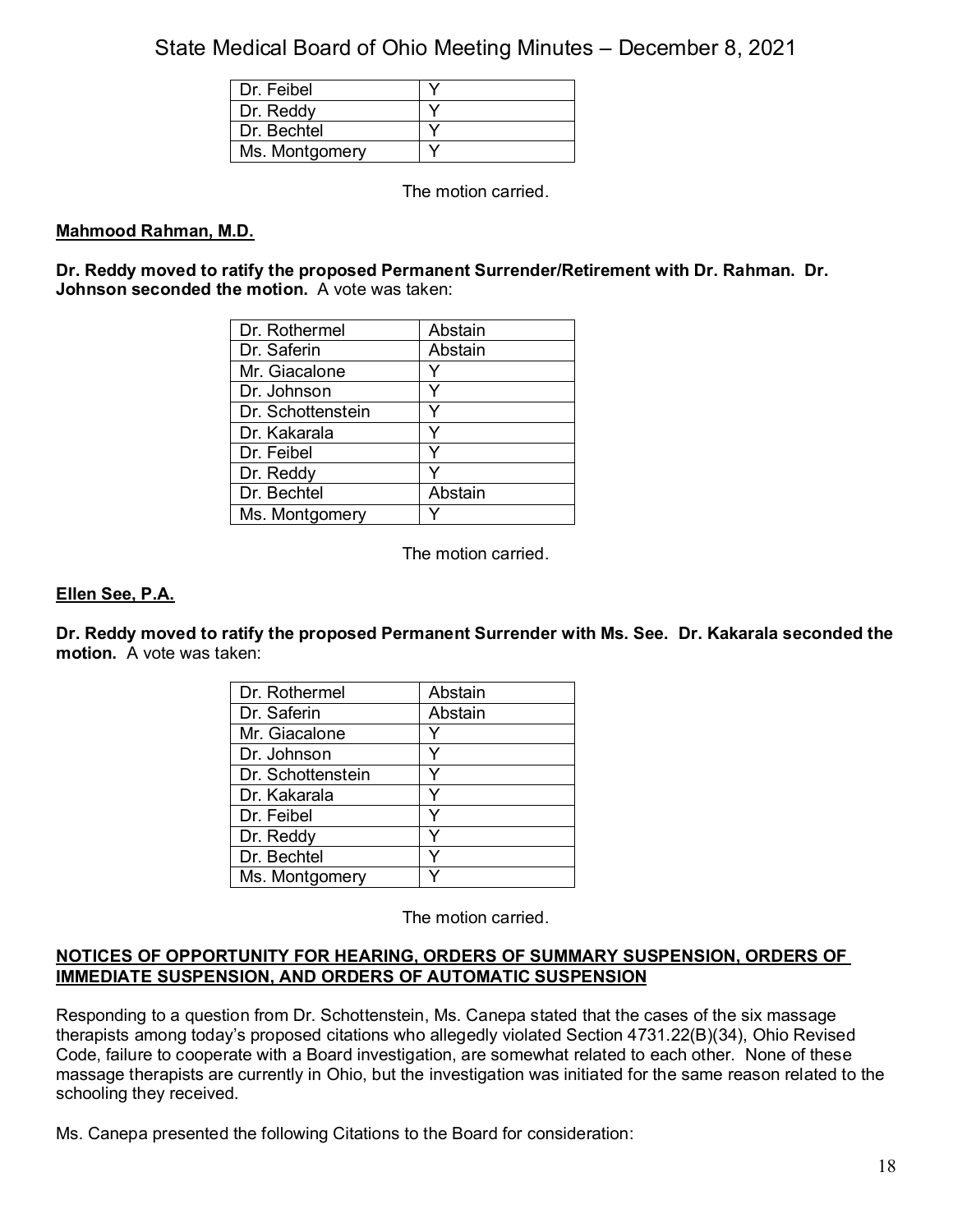| Dr. Feibel     |  |
|----------------|--|
| Dr. Reddy      |  |
| Dr. Bechtel    |  |
| Ms. Montgomery |  |

The motion carried.

## **Mahmood Rahman, M.D.**

**Dr. Reddy moved to ratify the proposed Permanent Surrender/Retirement with Dr. Rahman. Dr. Johnson seconded the motion.** A vote was taken:

| Dr. Rothermel     | Abstain |
|-------------------|---------|
| Dr. Saferin       | Abstain |
| Mr. Giacalone     |         |
| Dr. Johnson       |         |
| Dr. Schottenstein |         |
| Dr. Kakarala      | Y       |
| Dr. Feibel        | ٧       |
| Dr. Reddy         |         |
| Dr. Bechtel       | Abstain |
| Ms. Montgomery    |         |

The motion carried.

## **Ellen See, P.A.**

**Dr. Reddy moved to ratify the proposed Permanent Surrender with Ms. See. Dr. Kakarala seconded the motion.** A vote was taken:

| Dr. Rothermel     | Abstain |
|-------------------|---------|
| Dr. Saferin       | Abstain |
| Mr. Giacalone     |         |
| Dr. Johnson       |         |
| Dr. Schottenstein | v       |
| Dr. Kakarala      |         |
| Dr. Feibel        |         |
| Dr. Reddy         |         |
| Dr. Bechtel       |         |
| Ms. Montgomery    |         |

The motion carried.

### **NOTICES OF OPPORTUNITY FOR HEARING, ORDERS OF SUMMARY SUSPENSION, ORDERS OF IMMEDIATE SUSPENSION, AND ORDERS OF AUTOMATIC SUSPENSION**

Responding to a question from Dr. Schottenstein, Ms. Canepa stated that the cases of the six massage therapists among today's proposed citations who allegedly violated Section 4731.22(B)(34), Ohio Revised Code, failure to cooperate with a Board investigation, are somewhat related to each other. None of these massage therapists are currently in Ohio, but the investigation was initiated for the same reason related to the schooling they received.

Ms. Canepa presented the following Citations to the Board for consideration: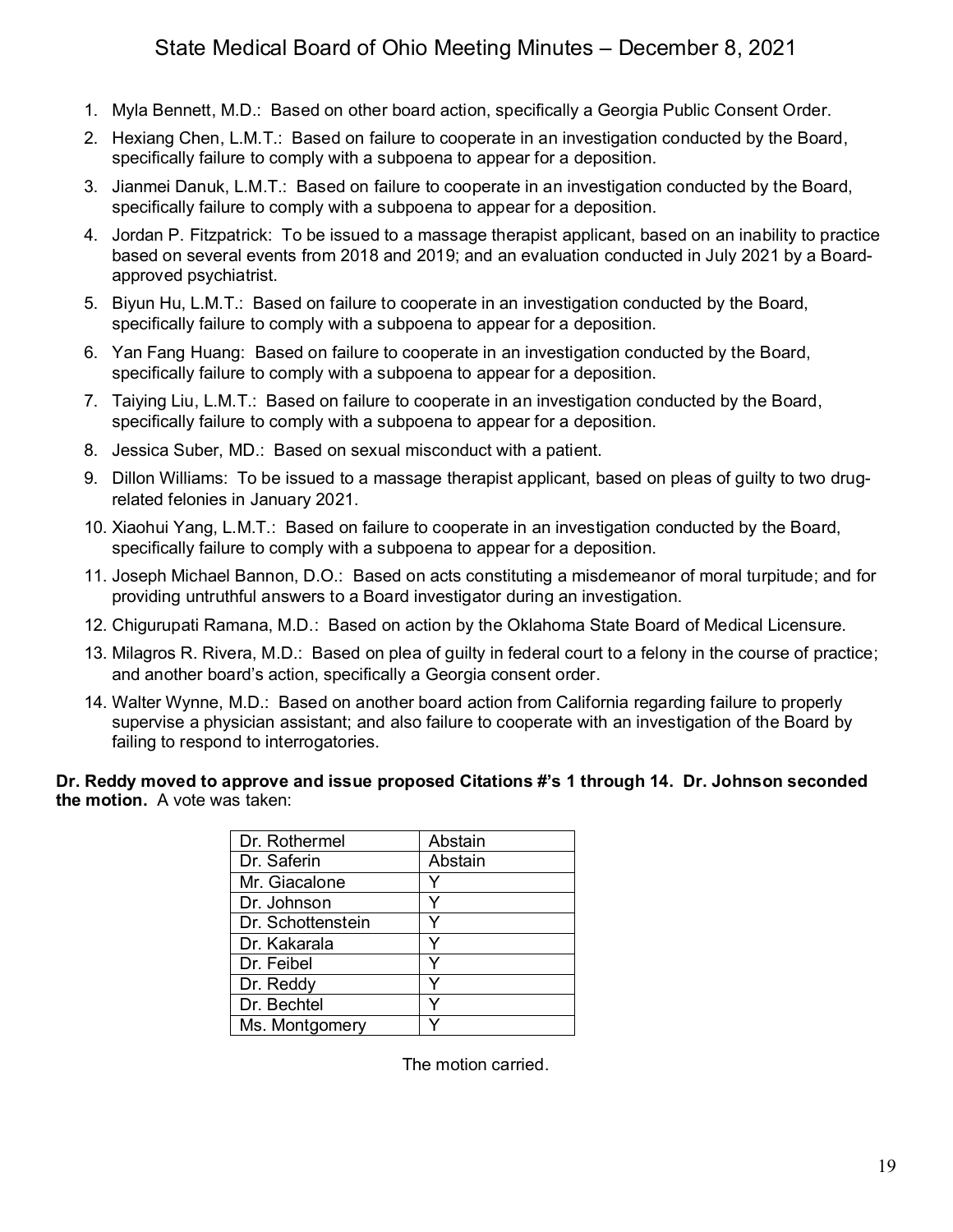- 1. Myla Bennett, M.D.: Based on other board action, specifically a Georgia Public Consent Order.
- 2. Hexiang Chen, L.M.T.: Based on failure to cooperate in an investigation conducted by the Board, specifically failure to comply with a subpoena to appear for a deposition.
- 3. Jianmei Danuk, L.M.T.: Based on failure to cooperate in an investigation conducted by the Board, specifically failure to comply with a subpoena to appear for a deposition.
- 4. Jordan P. Fitzpatrick: To be issued to a massage therapist applicant, based on an inability to practice based on several events from 2018 and 2019; and an evaluation conducted in July 2021 by a Boardapproved psychiatrist.
- 5. Biyun Hu, L.M.T.: Based on failure to cooperate in an investigation conducted by the Board, specifically failure to comply with a subpoena to appear for a deposition.
- 6. Yan Fang Huang: Based on failure to cooperate in an investigation conducted by the Board, specifically failure to comply with a subpoena to appear for a deposition.
- 7. Taiying Liu, L.M.T.: Based on failure to cooperate in an investigation conducted by the Board, specifically failure to comply with a subpoena to appear for a deposition.
- 8. Jessica Suber, MD.: Based on sexual misconduct with a patient.
- 9. Dillon Williams: To be issued to a massage therapist applicant, based on pleas of guilty to two drugrelated felonies in January 2021.
- 10. Xiaohui Yang, L.M.T.: Based on failure to cooperate in an investigation conducted by the Board, specifically failure to comply with a subpoena to appear for a deposition.
- 11. Joseph Michael Bannon, D.O.: Based on acts constituting a misdemeanor of moral turpitude; and for providing untruthful answers to a Board investigator during an investigation.
- 12. Chigurupati Ramana, M.D.: Based on action by the Oklahoma State Board of Medical Licensure.
- 13. Milagros R. Rivera, M.D.: Based on plea of guilty in federal court to a felony in the course of practice; and another board's action, specifically a Georgia consent order.
- 14. Walter Wynne, M.D.: Based on another board action from California regarding failure to properly supervise a physician assistant; and also failure to cooperate with an investigation of the Board by failing to respond to interrogatories.

### **Dr. Reddy moved to approve and issue proposed Citations #'s 1 through 14. Dr. Johnson seconded the motion.** A vote was taken:

| Dr. Rothermel     | Abstain |
|-------------------|---------|
| Dr. Saferin       | Abstain |
| Mr. Giacalone     |         |
| Dr. Johnson       |         |
| Dr. Schottenstein |         |
| Dr. Kakarala      |         |
| Dr. Feibel        |         |
| Dr. Reddy         |         |
| Dr. Bechtel       |         |
| Ms. Montgomery    |         |

The motion carried.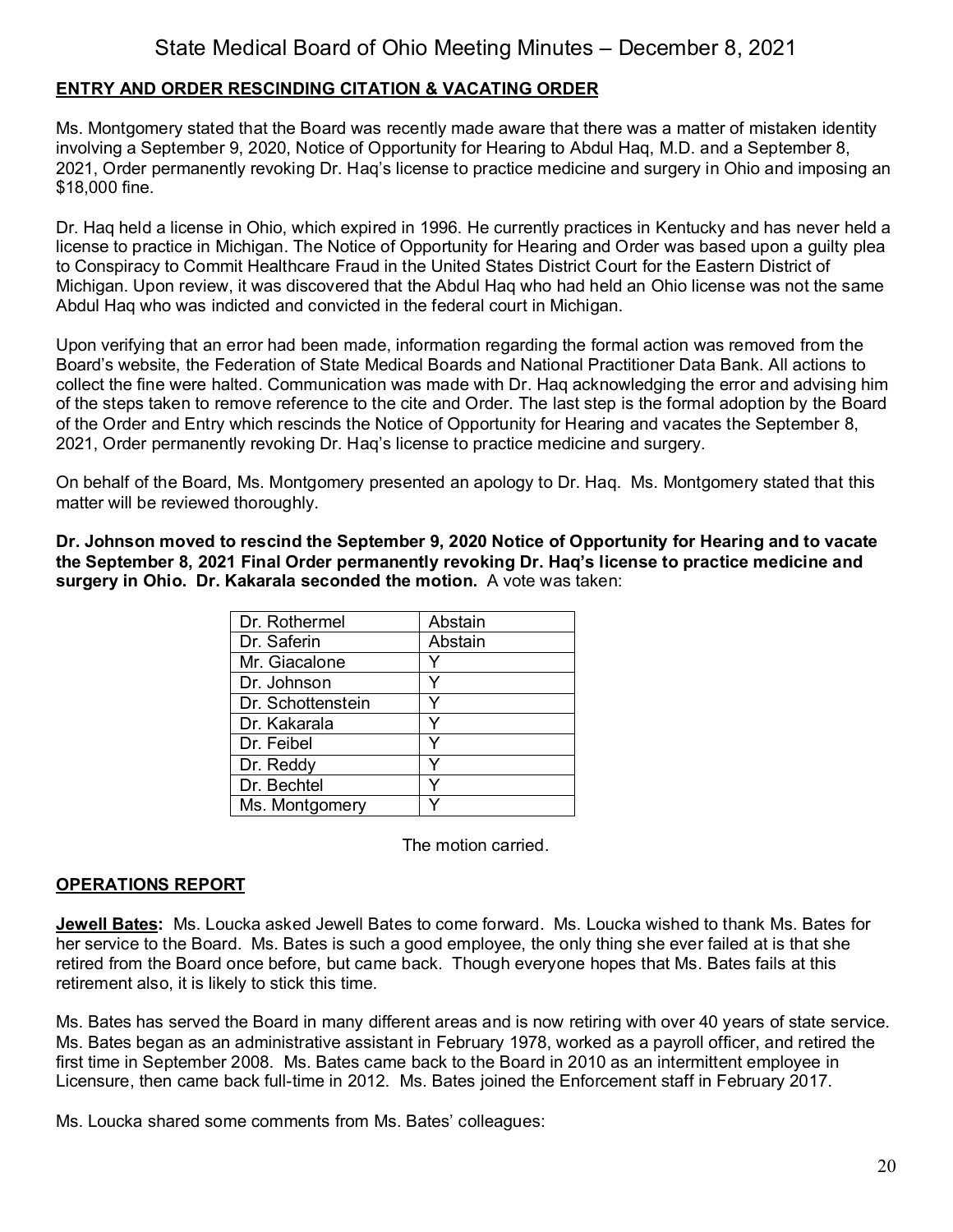## **ENTRY AND ORDER RESCINDING CITATION & VACATING ORDER**

Ms. Montgomery stated that the Board was recently made aware that there was a matter of mistaken identity involving a September 9, 2020, Notice of Opportunity for Hearing to Abdul Haq, M.D. and a September 8, 2021, Order permanently revoking Dr. Haq's license to practice medicine and surgery in Ohio and imposing an \$18,000 fine.

Dr. Haq held a license in Ohio, which expired in 1996. He currently practices in Kentucky and has never held a license to practice in Michigan. The Notice of Opportunity for Hearing and Order was based upon a guilty plea to Conspiracy to Commit Healthcare Fraud in the United States District Court for the Eastern District of Michigan. Upon review, it was discovered that the Abdul Haq who had held an Ohio license was not the same Abdul Haq who was indicted and convicted in the federal court in Michigan.

Upon verifying that an error had been made, information regarding the formal action was removed from the Board's website, the Federation of State Medical Boards and National Practitioner Data Bank. All actions to collect the fine were halted. Communication was made with Dr. Haq acknowledging the error and advising him of the steps taken to remove reference to the cite and Order. The last step is the formal adoption by the Board of the Order and Entry which rescinds the Notice of Opportunity for Hearing and vacates the September 8, 2021, Order permanently revoking Dr. Haq's license to practice medicine and surgery.

On behalf of the Board, Ms. Montgomery presented an apology to Dr. Haq. Ms. Montgomery stated that this matter will be reviewed thoroughly.

**Dr. Johnson moved to rescind the September 9, 2020 Notice of Opportunity for Hearing and to vacate the September 8, 2021 Final Order permanently revoking Dr. Haq's license to practice medicine and surgery in Ohio. Dr. Kakarala seconded the motion.** A vote was taken:

| Dr. Rothermel     | Abstain |
|-------------------|---------|
| Dr. Saferin       | Abstain |
| Mr. Giacalone     |         |
| Dr. Johnson       |         |
| Dr. Schottenstein | v       |
| Dr. Kakarala      | Y       |
| Dr. Feibel        | v       |
| Dr. Reddy         | v       |
| Dr. Bechtel       | v       |
| Ms. Montgomery    |         |

The motion carried.

## **OPERATIONS REPORT**

**Jewell Bates:** Ms. Loucka asked Jewell Bates to come forward. Ms. Loucka wished to thank Ms. Bates for her service to the Board. Ms. Bates is such a good employee, the only thing she ever failed at is that she retired from the Board once before, but came back. Though everyone hopes that Ms. Bates fails at this retirement also, it is likely to stick this time.

Ms. Bates has served the Board in many different areas and is now retiring with over 40 years of state service. Ms. Bates began as an administrative assistant in February 1978, worked as a payroll officer, and retired the first time in September 2008. Ms. Bates came back to the Board in 2010 as an intermittent employee in Licensure, then came back full-time in 2012. Ms. Bates joined the Enforcement staff in February 2017.

Ms. Loucka shared some comments from Ms. Bates' colleagues: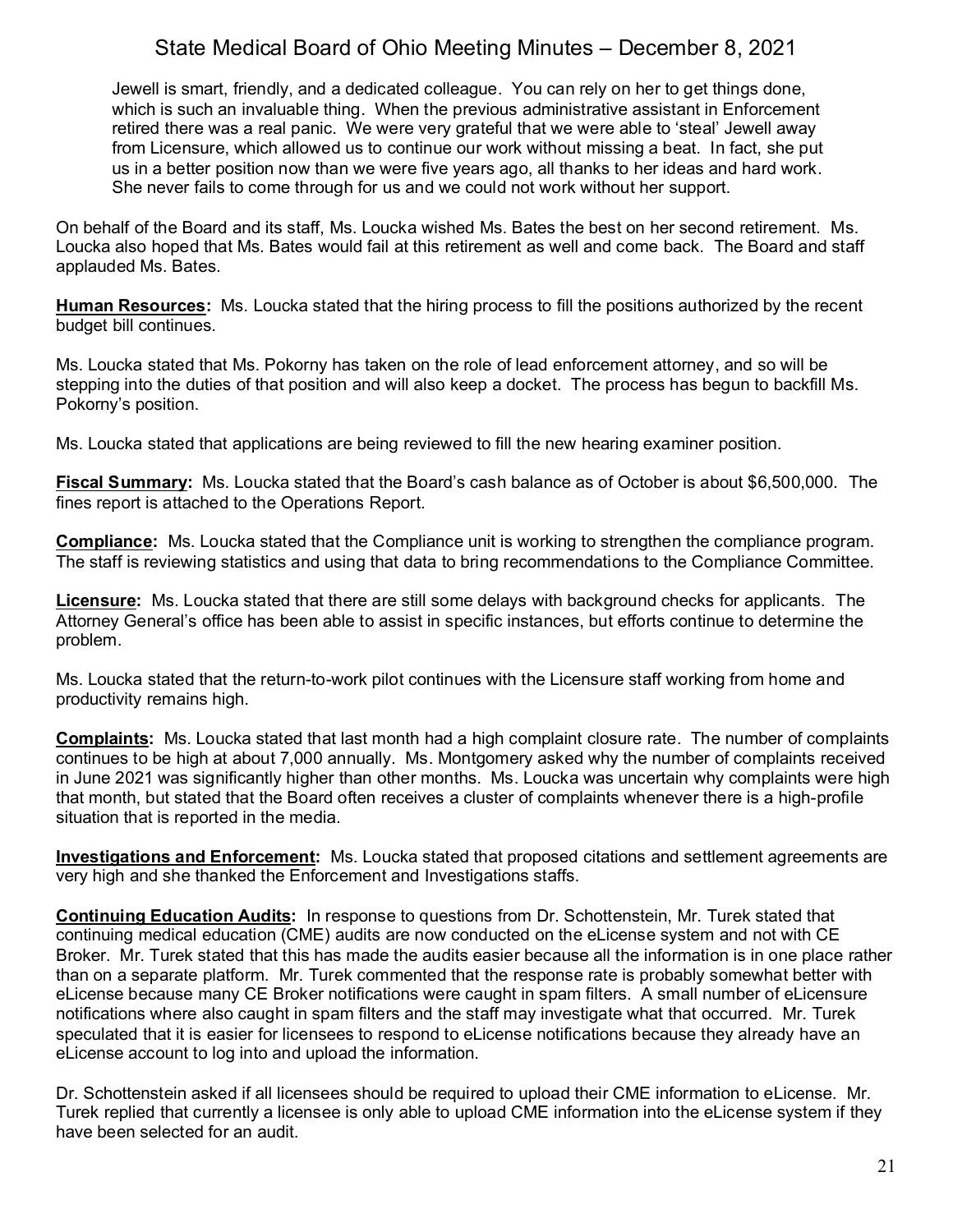Jewell is smart, friendly, and a dedicated colleague. You can rely on her to get things done, which is such an invaluable thing. When the previous administrative assistant in Enforcement retired there was a real panic. We were very grateful that we were able to 'steal' Jewell away from Licensure, which allowed us to continue our work without missing a beat. In fact, she put us in a better position now than we were five years ago, all thanks to her ideas and hard work. She never fails to come through for us and we could not work without her support.

On behalf of the Board and its staff, Ms. Loucka wished Ms. Bates the best on her second retirement. Ms. Loucka also hoped that Ms. Bates would fail at this retirement as well and come back. The Board and staff applauded Ms. Bates.

**Human Resources:** Ms. Loucka stated that the hiring process to fill the positions authorized by the recent budget bill continues.

Ms. Loucka stated that Ms. Pokorny has taken on the role of lead enforcement attorney, and so will be stepping into the duties of that position and will also keep a docket. The process has begun to backfill Ms. Pokorny's position.

Ms. Loucka stated that applications are being reviewed to fill the new hearing examiner position.

**Fiscal Summary:** Ms. Loucka stated that the Board's cash balance as of October is about \$6,500,000. The fines report is attached to the Operations Report.

**Compliance:** Ms. Loucka stated that the Compliance unit is working to strengthen the compliance program. The staff is reviewing statistics and using that data to bring recommendations to the Compliance Committee.

**Licensure:** Ms. Loucka stated that there are still some delays with background checks for applicants. The Attorney General's office has been able to assist in specific instances, but efforts continue to determine the problem.

Ms. Loucka stated that the return-to-work pilot continues with the Licensure staff working from home and productivity remains high.

**Complaints:** Ms. Loucka stated that last month had a high complaint closure rate. The number of complaints continues to be high at about 7,000 annually. Ms. Montgomery asked why the number of complaints received in June 2021 was significantly higher than other months. Ms. Loucka was uncertain why complaints were high that month, but stated that the Board often receives a cluster of complaints whenever there is a high-profile situation that is reported in the media.

**Investigations and Enforcement:** Ms. Loucka stated that proposed citations and settlement agreements are very high and she thanked the Enforcement and Investigations staffs.

**Continuing Education Audits:** In response to questions from Dr. Schottenstein, Mr. Turek stated that continuing medical education (CME) audits are now conducted on the eLicense system and not with CE Broker. Mr. Turek stated that this has made the audits easier because all the information is in one place rather than on a separate platform. Mr. Turek commented that the response rate is probably somewhat better with eLicense because many CE Broker notifications were caught in spam filters. A small number of eLicensure notifications where also caught in spam filters and the staff may investigate what that occurred. Mr. Turek speculated that it is easier for licensees to respond to eLicense notifications because they already have an eLicense account to log into and upload the information.

Dr. Schottenstein asked if all licensees should be required to upload their CME information to eLicense. Mr. Turek replied that currently a licensee is only able to upload CME information into the eLicense system if they have been selected for an audit.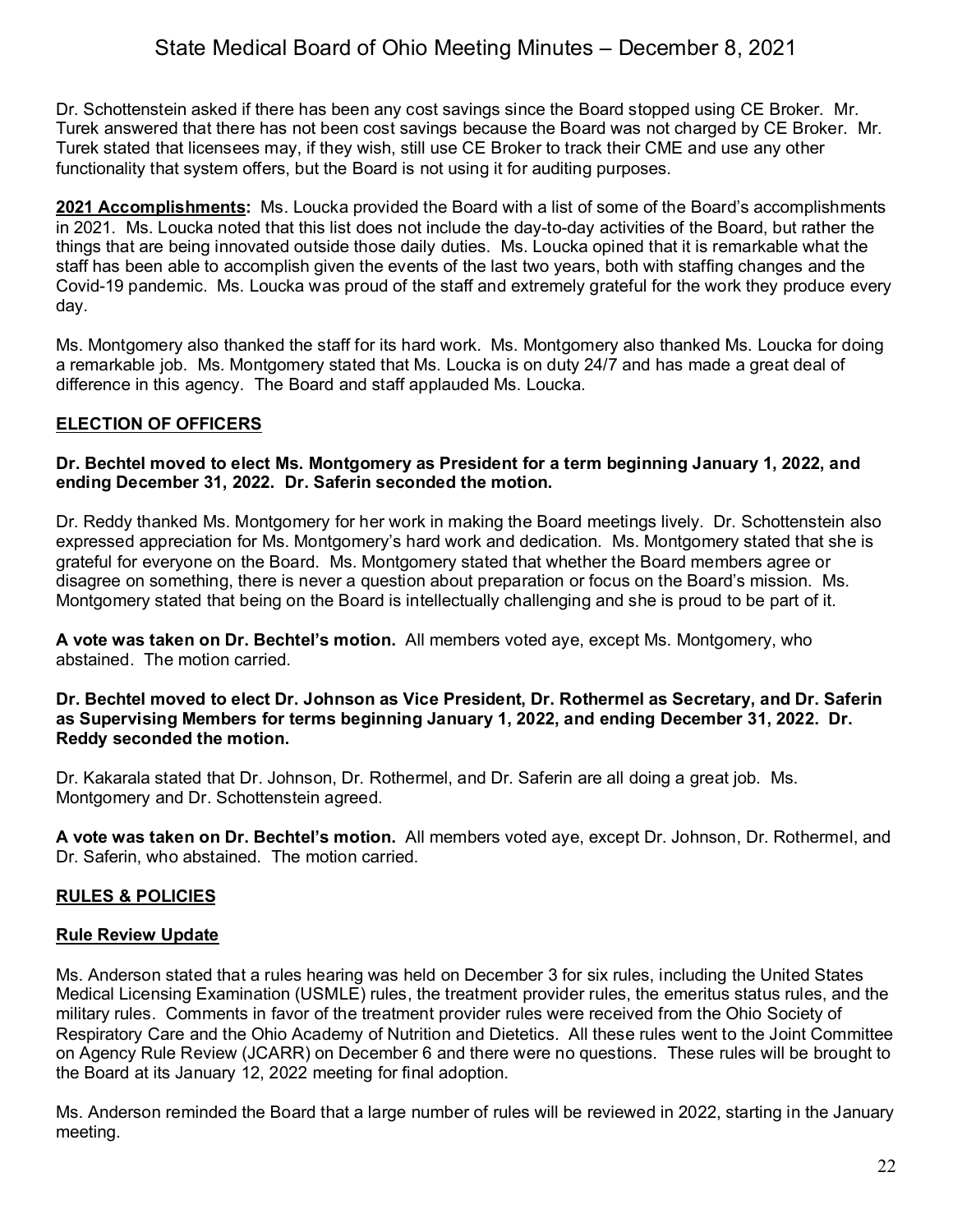Dr. Schottenstein asked if there has been any cost savings since the Board stopped using CE Broker. Mr. Turek answered that there has not been cost savings because the Board was not charged by CE Broker. Mr. Turek stated that licensees may, if they wish, still use CE Broker to track their CME and use any other functionality that system offers, but the Board is not using it for auditing purposes.

**2021 Accomplishments:** Ms. Loucka provided the Board with a list of some of the Board's accomplishments in 2021. Ms. Loucka noted that this list does not include the day-to-day activities of the Board, but rather the things that are being innovated outside those daily duties. Ms. Loucka opined that it is remarkable what the staff has been able to accomplish given the events of the last two years, both with staffing changes and the Covid-19 pandemic. Ms. Loucka was proud of the staff and extremely grateful for the work they produce every day.

Ms. Montgomery also thanked the staff for its hard work. Ms. Montgomery also thanked Ms. Loucka for doing a remarkable job. Ms. Montgomery stated that Ms. Loucka is on duty 24/7 and has made a great deal of difference in this agency. The Board and staff applauded Ms. Loucka.

## **ELECTION OF OFFICERS**

### **Dr. Bechtel moved to elect Ms. Montgomery as President for a term beginning January 1, 2022, and ending December 31, 2022. Dr. Saferin seconded the motion.**

Dr. Reddy thanked Ms. Montgomery for her work in making the Board meetings lively. Dr. Schottenstein also expressed appreciation for Ms. Montgomery's hard work and dedication. Ms. Montgomery stated that she is grateful for everyone on the Board. Ms. Montgomery stated that whether the Board members agree or disagree on something, there is never a question about preparation or focus on the Board's mission. Ms. Montgomery stated that being on the Board is intellectually challenging and she is proud to be part of it.

**A vote was taken on Dr. Bechtel's motion.** All members voted aye, except Ms. Montgomery, who abstained. The motion carried.

#### **Dr. Bechtel moved to elect Dr. Johnson as Vice President, Dr. Rothermel as Secretary, and Dr. Saferin as Supervising Members for terms beginning January 1, 2022, and ending December 31, 2022. Dr. Reddy seconded the motion.**

Dr. Kakarala stated that Dr. Johnson, Dr. Rothermel, and Dr. Saferin are all doing a great job. Ms. Montgomery and Dr. Schottenstein agreed.

**A vote was taken on Dr. Bechtel's motion.** All members voted aye, except Dr. Johnson, Dr. Rothermel, and Dr. Saferin, who abstained. The motion carried.

## **RULES & POLICIES**

### **Rule Review Update**

Ms. Anderson stated that a rules hearing was held on December 3 for six rules, including the United States Medical Licensing Examination (USMLE) rules, the treatment provider rules, the emeritus status rules, and the military rules. Comments in favor of the treatment provider rules were received from the Ohio Society of Respiratory Care and the Ohio Academy of Nutrition and Dietetics. All these rules went to the Joint Committee on Agency Rule Review (JCARR) on December 6 and there were no questions. These rules will be brought to the Board at its January 12, 2022 meeting for final adoption.

Ms. Anderson reminded the Board that a large number of rules will be reviewed in 2022, starting in the January meeting.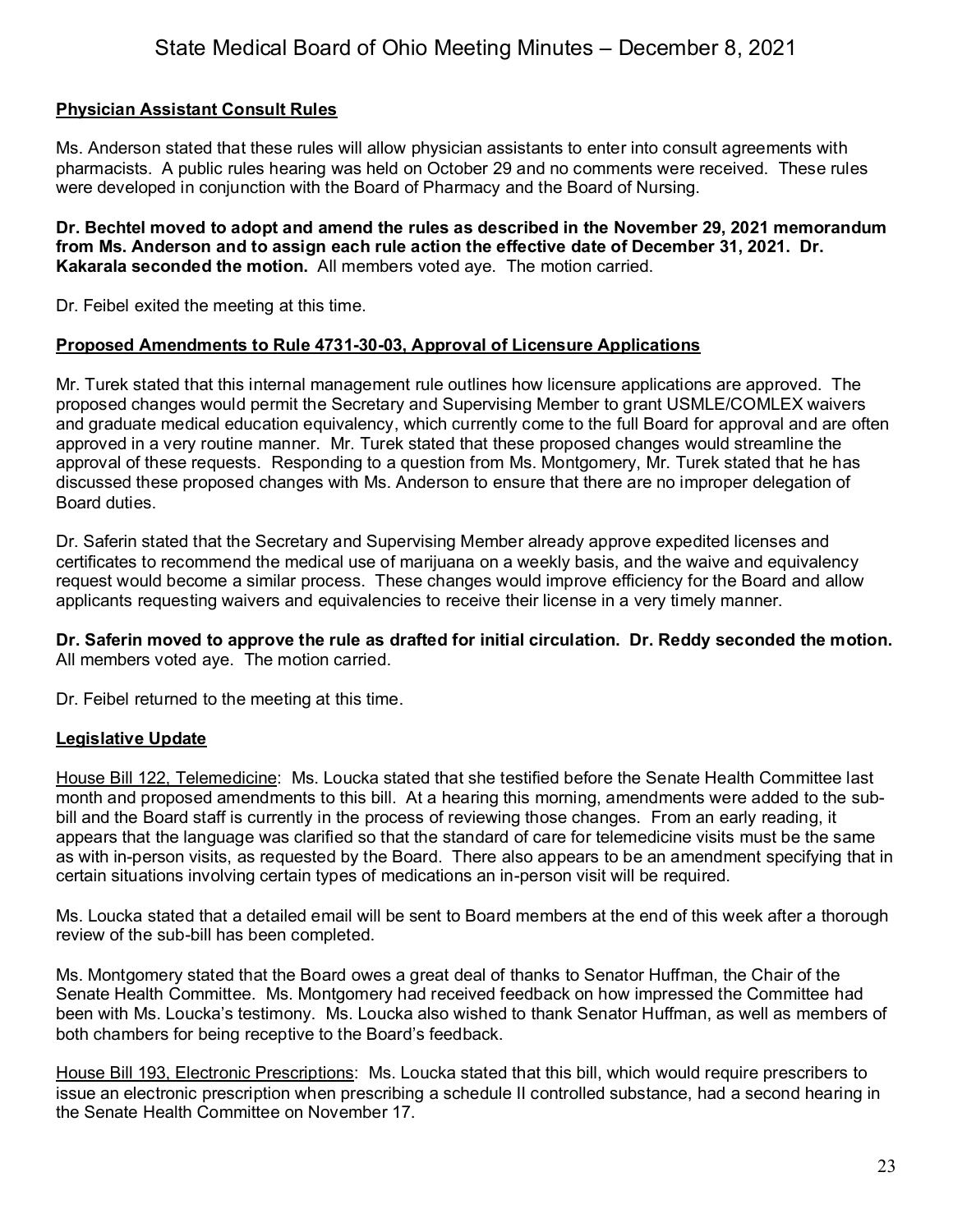## **Physician Assistant Consult Rules**

Ms. Anderson stated that these rules will allow physician assistants to enter into consult agreements with pharmacists. A public rules hearing was held on October 29 and no comments were received. These rules were developed in conjunction with the Board of Pharmacy and the Board of Nursing.

**Dr. Bechtel moved to adopt and amend the rules as described in the November 29, 2021 memorandum from Ms. Anderson and to assign each rule action the effective date of December 31, 2021. Dr. Kakarala seconded the motion.** All members voted aye. The motion carried.

Dr. Feibel exited the meeting at this time.

## **Proposed Amendments to Rule 4731-30-03, Approval of Licensure Applications**

Mr. Turek stated that this internal management rule outlines how licensure applications are approved. The proposed changes would permit the Secretary and Supervising Member to grant USMLE/COMLEX waivers and graduate medical education equivalency, which currently come to the full Board for approval and are often approved in a very routine manner. Mr. Turek stated that these proposed changes would streamline the approval of these requests. Responding to a question from Ms. Montgomery, Mr. Turek stated that he has discussed these proposed changes with Ms. Anderson to ensure that there are no improper delegation of Board duties.

Dr. Saferin stated that the Secretary and Supervising Member already approve expedited licenses and certificates to recommend the medical use of marijuana on a weekly basis, and the waive and equivalency request would become a similar process. These changes would improve efficiency for the Board and allow applicants requesting waivers and equivalencies to receive their license in a very timely manner.

**Dr. Saferin moved to approve the rule as drafted for initial circulation. Dr. Reddy seconded the motion.** All members voted aye. The motion carried.

Dr. Feibel returned to the meeting at this time.

## **Legislative Update**

House Bill 122, Telemedicine: Ms. Loucka stated that she testified before the Senate Health Committee last month and proposed amendments to this bill. At a hearing this morning, amendments were added to the subbill and the Board staff is currently in the process of reviewing those changes. From an early reading, it appears that the language was clarified so that the standard of care for telemedicine visits must be the same as with in-person visits, as requested by the Board. There also appears to be an amendment specifying that in certain situations involving certain types of medications an in-person visit will be required.

Ms. Loucka stated that a detailed email will be sent to Board members at the end of this week after a thorough review of the sub-bill has been completed.

Ms. Montgomery stated that the Board owes a great deal of thanks to Senator Huffman, the Chair of the Senate Health Committee. Ms. Montgomery had received feedback on how impressed the Committee had been with Ms. Loucka's testimony. Ms. Loucka also wished to thank Senator Huffman, as well as members of both chambers for being receptive to the Board's feedback.

House Bill 193, Electronic Prescriptions: Ms. Loucka stated that this bill, which would require prescribers to issue an electronic prescription when prescribing a schedule II controlled substance, had a second hearing in the Senate Health Committee on November 17.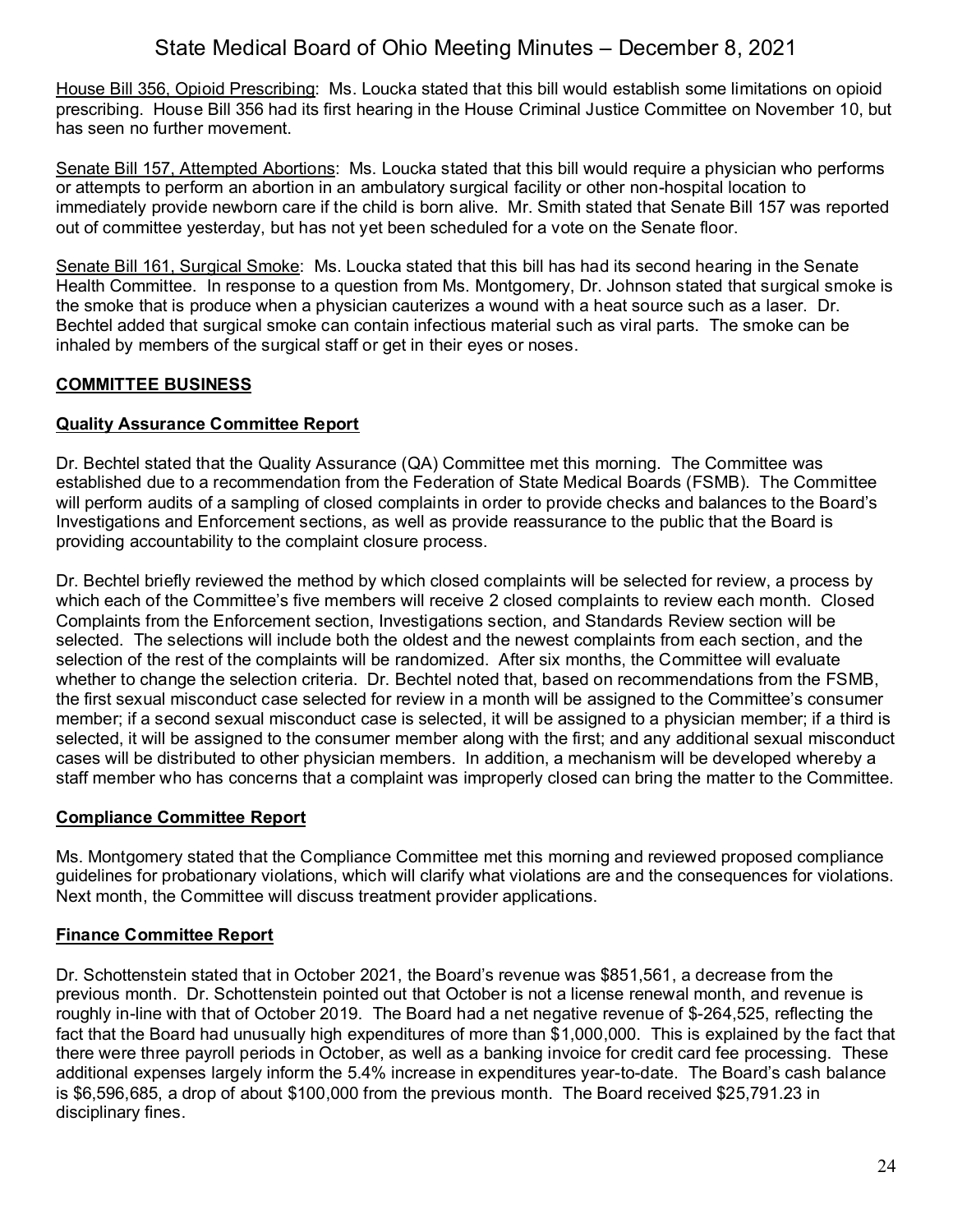House Bill 356, Opioid Prescribing: Ms. Loucka stated that this bill would establish some limitations on opioid prescribing. House Bill 356 had its first hearing in the House Criminal Justice Committee on November 10, but has seen no further movement.

Senate Bill 157, Attempted Abortions: Ms. Loucka stated that this bill would require a physician who performs or attempts to perform an abortion in an ambulatory surgical facility or other non-hospital location to immediately provide newborn care if the child is born alive. Mr. Smith stated that Senate Bill 157 was reported out of committee yesterday, but has not yet been scheduled for a vote on the Senate floor.

Senate Bill 161, Surgical Smoke: Ms. Loucka stated that this bill has had its second hearing in the Senate Health Committee. In response to a question from Ms. Montgomery, Dr. Johnson stated that surgical smoke is the smoke that is produce when a physician cauterizes a wound with a heat source such as a laser. Dr. Bechtel added that surgical smoke can contain infectious material such as viral parts. The smoke can be inhaled by members of the surgical staff or get in their eyes or noses.

## **COMMITTEE BUSINESS**

## **Quality Assurance Committee Report**

Dr. Bechtel stated that the Quality Assurance (QA) Committee met this morning. The Committee was established due to a recommendation from the Federation of State Medical Boards (FSMB). The Committee will perform audits of a sampling of closed complaints in order to provide checks and balances to the Board's Investigations and Enforcement sections, as well as provide reassurance to the public that the Board is providing accountability to the complaint closure process.

Dr. Bechtel briefly reviewed the method by which closed complaints will be selected for review, a process by which each of the Committee's five members will receive 2 closed complaints to review each month. Closed Complaints from the Enforcement section, Investigations section, and Standards Review section will be selected. The selections will include both the oldest and the newest complaints from each section, and the selection of the rest of the complaints will be randomized. After six months, the Committee will evaluate whether to change the selection criteria. Dr. Bechtel noted that, based on recommendations from the FSMB, the first sexual misconduct case selected for review in a month will be assigned to the Committee's consumer member; if a second sexual misconduct case is selected, it will be assigned to a physician member; if a third is selected, it will be assigned to the consumer member along with the first; and any additional sexual misconduct cases will be distributed to other physician members. In addition, a mechanism will be developed whereby a staff member who has concerns that a complaint was improperly closed can bring the matter to the Committee.

## **Compliance Committee Report**

Ms. Montgomery stated that the Compliance Committee met this morning and reviewed proposed compliance guidelines for probationary violations, which will clarify what violations are and the consequences for violations. Next month, the Committee will discuss treatment provider applications.

## **Finance Committee Report**

Dr. Schottenstein stated that in October 2021, the Board's revenue was \$851,561, a decrease from the previous month. Dr. Schottenstein pointed out that October is not a license renewal month, and revenue is roughly in-line with that of October 2019. The Board had a net negative revenue of \$-264,525, reflecting the fact that the Board had unusually high expenditures of more than \$1,000,000. This is explained by the fact that there were three payroll periods in October, as well as a banking invoice for credit card fee processing. These additional expenses largely inform the 5.4% increase in expenditures year-to-date. The Board's cash balance is \$6,596,685, a drop of about \$100,000 from the previous month. The Board received \$25,791.23 in disciplinary fines.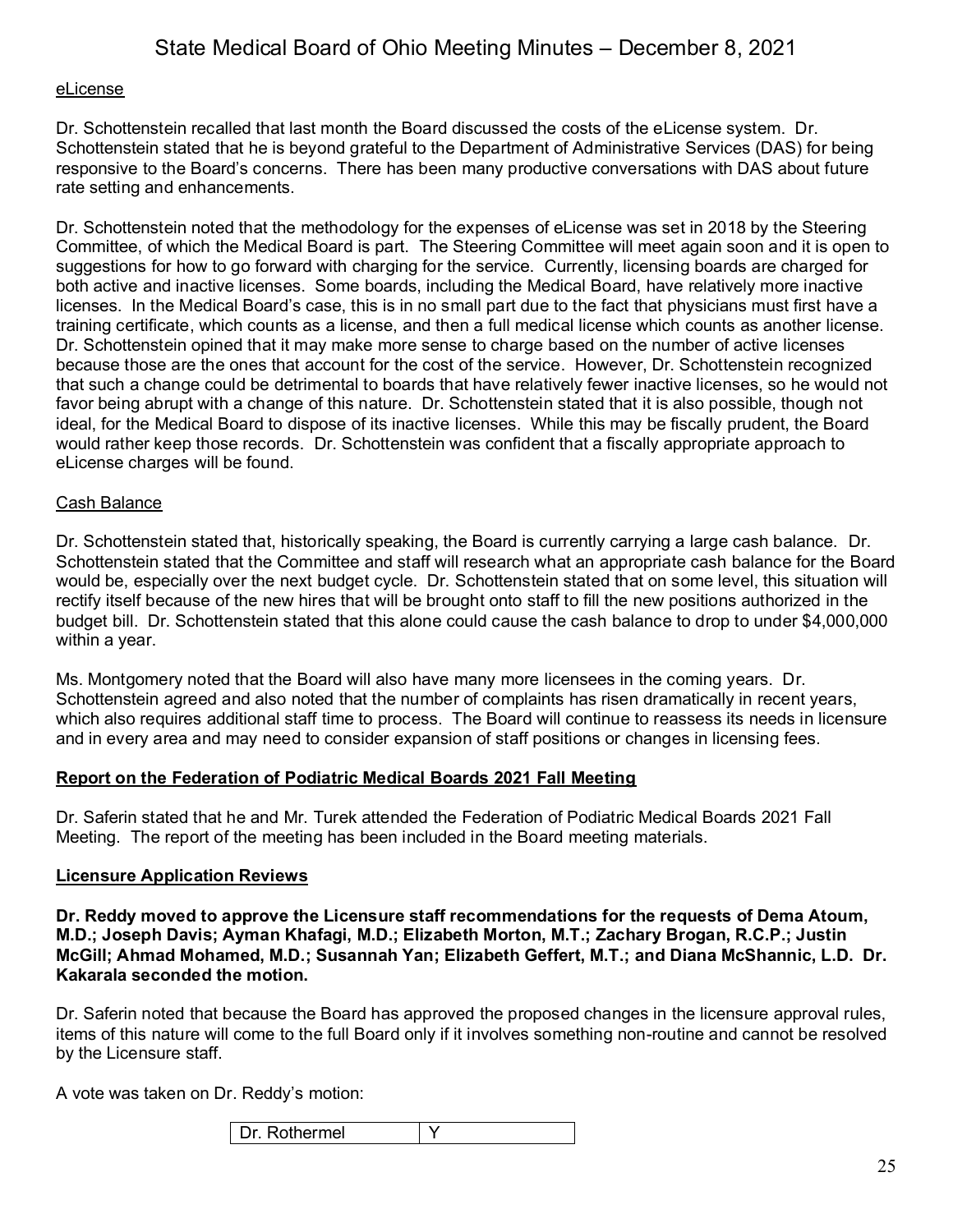#### eLicense

Dr. Schottenstein recalled that last month the Board discussed the costs of the eLicense system. Dr. Schottenstein stated that he is beyond grateful to the Department of Administrative Services (DAS) for being responsive to the Board's concerns. There has been many productive conversations with DAS about future rate setting and enhancements.

Dr. Schottenstein noted that the methodology for the expenses of eLicense was set in 2018 by the Steering Committee, of which the Medical Board is part. The Steering Committee will meet again soon and it is open to suggestions for how to go forward with charging for the service. Currently, licensing boards are charged for both active and inactive licenses. Some boards, including the Medical Board, have relatively more inactive licenses. In the Medical Board's case, this is in no small part due to the fact that physicians must first have a training certificate, which counts as a license, and then a full medical license which counts as another license. Dr. Schottenstein opined that it may make more sense to charge based on the number of active licenses because those are the ones that account for the cost of the service. However, Dr. Schottenstein recognized that such a change could be detrimental to boards that have relatively fewer inactive licenses, so he would not favor being abrupt with a change of this nature. Dr. Schottenstein stated that it is also possible, though not ideal, for the Medical Board to dispose of its inactive licenses. While this may be fiscally prudent, the Board would rather keep those records. Dr. Schottenstein was confident that a fiscally appropriate approach to eLicense charges will be found.

#### Cash Balance

Dr. Schottenstein stated that, historically speaking, the Board is currently carrying a large cash balance. Dr. Schottenstein stated that the Committee and staff will research what an appropriate cash balance for the Board would be, especially over the next budget cycle. Dr. Schottenstein stated that on some level, this situation will rectify itself because of the new hires that will be brought onto staff to fill the new positions authorized in the budget bill. Dr. Schottenstein stated that this alone could cause the cash balance to drop to under \$4,000,000 within a year.

Ms. Montgomery noted that the Board will also have many more licensees in the coming years. Dr. Schottenstein agreed and also noted that the number of complaints has risen dramatically in recent years, which also requires additional staff time to process. The Board will continue to reassess its needs in licensure and in every area and may need to consider expansion of staff positions or changes in licensing fees.

#### **Report on the Federation of Podiatric Medical Boards 2021 Fall Meeting**

Dr. Saferin stated that he and Mr. Turek attended the Federation of Podiatric Medical Boards 2021 Fall Meeting. The report of the meeting has been included in the Board meeting materials.

#### **Licensure Application Reviews**

**Dr. Reddy moved to approve the Licensure staff recommendations for the requests of Dema Atoum, M.D.; Joseph Davis; Ayman Khafagi, M.D.; Elizabeth Morton, M.T.; Zachary Brogan, R.C.P.; Justin McGill; Ahmad Mohamed, M.D.; Susannah Yan; Elizabeth Geffert, M.T.; and Diana McShannic, L.D. Dr. Kakarala seconded the motion.**

Dr. Saferin noted that because the Board has approved the proposed changes in the licensure approval rules, items of this nature will come to the full Board only if it involves something non-routine and cannot be resolved by the Licensure staff.

A vote was taken on Dr. Reddy's motion:

| harmal<br>. .<br><br>וסו |  |
|--------------------------|--|
|--------------------------|--|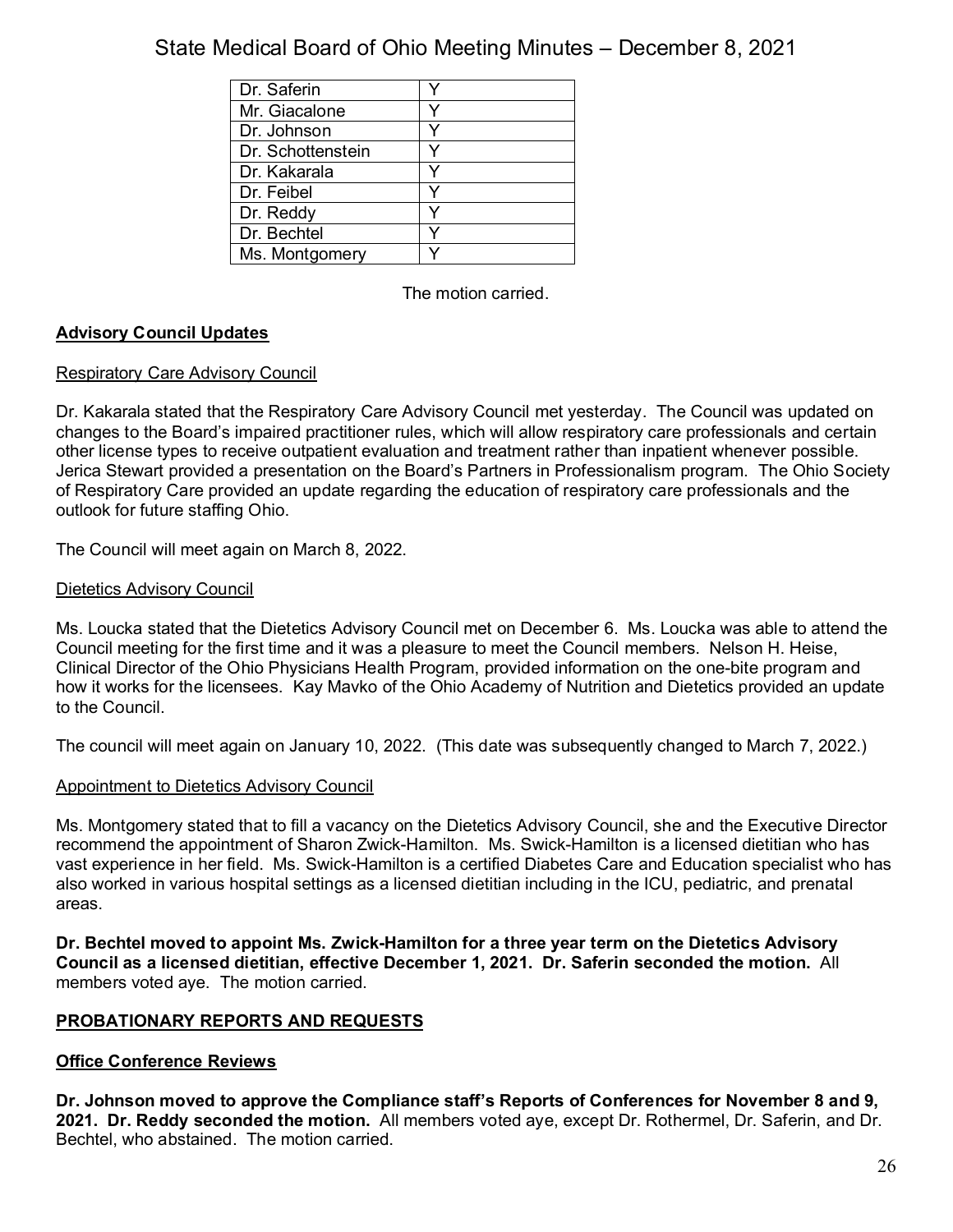| Dr. Saferin       |   |
|-------------------|---|
| Mr. Giacalone     |   |
| Dr. Johnson       | v |
| Dr. Schottenstein |   |
| Dr. Kakarala      |   |
| Dr. Feibel        |   |
| Dr. Reddy         |   |
| Dr. Bechtel       |   |
| Ms. Montgomery    |   |

The motion carried.

## **Advisory Council Updates**

### Respiratory Care Advisory Council

Dr. Kakarala stated that the Respiratory Care Advisory Council met yesterday. The Council was updated on changes to the Board's impaired practitioner rules, which will allow respiratory care professionals and certain other license types to receive outpatient evaluation and treatment rather than inpatient whenever possible. Jerica Stewart provided a presentation on the Board's Partners in Professionalism program. The Ohio Society of Respiratory Care provided an update regarding the education of respiratory care professionals and the outlook for future staffing Ohio.

The Council will meet again on March 8, 2022.

## Dietetics Advisory Council

Ms. Loucka stated that the Dietetics Advisory Council met on December 6. Ms. Loucka was able to attend the Council meeting for the first time and it was a pleasure to meet the Council members. Nelson H. Heise, Clinical Director of the Ohio Physicians Health Program, provided information on the one-bite program and how it works for the licensees. Kay Mavko of the Ohio Academy of Nutrition and Dietetics provided an update to the Council.

The council will meet again on January 10, 2022. (This date was subsequently changed to March 7, 2022.)

### Appointment to Dietetics Advisory Council

Ms. Montgomery stated that to fill a vacancy on the Dietetics Advisory Council, she and the Executive Director recommend the appointment of Sharon Zwick-Hamilton. Ms. Swick-Hamilton is a licensed dietitian who has vast experience in her field. Ms. Swick-Hamilton is a certified Diabetes Care and Education specialist who has also worked in various hospital settings as a licensed dietitian including in the ICU, pediatric, and prenatal areas.

**Dr. Bechtel moved to appoint Ms. Zwick-Hamilton for a three year term on the Dietetics Advisory Council as a licensed dietitian, effective December 1, 2021. Dr. Saferin seconded the motion.** All members voted aye. The motion carried.

## **PROBATIONARY REPORTS AND REQUESTS**

## **Office Conference Reviews**

**Dr. Johnson moved to approve the Compliance staff's Reports of Conferences for November 8 and 9, 2021. Dr. Reddy seconded the motion.** All members voted aye, except Dr. Rothermel, Dr. Saferin, and Dr. Bechtel, who abstained. The motion carried.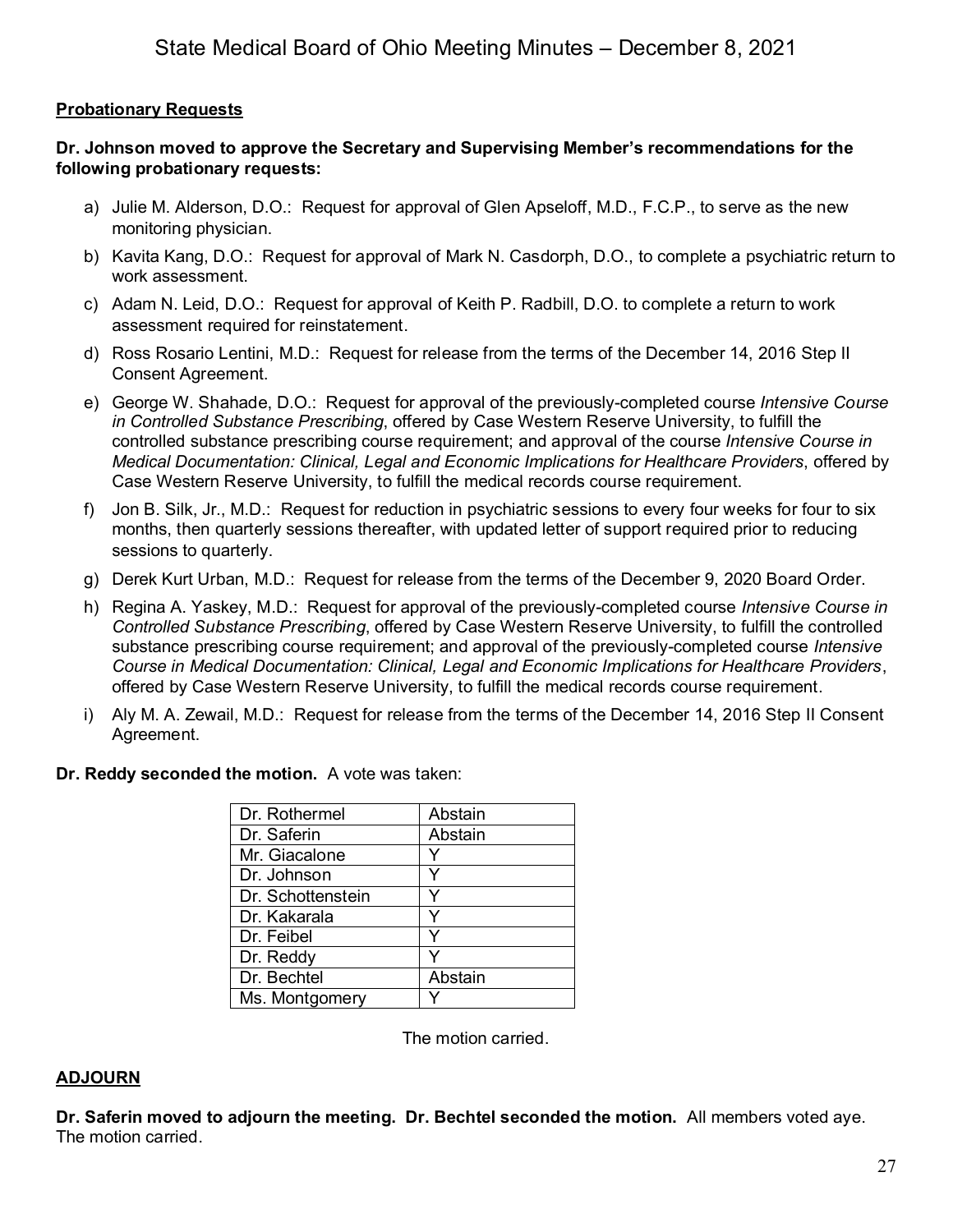## **Probationary Requests**

## **Dr. Johnson moved to approve the Secretary and Supervising Member's recommendations for the following probationary requests:**

- a) Julie M. Alderson, D.O.: Request for approval of Glen Apseloff, M.D., F.C.P., to serve as the new monitoring physician.
- b) Kavita Kang, D.O.: Request for approval of Mark N. Casdorph, D.O., to complete a psychiatric return to work assessment.
- c) Adam N. Leid, D.O.: Request for approval of Keith P. Radbill, D.O. to complete a return to work assessment required for reinstatement.
- d) Ross Rosario Lentini, M.D.: Request for release from the terms of the December 14, 2016 Step II Consent Agreement.
- e) George W. Shahade, D.O.: Request for approval of the previously-completed course *Intensive Course in Controlled Substance Prescribing*, offered by Case Western Reserve University, to fulfill the controlled substance prescribing course requirement; and approval of the course *Intensive Course in Medical Documentation: Clinical, Legal and Economic Implications for Healthcare Providers*, offered by Case Western Reserve University, to fulfill the medical records course requirement.
- f) Jon B. Silk, Jr., M.D.: Request for reduction in psychiatric sessions to every four weeks for four to six months, then quarterly sessions thereafter, with updated letter of support required prior to reducing sessions to quarterly.
- g) Derek Kurt Urban, M.D.: Request for release from the terms of the December 9, 2020 Board Order.
- h) Regina A. Yaskey, M.D.: Request for approval of the previously-completed course *Intensive Course in Controlled Substance Prescribing*, offered by Case Western Reserve University, to fulfill the controlled substance prescribing course requirement; and approval of the previously-completed course *Intensive Course in Medical Documentation: Clinical, Legal and Economic Implications for Healthcare Providers*, offered by Case Western Reserve University, to fulfill the medical records course requirement.
- i) Aly M. A. Zewail, M.D.: Request for release from the terms of the December 14, 2016 Step II Consent Agreement.

### **Dr. Reddy seconded the motion.** A vote was taken:

| Dr. Rothermel     | Abstain |
|-------------------|---------|
| Dr. Saferin       | Abstain |
| Mr. Giacalone     |         |
| Dr. Johnson       |         |
| Dr. Schottenstein |         |
| Dr. Kakarala      |         |
| Dr. Feibel        |         |
| Dr. Reddy         |         |
| Dr. Bechtel       | Abstain |
| Ms. Montgomery    |         |

The motion carried.

### **ADJOURN**

**Dr. Saferin moved to adjourn the meeting. Dr. Bechtel seconded the motion.** All members voted aye. The motion carried.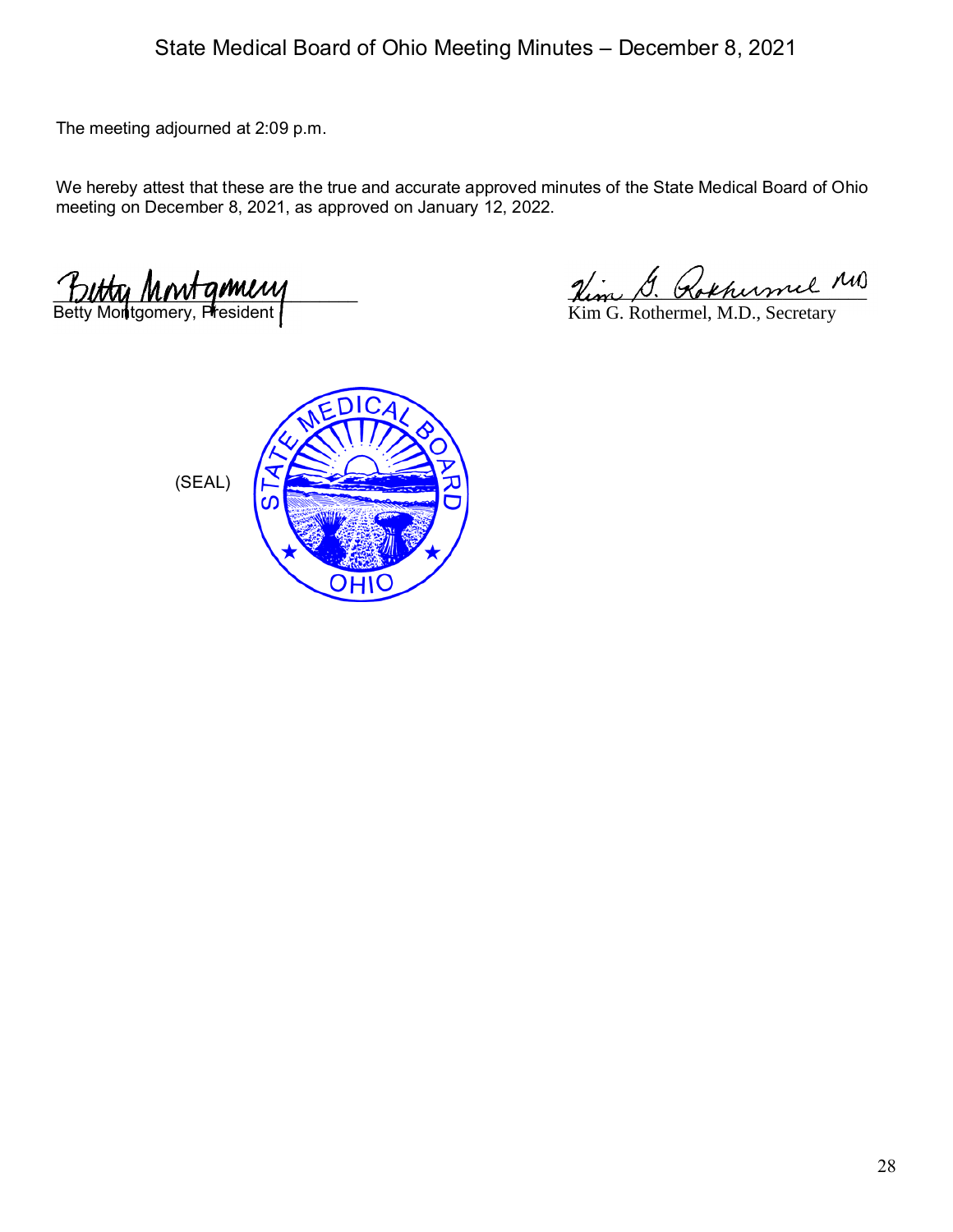The meeting adjourned at 2:09 p.m.

We hereby attest that these are the true and accurate approved minutes of the State Medical Board of Ohio meeting on December 8, 2021, as approved on January 12, 2022.

 $L$ Betty Montgomery, President

Hem D. Kokhermel

Kim G. Rothermel, M.D., Secretary

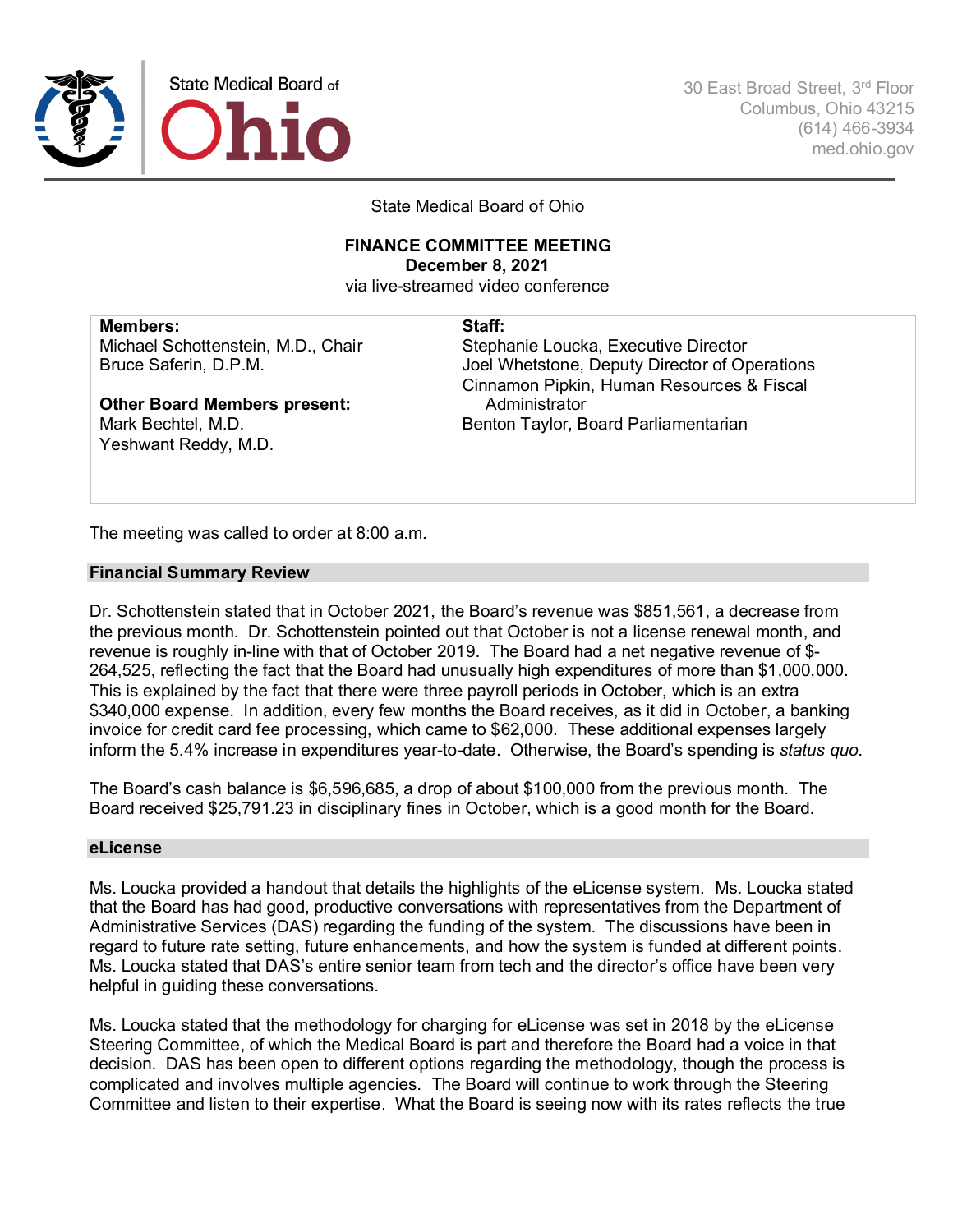

30 East Broad Street, 3rd Floor Columbus, Ohio 43215 (614) 466-3934 med.ohio.gov

State Medical Board of Ohio

#### **FINANCE COMMITTEE MEETING December 8, 2021**

via live-streamed video conference

| <b>Members:</b>                     | Staff:                                        |
|-------------------------------------|-----------------------------------------------|
| Michael Schottenstein, M.D., Chair  | Stephanie Loucka, Executive Director          |
| Bruce Saferin, D.P.M.               | Joel Whetstone, Deputy Director of Operations |
|                                     | Cinnamon Pipkin, Human Resources & Fiscal     |
| <b>Other Board Members present:</b> | Administrator                                 |
| Mark Bechtel, M.D.                  | Benton Taylor, Board Parliamentarian          |
| Yeshwant Reddy, M.D.                |                                               |
|                                     |                                               |
|                                     |                                               |

The meeting was called to order at 8:00 a.m.

#### **Financial Summary Review**

Dr. Schottenstein stated that in October 2021, the Board's revenue was \$851,561, a decrease from the previous month. Dr. Schottenstein pointed out that October is not a license renewal month, and revenue is roughly in-line with that of October 2019. The Board had a net negative revenue of \$- 264,525, reflecting the fact that the Board had unusually high expenditures of more than \$1,000,000. This is explained by the fact that there were three payroll periods in October, which is an extra \$340,000 expense. In addition, every few months the Board receives, as it did in October, a banking invoice for credit card fee processing, which came to \$62,000. These additional expenses largely inform the 5.4% increase in expenditures year-to-date. Otherwise, the Board's spending is *status quo*.

The Board's cash balance is \$6,596,685, a drop of about \$100,000 from the previous month. The Board received \$25,791.23 in disciplinary fines in October, which is a good month for the Board.

#### **eLicense**

Ms. Loucka provided a handout that details the highlights of the eLicense system. Ms. Loucka stated that the Board has had good, productive conversations with representatives from the Department of Administrative Services (DAS) regarding the funding of the system. The discussions have been in regard to future rate setting, future enhancements, and how the system is funded at different points. Ms. Loucka stated that DAS's entire senior team from tech and the director's office have been very helpful in guiding these conversations.

Ms. Loucka stated that the methodology for charging for eLicense was set in 2018 by the eLicense Steering Committee, of which the Medical Board is part and therefore the Board had a voice in that decision. DAS has been open to different options regarding the methodology, though the process is complicated and involves multiple agencies. The Board will continue to work through the Steering Committee and listen to their expertise. What the Board is seeing now with its rates reflects the true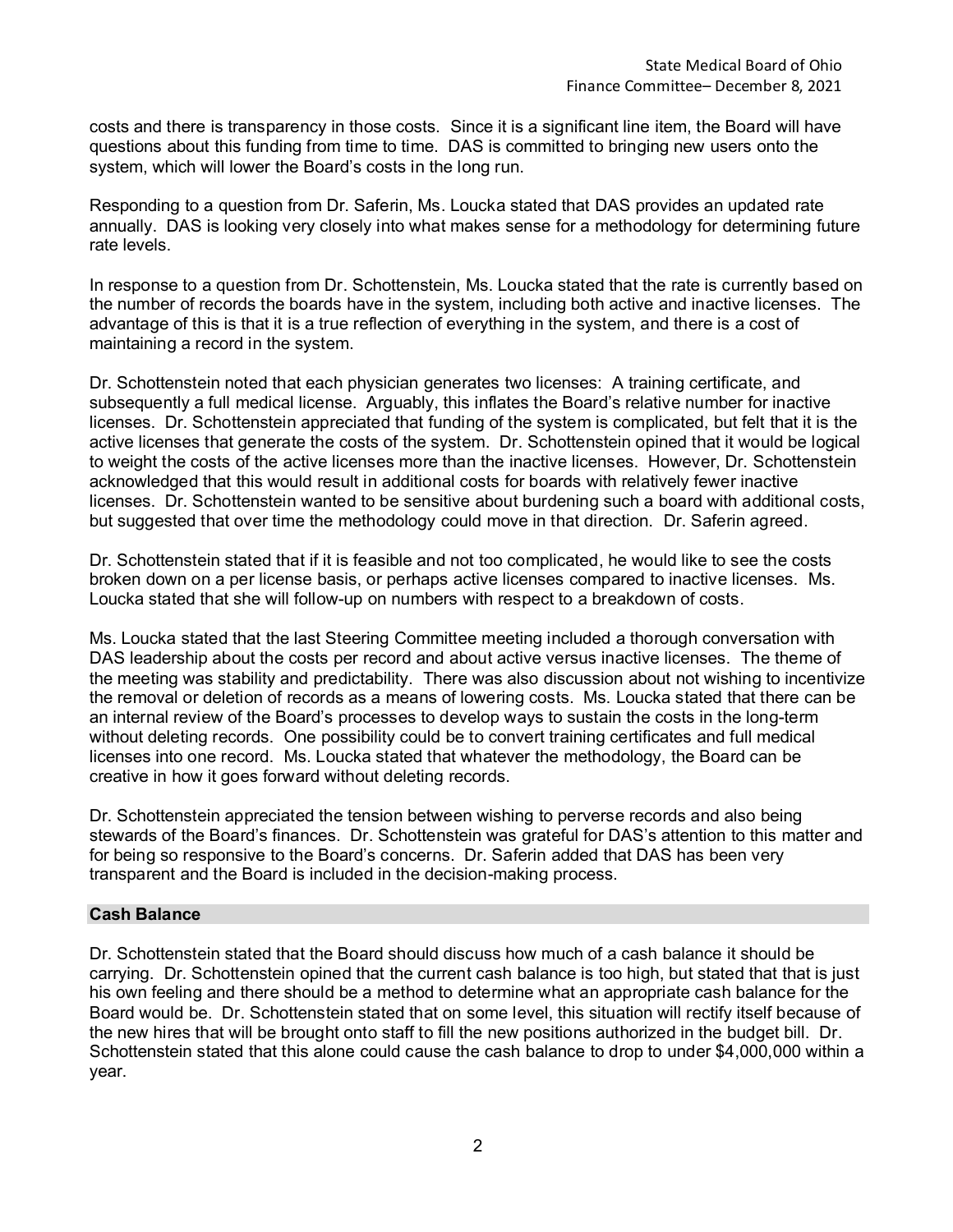costs and there is transparency in those costs. Since it is a significant line item, the Board will have questions about this funding from time to time. DAS is committed to bringing new users onto the system, which will lower the Board's costs in the long run.

Responding to a question from Dr. Saferin, Ms. Loucka stated that DAS provides an updated rate annually. DAS is looking very closely into what makes sense for a methodology for determining future rate levels.

In response to a question from Dr. Schottenstein, Ms. Loucka stated that the rate is currently based on the number of records the boards have in the system, including both active and inactive licenses. The advantage of this is that it is a true reflection of everything in the system, and there is a cost of maintaining a record in the system.

Dr. Schottenstein noted that each physician generates two licenses: A training certificate, and subsequently a full medical license. Arguably, this inflates the Board's relative number for inactive licenses. Dr. Schottenstein appreciated that funding of the system is complicated, but felt that it is the active licenses that generate the costs of the system. Dr. Schottenstein opined that it would be logical to weight the costs of the active licenses more than the inactive licenses. However, Dr. Schottenstein acknowledged that this would result in additional costs for boards with relatively fewer inactive licenses. Dr. Schottenstein wanted to be sensitive about burdening such a board with additional costs, but suggested that over time the methodology could move in that direction. Dr. Saferin agreed.

Dr. Schottenstein stated that if it is feasible and not too complicated, he would like to see the costs broken down on a per license basis, or perhaps active licenses compared to inactive licenses. Ms. Loucka stated that she will follow-up on numbers with respect to a breakdown of costs.

Ms. Loucka stated that the last Steering Committee meeting included a thorough conversation with DAS leadership about the costs per record and about active versus inactive licenses. The theme of the meeting was stability and predictability. There was also discussion about not wishing to incentivize the removal or deletion of records as a means of lowering costs. Ms. Loucka stated that there can be an internal review of the Board's processes to develop ways to sustain the costs in the long-term without deleting records. One possibility could be to convert training certificates and full medical licenses into one record. Ms. Loucka stated that whatever the methodology, the Board can be creative in how it goes forward without deleting records.

Dr. Schottenstein appreciated the tension between wishing to perverse records and also being stewards of the Board's finances. Dr. Schottenstein was grateful for DAS's attention to this matter and for being so responsive to the Board's concerns. Dr. Saferin added that DAS has been very transparent and the Board is included in the decision-making process.

### **Cash Balance**

Dr. Schottenstein stated that the Board should discuss how much of a cash balance it should be carrying. Dr. Schottenstein opined that the current cash balance is too high, but stated that that is just his own feeling and there should be a method to determine what an appropriate cash balance for the Board would be. Dr. Schottenstein stated that on some level, this situation will rectify itself because of the new hires that will be brought onto staff to fill the new positions authorized in the budget bill. Dr. Schottenstein stated that this alone could cause the cash balance to drop to under \$4,000,000 within a year.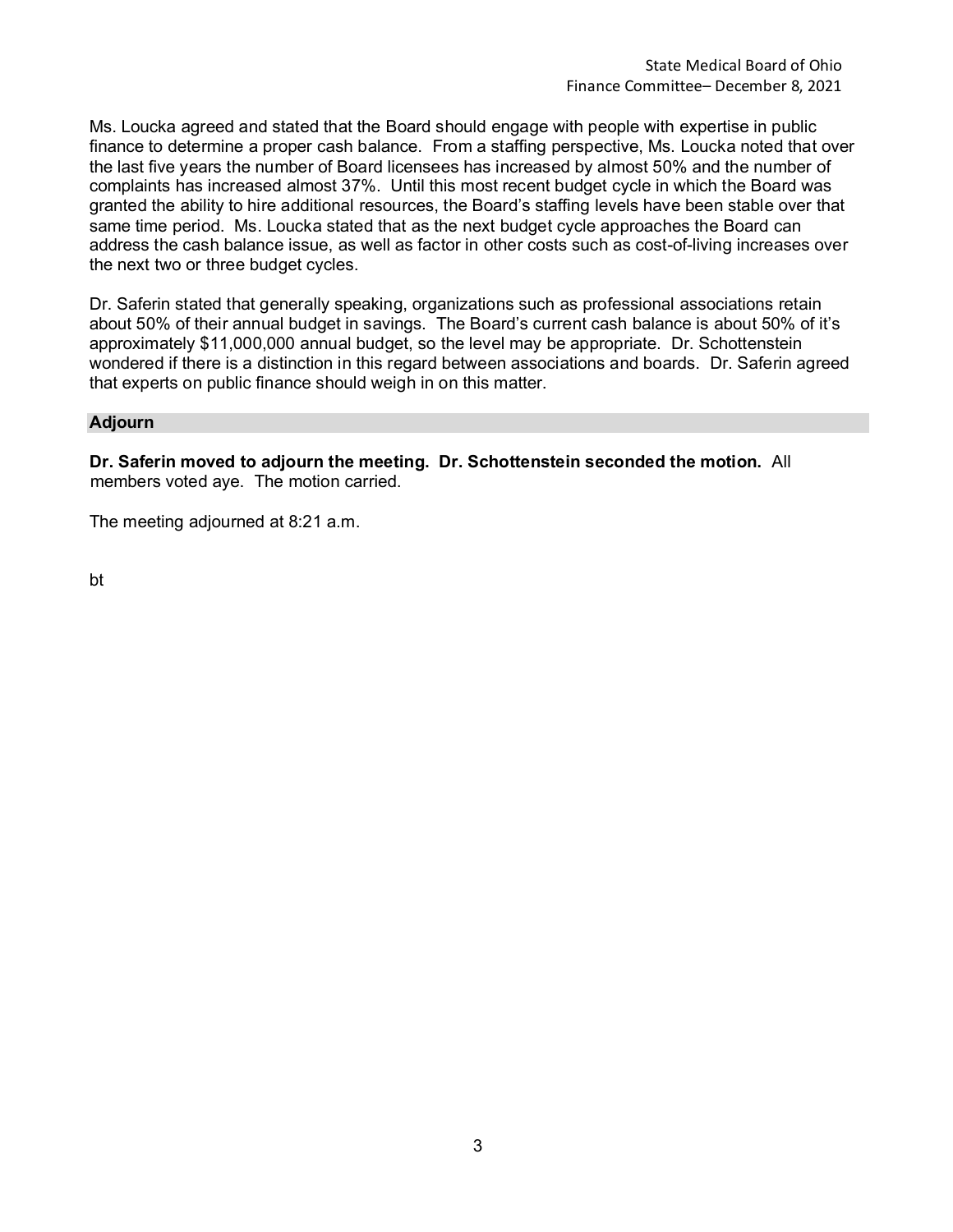Ms. Loucka agreed and stated that the Board should engage with people with expertise in public finance to determine a proper cash balance. From a staffing perspective, Ms. Loucka noted that over the last five years the number of Board licensees has increased by almost 50% and the number of complaints has increased almost 37%. Until this most recent budget cycle in which the Board was granted the ability to hire additional resources, the Board's staffing levels have been stable over that same time period. Ms. Loucka stated that as the next budget cycle approaches the Board can address the cash balance issue, as well as factor in other costs such as cost-of-living increases over the next two or three budget cycles.

Dr. Saferin stated that generally speaking, organizations such as professional associations retain about 50% of their annual budget in savings. The Board's current cash balance is about 50% of it's approximately \$11,000,000 annual budget, so the level may be appropriate. Dr. Schottenstein wondered if there is a distinction in this regard between associations and boards. Dr. Saferin agreed that experts on public finance should weigh in on this matter.

#### **Adjourn**

**Dr. Saferin moved to adjourn the meeting. Dr. Schottenstein seconded the motion.** All members voted aye. The motion carried.

The meeting adjourned at 8:21 a.m.

bt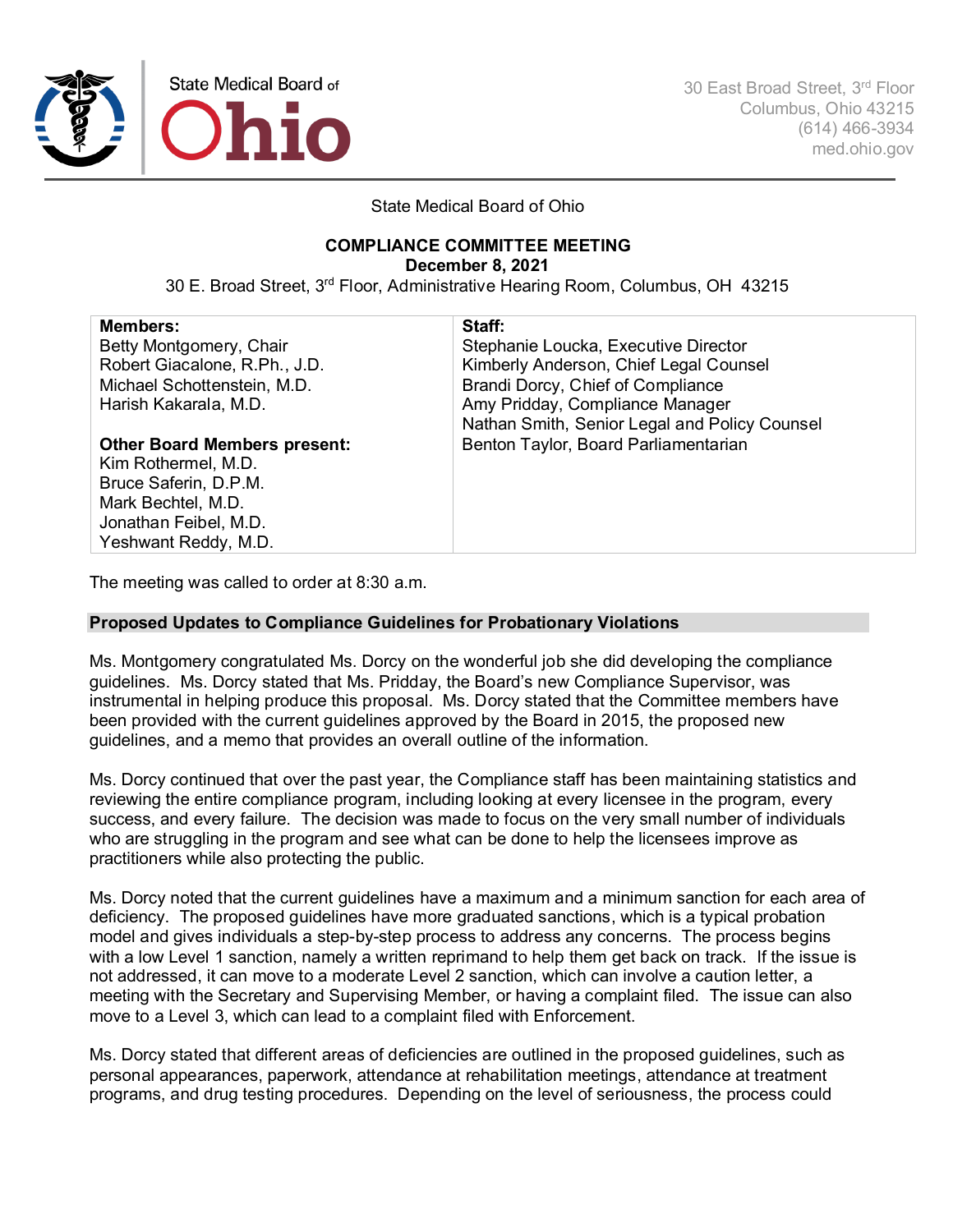

30 East Broad Street, 3rd Floor Columbus, Ohio 43215 (614) 466-3934 med.ohio.gov

State Medical Board of Ohio

## **COMPLIANCE COMMITTEE MEETING**

**December 8, 2021**

30 E. Broad Street, 3rd Floor, Administrative Hearing Room, Columbus, OH 43215

| <b>Members:</b>                     | Staff:                                        |
|-------------------------------------|-----------------------------------------------|
| Betty Montgomery, Chair             | Stephanie Loucka, Executive Director          |
| Robert Giacalone, R.Ph., J.D.       | Kimberly Anderson, Chief Legal Counsel        |
| Michael Schottenstein, M.D.         | Brandi Dorcy, Chief of Compliance             |
| Harish Kakarala, M.D.               | Amy Pridday, Compliance Manager               |
|                                     | Nathan Smith, Senior Legal and Policy Counsel |
| <b>Other Board Members present:</b> | Benton Taylor, Board Parliamentarian          |
| Kim Rothermel, M.D.                 |                                               |
| Bruce Saferin, D.P.M.               |                                               |
| Mark Bechtel, M.D.                  |                                               |
| Jonathan Feibel, M.D.               |                                               |
| Yeshwant Reddy, M.D.                |                                               |
|                                     |                                               |

The meeting was called to order at 8:30 a.m.

### **Proposed Updates to Compliance Guidelines for Probationary Violations**

Ms. Montgomery congratulated Ms. Dorcy on the wonderful job she did developing the compliance guidelines. Ms. Dorcy stated that Ms. Pridday, the Board's new Compliance Supervisor, was instrumental in helping produce this proposal. Ms. Dorcy stated that the Committee members have been provided with the current guidelines approved by the Board in 2015, the proposed new guidelines, and a memo that provides an overall outline of the information.

Ms. Dorcy continued that over the past year, the Compliance staff has been maintaining statistics and reviewing the entire compliance program, including looking at every licensee in the program, every success, and every failure. The decision was made to focus on the very small number of individuals who are struggling in the program and see what can be done to help the licensees improve as practitioners while also protecting the public.

Ms. Dorcy noted that the current guidelines have a maximum and a minimum sanction for each area of deficiency. The proposed guidelines have more graduated sanctions, which is a typical probation model and gives individuals a step-by-step process to address any concerns. The process begins with a low Level 1 sanction, namely a written reprimand to help them get back on track. If the issue is not addressed, it can move to a moderate Level 2 sanction, which can involve a caution letter, a meeting with the Secretary and Supervising Member, or having a complaint filed. The issue can also move to a Level 3, which can lead to a complaint filed with Enforcement.

Ms. Dorcy stated that different areas of deficiencies are outlined in the proposed guidelines, such as personal appearances, paperwork, attendance at rehabilitation meetings, attendance at treatment programs, and drug testing procedures. Depending on the level of seriousness, the process could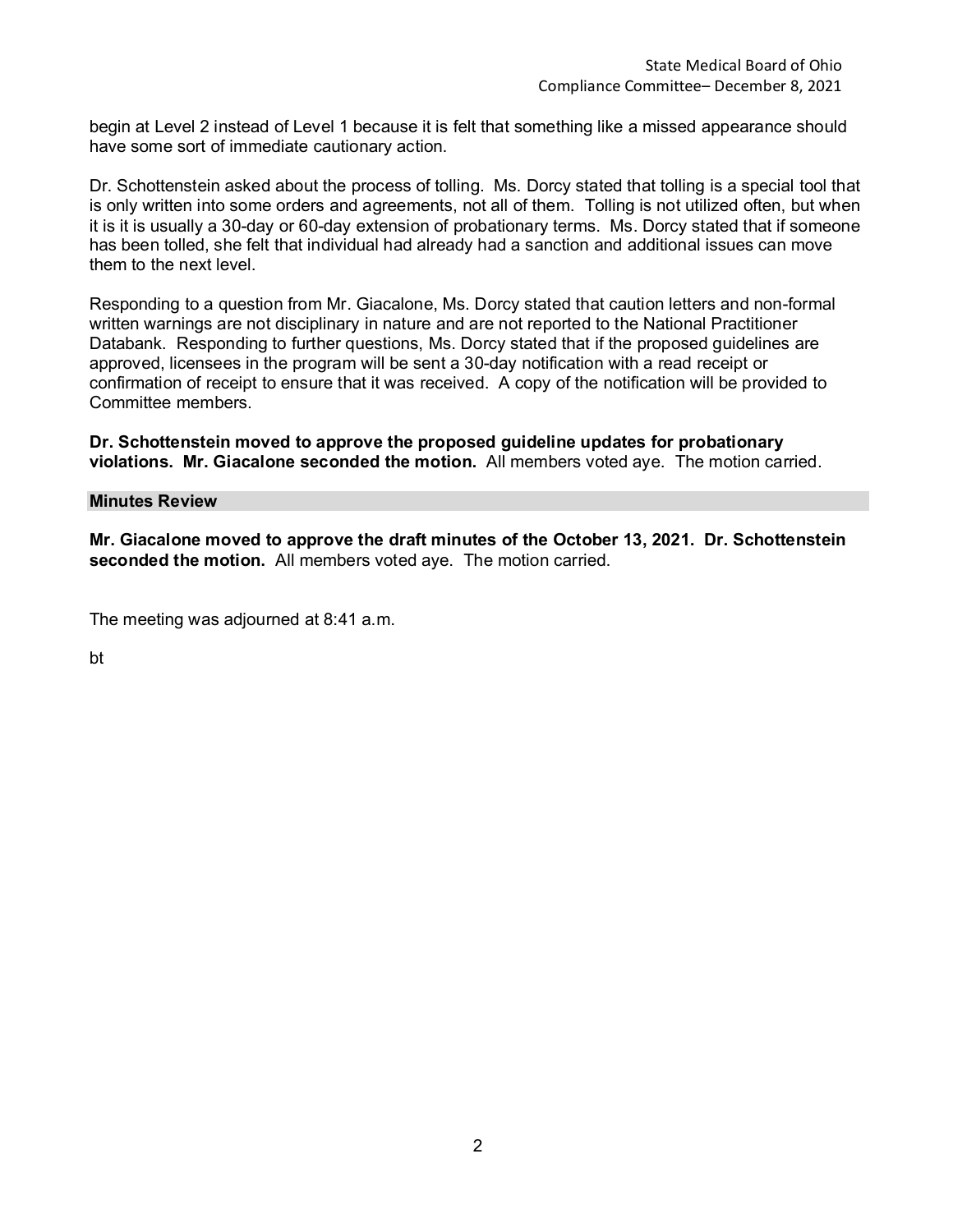begin at Level 2 instead of Level 1 because it is felt that something like a missed appearance should have some sort of immediate cautionary action.

Dr. Schottenstein asked about the process of tolling. Ms. Dorcy stated that tolling is a special tool that is only written into some orders and agreements, not all of them. Tolling is not utilized often, but when it is it is usually a 30-day or 60-day extension of probationary terms. Ms. Dorcy stated that if someone has been tolled, she felt that individual had already had a sanction and additional issues can move them to the next level.

Responding to a question from Mr. Giacalone, Ms. Dorcy stated that caution letters and non-formal written warnings are not disciplinary in nature and are not reported to the National Practitioner Databank. Responding to further questions, Ms. Dorcy stated that if the proposed guidelines are approved, licensees in the program will be sent a 30-day notification with a read receipt or confirmation of receipt to ensure that it was received. A copy of the notification will be provided to Committee members.

**Dr. Schottenstein moved to approve the proposed guideline updates for probationary violations. Mr. Giacalone seconded the motion.** All members voted aye. The motion carried.

#### **Minutes Review**

**Mr. Giacalone moved to approve the draft minutes of the October 13, 2021. Dr. Schottenstein seconded the motion.** All members voted aye. The motion carried.

The meeting was adjourned at 8:41 a.m.

bt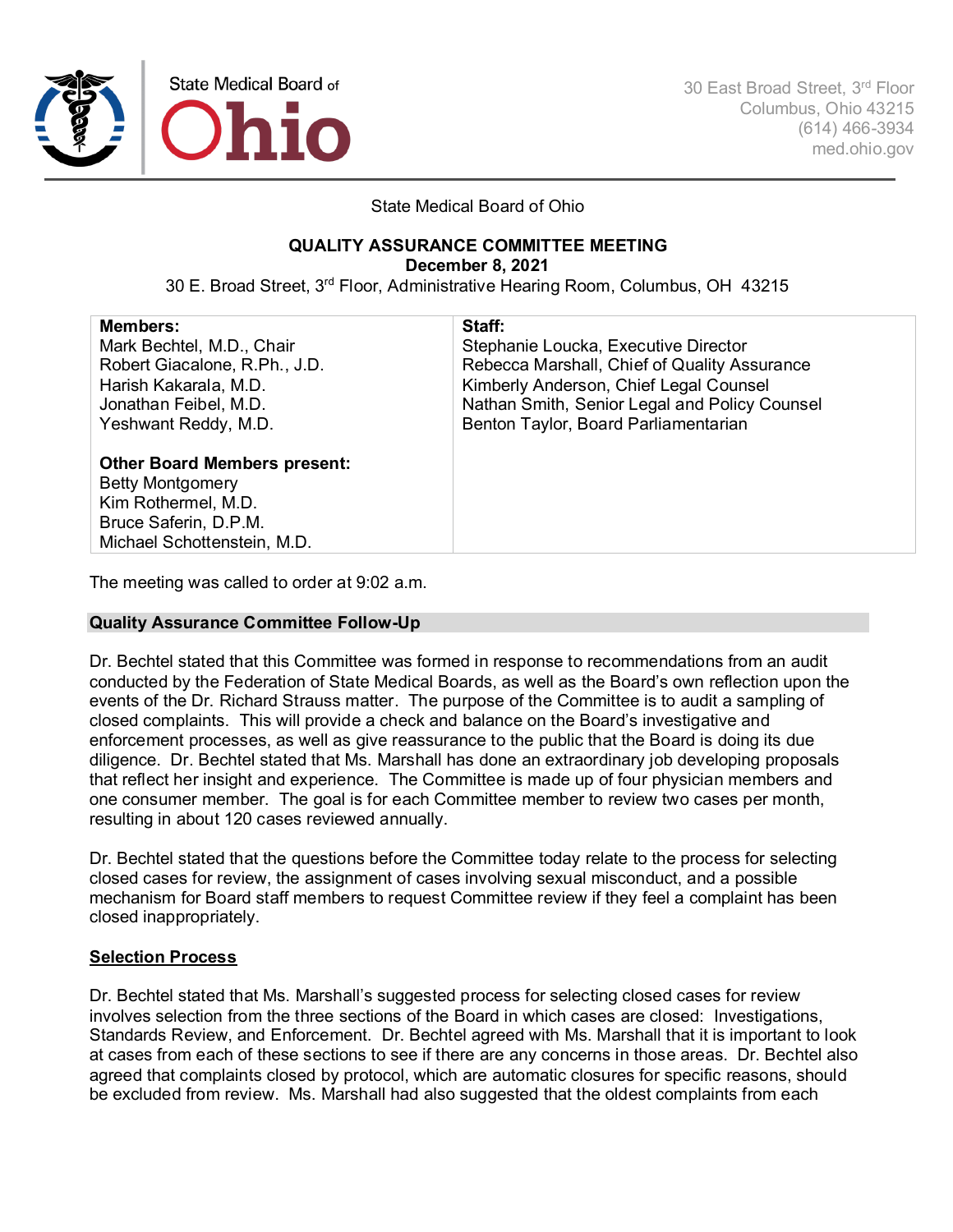

30 East Broad Street, 3rd Floor Columbus, Ohio 43215 (614) 466-3934 med.ohio.gov

State Medical Board of Ohio

## **QUALITY ASSURANCE COMMITTEE MEETING**

**December 8, 2021**

30 E. Broad Street, 3rd Floor, Administrative Hearing Room, Columbus, OH 43215

| <b>Members:</b>                     | Staff:                                        |
|-------------------------------------|-----------------------------------------------|
| Mark Bechtel, M.D., Chair           | Stephanie Loucka, Executive Director          |
| Robert Giacalone, R.Ph., J.D.       | Rebecca Marshall, Chief of Quality Assurance  |
| Harish Kakarala, M.D.               | Kimberly Anderson, Chief Legal Counsel        |
| Jonathan Feibel, M.D.               | Nathan Smith, Senior Legal and Policy Counsel |
| Yeshwant Reddy, M.D.                | Benton Taylor, Board Parliamentarian          |
|                                     |                                               |
| <b>Other Board Members present:</b> |                                               |
| <b>Betty Montgomery</b>             |                                               |
| Kim Rothermel, M.D.                 |                                               |
| Bruce Saferin, D.P.M.               |                                               |
| Michael Schottenstein, M.D.         |                                               |

The meeting was called to order at 9:02 a.m.

#### **Quality Assurance Committee Follow-Up**

Dr. Bechtel stated that this Committee was formed in response to recommendations from an audit conducted by the Federation of State Medical Boards, as well as the Board's own reflection upon the events of the Dr. Richard Strauss matter. The purpose of the Committee is to audit a sampling of closed complaints. This will provide a check and balance on the Board's investigative and enforcement processes, as well as give reassurance to the public that the Board is doing its due diligence. Dr. Bechtel stated that Ms. Marshall has done an extraordinary job developing proposals that reflect her insight and experience. The Committee is made up of four physician members and one consumer member. The goal is for each Committee member to review two cases per month, resulting in about 120 cases reviewed annually.

Dr. Bechtel stated that the questions before the Committee today relate to the process for selecting closed cases for review, the assignment of cases involving sexual misconduct, and a possible mechanism for Board staff members to request Committee review if they feel a complaint has been closed inappropriately.

### **Selection Process**

Dr. Bechtel stated that Ms. Marshall's suggested process for selecting closed cases for review involves selection from the three sections of the Board in which cases are closed: Investigations, Standards Review, and Enforcement. Dr. Bechtel agreed with Ms. Marshall that it is important to look at cases from each of these sections to see if there are any concerns in those areas. Dr. Bechtel also agreed that complaints closed by protocol, which are automatic closures for specific reasons, should be excluded from review. Ms. Marshall had also suggested that the oldest complaints from each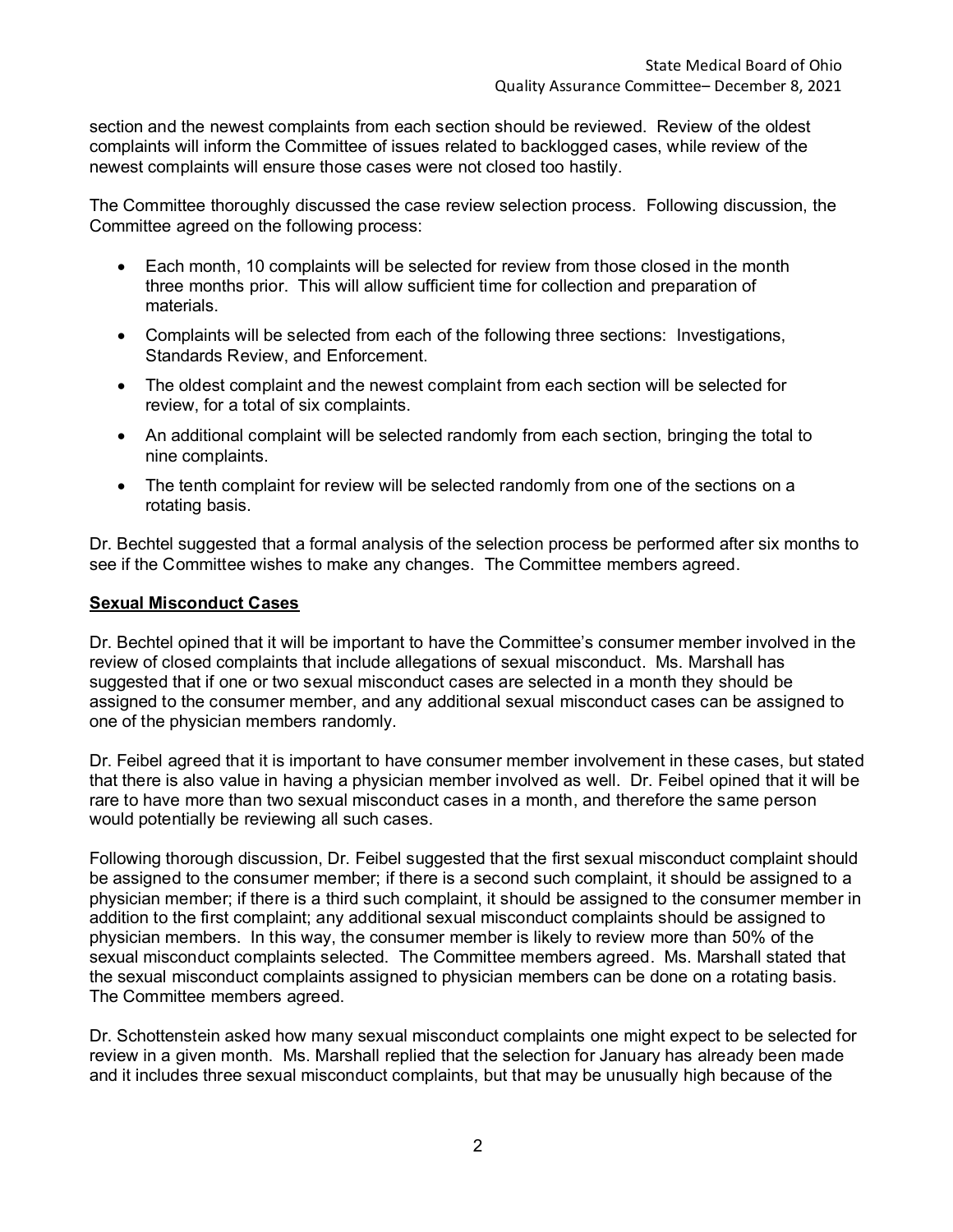section and the newest complaints from each section should be reviewed. Review of the oldest complaints will inform the Committee of issues related to backlogged cases, while review of the newest complaints will ensure those cases were not closed too hastily.

The Committee thoroughly discussed the case review selection process. Following discussion, the Committee agreed on the following process:

- Each month, 10 complaints will be selected for review from those closed in the month three months prior. This will allow sufficient time for collection and preparation of materials.
- Complaints will be selected from each of the following three sections: Investigations, Standards Review, and Enforcement.
- The oldest complaint and the newest complaint from each section will be selected for review, for a total of six complaints.
- An additional complaint will be selected randomly from each section, bringing the total to nine complaints.
- The tenth complaint for review will be selected randomly from one of the sections on a rotating basis.

Dr. Bechtel suggested that a formal analysis of the selection process be performed after six months to see if the Committee wishes to make any changes. The Committee members agreed.

### **Sexual Misconduct Cases**

Dr. Bechtel opined that it will be important to have the Committee's consumer member involved in the review of closed complaints that include allegations of sexual misconduct. Ms. Marshall has suggested that if one or two sexual misconduct cases are selected in a month they should be assigned to the consumer member, and any additional sexual misconduct cases can be assigned to one of the physician members randomly.

Dr. Feibel agreed that it is important to have consumer member involvement in these cases, but stated that there is also value in having a physician member involved as well. Dr. Feibel opined that it will be rare to have more than two sexual misconduct cases in a month, and therefore the same person would potentially be reviewing all such cases.

Following thorough discussion, Dr. Feibel suggested that the first sexual misconduct complaint should be assigned to the consumer member; if there is a second such complaint, it should be assigned to a physician member; if there is a third such complaint, it should be assigned to the consumer member in addition to the first complaint; any additional sexual misconduct complaints should be assigned to physician members. In this way, the consumer member is likely to review more than 50% of the sexual misconduct complaints selected. The Committee members agreed. Ms. Marshall stated that the sexual misconduct complaints assigned to physician members can be done on a rotating basis. The Committee members agreed.

Dr. Schottenstein asked how many sexual misconduct complaints one might expect to be selected for review in a given month. Ms. Marshall replied that the selection for January has already been made and it includes three sexual misconduct complaints, but that may be unusually high because of the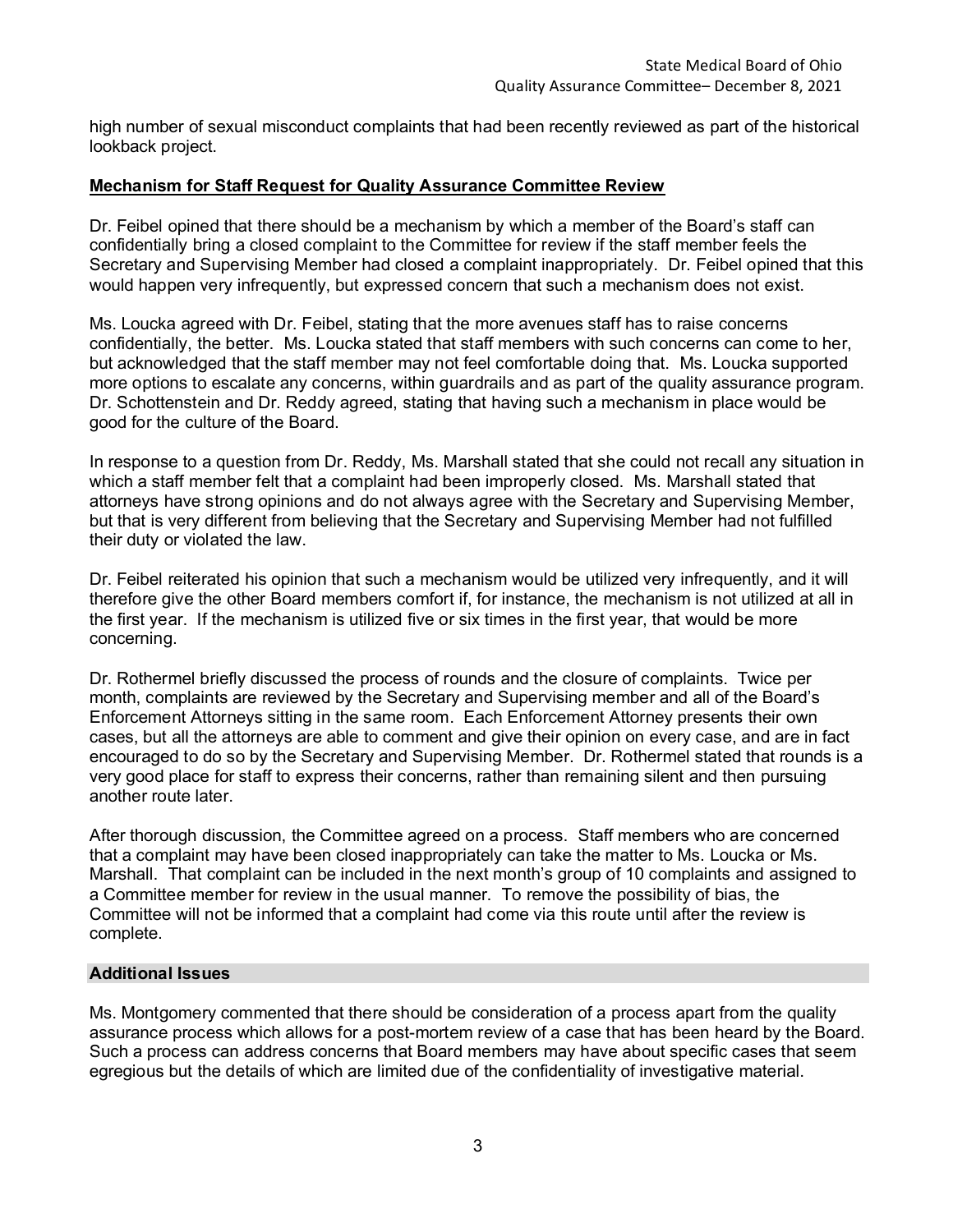high number of sexual misconduct complaints that had been recently reviewed as part of the historical lookback project.

#### **Mechanism for Staff Request for Quality Assurance Committee Review**

Dr. Feibel opined that there should be a mechanism by which a member of the Board's staff can confidentially bring a closed complaint to the Committee for review if the staff member feels the Secretary and Supervising Member had closed a complaint inappropriately. Dr. Feibel opined that this would happen very infrequently, but expressed concern that such a mechanism does not exist.

Ms. Loucka agreed with Dr. Feibel, stating that the more avenues staff has to raise concerns confidentially, the better. Ms. Loucka stated that staff members with such concerns can come to her, but acknowledged that the staff member may not feel comfortable doing that. Ms. Loucka supported more options to escalate any concerns, within guardrails and as part of the quality assurance program. Dr. Schottenstein and Dr. Reddy agreed, stating that having such a mechanism in place would be good for the culture of the Board.

In response to a question from Dr. Reddy, Ms. Marshall stated that she could not recall any situation in which a staff member felt that a complaint had been improperly closed. Ms. Marshall stated that attorneys have strong opinions and do not always agree with the Secretary and Supervising Member, but that is very different from believing that the Secretary and Supervising Member had not fulfilled their duty or violated the law.

Dr. Feibel reiterated his opinion that such a mechanism would be utilized very infrequently, and it will therefore give the other Board members comfort if, for instance, the mechanism is not utilized at all in the first year. If the mechanism is utilized five or six times in the first year, that would be more concerning.

Dr. Rothermel briefly discussed the process of rounds and the closure of complaints. Twice per month, complaints are reviewed by the Secretary and Supervising member and all of the Board's Enforcement Attorneys sitting in the same room. Each Enforcement Attorney presents their own cases, but all the attorneys are able to comment and give their opinion on every case, and are in fact encouraged to do so by the Secretary and Supervising Member. Dr. Rothermel stated that rounds is a very good place for staff to express their concerns, rather than remaining silent and then pursuing another route later.

After thorough discussion, the Committee agreed on a process. Staff members who are concerned that a complaint may have been closed inappropriately can take the matter to Ms. Loucka or Ms. Marshall. That complaint can be included in the next month's group of 10 complaints and assigned to a Committee member for review in the usual manner. To remove the possibility of bias, the Committee will not be informed that a complaint had come via this route until after the review is complete.

#### **Additional Issues**

Ms. Montgomery commented that there should be consideration of a process apart from the quality assurance process which allows for a post-mortem review of a case that has been heard by the Board. Such a process can address concerns that Board members may have about specific cases that seem egregious but the details of which are limited due of the confidentiality of investigative material.